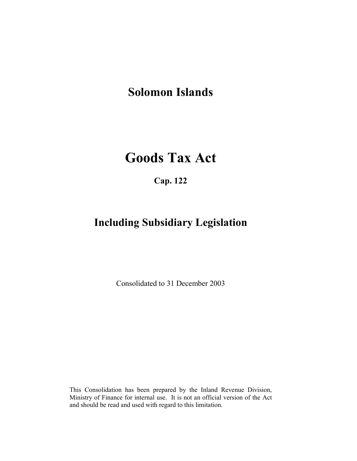## Solomon Islands

# Goods Tax Act

Cap. 122

## Including Subsidiary Legislation

Consolidated to 31 December 2003

This Consolidation has been prepared by the Inland Revenue Division, Ministry of Finance for internal use. It is not an official version of the Act and should be read and used with regard to this limitation.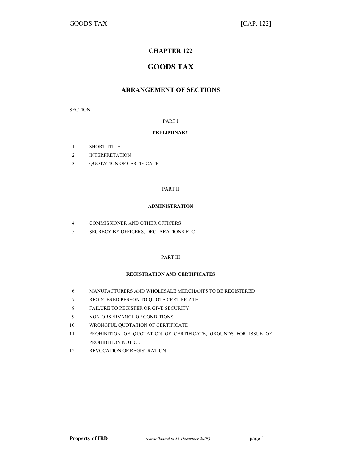## CHAPTER 122

 $\mathcal{L}_\text{max} = \mathcal{L}_\text{max} = \mathcal{L}_\text{max} = \mathcal{L}_\text{max} = \mathcal{L}_\text{max} = \mathcal{L}_\text{max} = \mathcal{L}_\text{max} = \mathcal{L}_\text{max} = \mathcal{L}_\text{max} = \mathcal{L}_\text{max} = \mathcal{L}_\text{max} = \mathcal{L}_\text{max} = \mathcal{L}_\text{max} = \mathcal{L}_\text{max} = \mathcal{L}_\text{max} = \mathcal{L}_\text{max} = \mathcal{L}_\text{max} = \mathcal{L}_\text{max} = \mathcal{$ 

## GOODS TAX

## ARRANGEMENT OF SECTIONS

**SECTION** 

PART I

#### PRELIMINARY

- 1. SHORT TITLE
- 2. INTERPRETATION
- 3. QUOTATION OF CERTIFICATE

#### PART II

#### ADMINISTRATION

- 4. COMMISSIONER AND OTHER OFFICERS
- 5. SECRECY BY OFFICERS, DECLARATIONS ETC

#### PART III

#### REGISTRATION AND CERTIFICATES

- 6. MANUFACTURERS AND WHOLESALE MERCHANTS TO BE REGISTERED
- 7. REGISTERED PERSON TO QUOTE CERTIFICATE
- 8. FAILURE TO REGISTER OR GIVE SECURITY
- 9. NON-OBSERVANCE OF CONDITIONS
- 10. WRONGFUL QUOTATION OF CERTIFICATE
- 11. PROHIBITION OF QUOTATION OF CERTIFICATE, GROUNDS FOR ISSUE OF PROHIBITION NOTICE
- 12. REVOCATION OF REGISTRATION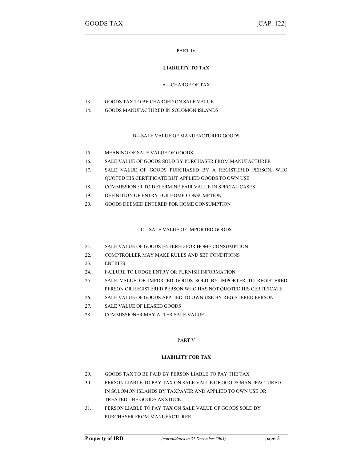#### PART IV

 $\mathcal{L}_\text{max}$  , and the contract of the contract of the contract of the contract of the contract of the contract of

#### LIABILITY TO TAX

#### A—CHARGE OF TAX

- 13. GOODS TAX TO BE CHARGED ON SALE VALUE
- 14. GOODS MANUFACTURED IN SOLOMON ISLANDS

#### B—SALE VALUE OF MANUFACTURED GOODS

- 15. MEANING OF SALE VALUE OF GOODS
- 16. SALE VALUE OF GOODS SOLD BY PURCHASER FROM MANUFACTURER
- 17. SALE VALUE OF GOODS PURCHASED BY A REGISTERED PERSON, WHO QUOTED HIS CERTIFICATE BUT APPLIED GOODS TO OWN USE
- 18. COMMISSIONER TO DETERMINE FAIR VALUE IN SPECIAL CASES
- 19. DEFINITION OF ENTRY FOR HOME CONSUMPTION
- 20. GOODS DEEMED ENTERED FOR HOME CONSUMPTION

#### C—SALE VALUE OF IMPORTED GOODS

- 21. SALE VALUE OF GOODS ENTERED FOR HOME CONSUMPTION
- 22. COMPTROLLER MAY MAKE RULES AND SET CONDITIONS
- 23. ENTRIES
- 24. FAILURE TO LODGE ENTRY OR FURNISH INFORMATION
- 25. SALE VALUE OF IMPORTED GOODS SOLD BY IMPORTER TO REGISTERED PERSON OR REGISTERED PERSON WHO HAS NOT QUOTED HIS CERTIFICATE
- 26. SALE VALUE OF GOODS APPLIED TO OWN USE BY REGISTERED PERSON
- 27. SALE VALUE OF LEASED GOODS
- 28. COMMISSIONER MAY ALTER SALE VALUE

#### PART V

#### LIABILITY FOR TAX

- 29. GOODS TAX TO BE PAID BY PERSON LIABLE TO PAY THE TAX
- 30. PERSON LIABLE TO PAY TAX ON SALE VALUE OF GOODS MANUFACTURED IN SOLOMON ISLANDS BY TAXPAYER AND APPLIED TO OWN USE OR TREATED THE GOODS AS STOCK
- 31. PERSON LIABLE TO PAY TAX ON SALE VALUE OF GOODS SOLD BY PURCHASER FROM MANUFACTURER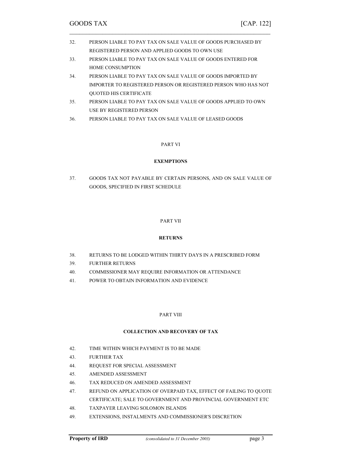| 32. | PERSON LIABLE TO PAY TAX ON SALE VALUE OF GOODS PURCHASED BY |
|-----|--------------------------------------------------------------|
|     | REGISTERED PERSON AND APPLIED GOODS TO OWN USE               |

 $\mathcal{L}_\text{max} = \mathcal{L}_\text{max} = \mathcal{L}_\text{max} = \mathcal{L}_\text{max} = \mathcal{L}_\text{max} = \mathcal{L}_\text{max} = \mathcal{L}_\text{max} = \mathcal{L}_\text{max} = \mathcal{L}_\text{max} = \mathcal{L}_\text{max} = \mathcal{L}_\text{max} = \mathcal{L}_\text{max} = \mathcal{L}_\text{max} = \mathcal{L}_\text{max} = \mathcal{L}_\text{max} = \mathcal{L}_\text{max} = \mathcal{L}_\text{max} = \mathcal{L}_\text{max} = \mathcal{$ 

- 33. PERSON LIABLE TO PAY TAX ON SALE VALUE OF GOODS ENTERED FOR HOME CONSUMPTION
- 34. PERSON LIABLE TO PAY TAX ON SALE VALUE OF GOODS IMPORTED BY IMPORTER TO REGISTERED PERSON OR REGISTERED PERSON WHO HAS NOT QUOTED HIS CERTIFICATE
- 35. PERSON LIABLE TO PAY TAX ON SALE VALUE OF GOODS APPLIED TO OWN USE BY REGISTERED PERSON
- 36. PERSON LIABLE TO PAY TAX ON SALE VALUE OF LEASED GOODS

#### PART VI

#### EXEMPTIONS

37. GOODS TAX NOT PAYABLE BY CERTAIN PERSONS, AND ON SALE VALUE OF GOODS, SPECIFIED IN FIRST SCHEDULE

#### PART VII

#### RETURNS

- 38. RETURNS TO BE LODGED WITHIN THIRTY DAYS IN A PRESCRIBED FORM
- 39. FURTHER RETURNS
- 40. COMMISSIONER MAY REQUIRE INFORMATION OR ATTENDANCE
- 41. POWER TO OBTAIN INFORMATION AND EVIDENCE

#### PART VIII

#### COLLECTION AND RECOVERY OF TAX

- 42. TIME WITHIN WHICH PAYMENT IS TO BE MADE
- 43. FURTHER TAX
- 44. REQUEST FOR SPECIAL ASSESSMENT
- 45. AMENDED ASSESSMENT
- 46. TAX REDUCED ON AMENDED ASSESSMENT
- 47. REFUND ON APPLICATION OF OVERPAID TAX, EFFECT OF FAILING TO QUOTE CERTIFICATE; SALE TO GOVERNMENT AND PROVINCIAL GOVERNMENT ETC
- 48. TAXPAYER LEAVING SOLOMON ISLANDS
- 49. EXTENSIONS, INSTALMENTS AND COMMISSIONER'S DISCRETION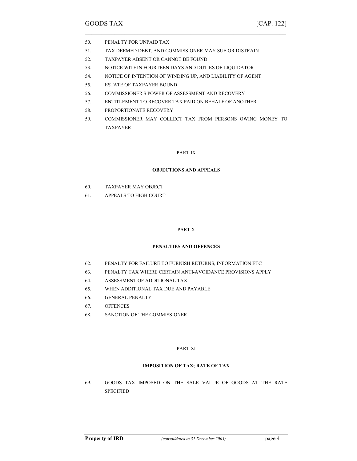- 50. PENALTY FOR UNPAID TAX
- 51. TAX DEEMED DEBT, AND COMMISSIONER MAY SUE OR DISTRAIN

 $\mathcal{L}_\text{max}$  , and the contract of the contract of the contract of the contract of the contract of the contract of

- 52. TAXPAYER ABSENT OR CANNOT BE FOUND
- 53. NOTICE WITHIN FOURTEEN DAYS AND DUTIES OF LIQUIDATOR
- 54. NOTICE OF INTENTION OF WINDING UP, AND LIABILITY OF AGENT
- 55. ESTATE OF TAXPAYER BOUND
- 56. COMMISSIONER'S POWER OF ASSESSMENT AND RECOVERY
- 57. ENTITLEMENT TO RECOVER TAX PAID ON BEHALF OF ANOTHER
- 58. PROPORTIONATE RECOVERY
- 59. COMMISSIONER MAY COLLECT TAX FROM PERSONS OWING MONEY TO TAXPAYER

#### PART IX

#### OBJECTIONS AND APPEALS

- 60. TAXPAYER MAY OBJECT
- 61. APPEALS TO HIGH COURT

#### PART X

### PENALTIES AND OFFENCES

- 62. PENALTY FOR FAILURE TO FURNISH RETURNS, INFORMATION ETC
- 63. PENALTY TAX WHERE CERTAIN ANTI-AVOIDANCE PROVISIONS APPLY
- 64. ASSESSMENT OF ADDITIONAL TAX
- 65. WHEN ADDITIONAL TAX DUE AND PAYABLE
- 66. GENERAL PENALTY
- 67. OFFENCES
- 68. SANCTION OF THE COMMISSIONER

#### PART XI

#### IMPOSITION OF TAX; RATE OF TAX

69. GOODS TAX IMPOSED ON THE SALE VALUE OF GOODS AT THE RATE **SPECIFIED**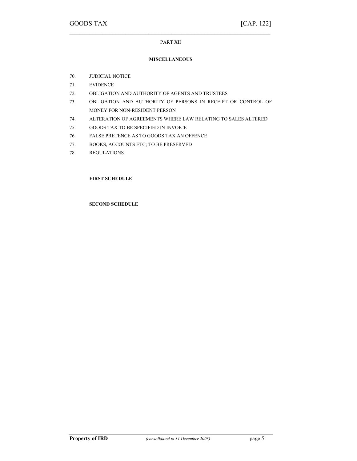## $\mathcal{L}_\text{max} = \mathcal{L}_\text{max} = \mathcal{L}_\text{max} = \mathcal{L}_\text{max} = \mathcal{L}_\text{max} = \mathcal{L}_\text{max} = \mathcal{L}_\text{max} = \mathcal{L}_\text{max} = \mathcal{L}_\text{max} = \mathcal{L}_\text{max} = \mathcal{L}_\text{max} = \mathcal{L}_\text{max} = \mathcal{L}_\text{max} = \mathcal{L}_\text{max} = \mathcal{L}_\text{max} = \mathcal{L}_\text{max} = \mathcal{L}_\text{max} = \mathcal{L}_\text{max} = \mathcal{$ PART XII

#### MISCELLANEOUS

- 70. JUDICIAL NOTICE
- 71. EVIDENCE
- 72. OBLIGATION AND AUTHORITY OF AGENTS AND TRUSTEES
- 73. OBLIGATION AND AUTHORITY OF PERSONS IN RECEIPT OR CONTROL OF MONEY FOR NON-RESIDENT PERSON
- 74. ALTERATION OF AGREEMENTS WHERE LAW RELATING TO SALES ALTERED
- 75. GOODS TAX TO BE SPECIFIED IN INVOICE
- 76. FALSE PRETENCE AS TO GOODS TAX AN OFFENCE
- 77. BOOKS, ACCOUNTS ETC; TO BE PRESERVED
- 78. REGULATIONS

#### FIRST SCHEDULE

#### SECOND SCHEDULE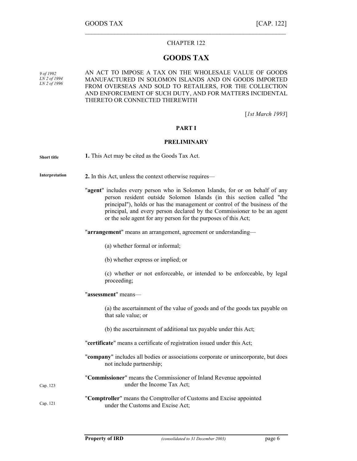#### CHAPTER 122

 $\mathcal{L}_\text{max}$  , and the contract of the contract of the contract of the contract of the contract of the contract of

## GOODS TAX

9 of 1992 LN 2 of 1994 LN 2 of 1996 AN ACT TO IMPOSE A TAX ON THE WHOLESALE VALUE OF GOODS MANUFACTURED IN SOLOMON ISLANDS AND ON GOODS IMPORTED FROM OVERSEAS AND SOLD TO RETAILERS, FOR THE COLLECTION AND ENFORCEMENT OF SUCH DUTY, AND FOR MATTERS INCIDENTAL THERETO OR CONNECTED THEREWITH

[*1st March 1993*]

#### PART I

#### PRELIMINARY

| <b>Short title</b> | 1. This Act may be cited as the Goods Tax Act.                                                                                                                                                                                                                                                                                                                                   |
|--------------------|----------------------------------------------------------------------------------------------------------------------------------------------------------------------------------------------------------------------------------------------------------------------------------------------------------------------------------------------------------------------------------|
| Interpretation     | 2. In this Act, unless the context otherwise requires—                                                                                                                                                                                                                                                                                                                           |
|                    | "agent" includes every person who in Solomon Islands, for or on behalf of any<br>person resident outside Solomon Islands (in this section called "the<br>principal"), holds or has the management or control of the business of the<br>principal, and every person declared by the Commissioner to be an agent<br>or the sole agent for any person for the purposes of this Act; |
|                    | "arrangement" means an arrangement, agreement or understanding-                                                                                                                                                                                                                                                                                                                  |
|                    | (a) whether formal or informal;                                                                                                                                                                                                                                                                                                                                                  |
|                    | (b) whether express or implied; or                                                                                                                                                                                                                                                                                                                                               |
|                    | (c) whether or not enforceable, or intended to be enforceable, by legal<br>proceeding;                                                                                                                                                                                                                                                                                           |
|                    | "assessment" means-                                                                                                                                                                                                                                                                                                                                                              |
|                    | (a) the ascertainment of the value of goods and of the goods tax payable on<br>that sale value; or                                                                                                                                                                                                                                                                               |
|                    | (b) the ascertainment of additional tax payable under this Act;                                                                                                                                                                                                                                                                                                                  |
|                    | "certificate" means a certificate of registration issued under this Act;                                                                                                                                                                                                                                                                                                         |
|                    | "company" includes all bodies or associations corporate or unincorporate, but does<br>not include partnership;                                                                                                                                                                                                                                                                   |
| Cap. 123           | "Commissioner" means the Commissioner of Inland Revenue appointed<br>under the Income Tax Act;                                                                                                                                                                                                                                                                                   |
| Cap. 121           | "Comptroller" means the Comptroller of Customs and Excise appointed<br>under the Customs and Excise Act;                                                                                                                                                                                                                                                                         |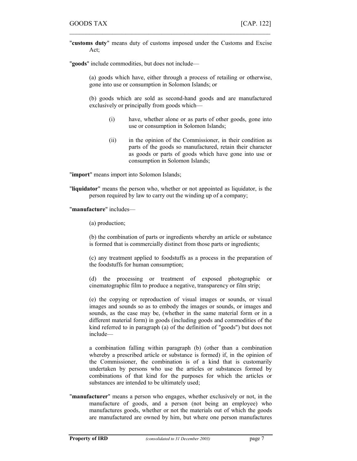"customs duty" means duty of customs imposed under the Customs and Excise Act;

 $\mathcal{L}_\text{max} = \mathcal{L}_\text{max} = \mathcal{L}_\text{max} = \mathcal{L}_\text{max} = \mathcal{L}_\text{max} = \mathcal{L}_\text{max} = \mathcal{L}_\text{max} = \mathcal{L}_\text{max} = \mathcal{L}_\text{max} = \mathcal{L}_\text{max} = \mathcal{L}_\text{max} = \mathcal{L}_\text{max} = \mathcal{L}_\text{max} = \mathcal{L}_\text{max} = \mathcal{L}_\text{max} = \mathcal{L}_\text{max} = \mathcal{L}_\text{max} = \mathcal{L}_\text{max} = \mathcal{$ 

"goods" include commodities, but does not include—

(a) goods which have, either through a process of retailing or otherwise, gone into use or consumption in Solomon Islands; or

(b) goods which are sold as second-hand goods and are manufactured exclusively or principally from goods which—

- (i) have, whether alone or as parts of other goods, gone into use or consumption in Solomon Islands;
- (ii) in the opinion of the Commissioner, in their condition as parts of the goods so manufactured, retain their character as goods or parts of goods which have gone into use or consumption in Solomon Islands;

"import" means import into Solomon Islands;

"liquidator" means the person who, whether or not appointed as liquidator, is the person required by law to carry out the winding up of a company;

"manufacture" includes—

(a) production;

(b) the combination of parts or ingredients whereby an article or substance is formed that is commercially distinct from those parts or ingredients;

(c) any treatment applied to foodstuffs as a process in the preparation of the foodstuffs for human consumption;

(d) the processing or treatment of exposed photographic or cinematographic film to produce a negative, transparency or film strip;

(e) the copying or reproduction of visual images or sounds, or visual images and sounds so as to embody the images or sounds, or images and sounds, as the case may be, (whether in the same material form or in a different material form) in goods (including goods and commodities of the kind referred to in paragraph (a) of the definition of "goods") but does not include—

a combination falling within paragraph (b) (other than a combination whereby a prescribed article or substance is formed) if, in the opinion of the Commissioner, the combination is of a kind that is customarily undertaken by persons who use the articles or substances formed by combinations of that kind for the purposes for which the articles or substances are intended to be ultimately used;

"manufacturer" means a person who engages, whether exclusively or not, in the manufacture of goods, and a person (not being an employee) who manufactures goods, whether or not the materials out of which the goods are manufactured are owned by him, but where one person manufactures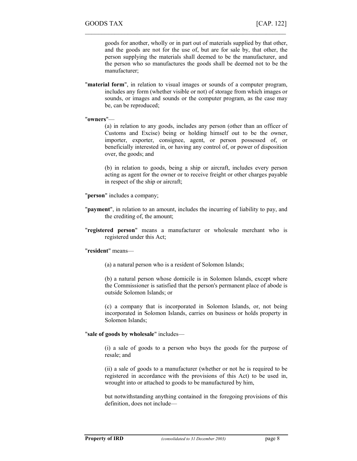goods for another, wholly or in part out of materials supplied by that other, and the goods are not for the use of, but are for sale by, that other, the person supplying the materials shall deemed to be the manufacturer, and the person who so manufactures the goods shall be deemed not to be the manufacturer;

"material form", in relation to visual images or sounds of a computer program, includes any form (whether visible or not) of storage from which images or sounds, or images and sounds or the computer program, as the case may be, can be reproduced;

 $\mathcal{L}_\text{max}$  , and the contract of the contract of the contract of the contract of the contract of the contract of

#### "owners"—

(a) in relation to any goods, includes any person (other than an officer of Customs and Excise) being or holding himself out to be the owner, importer, exporter, consignee, agent, or person possessed of, or beneficially interested in, or having any control of, or power of disposition over, the goods; and

(b) in relation to goods, being a ship or aircraft, includes every person acting as agent for the owner or to receive freight or other charges payable in respect of the ship or aircraft;

"**person**" includes a company;

- "**payment**", in relation to an amount, includes the incurring of liability to pay, and the crediting of, the amount;
- "registered person" means a manufacturer or wholesale merchant who is registered under this Act;

#### "resident" means—

(a) a natural person who is a resident of Solomon Islands;

(b) a natural person whose domicile is in Solomon Islands, except where the Commissioner is satisfied that the person's permanent place of abode is outside Solomon Islands; or

(c) a company that is incorporated in Solomon Islands, or, not being incorporated in Solomon Islands, carries on business or holds property in Solomon Islands;

#### "sale of goods by wholesale" includes—

(i) a sale of goods to a person who buys the goods for the purpose of resale; and

(ii) a sale of goods to a manufacturer (whether or not he is required to be registered in accordance with the provisions of this Act) to be used in, wrought into or attached to goods to be manufactured by him,

but notwithstanding anything contained in the foregoing provisions of this definition, does not include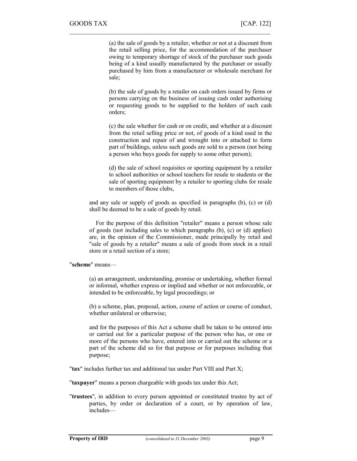(a) the sale of goods by a retailer, whether or not at a discount from the retail selling price, for the accommodation of the purchaser owing to temporary shortage of stock of the purchaser such goods being of a kind usually manufactured by the purchaser or usually purchased by him from a manufacturer or wholesale merchant for sale;

 $\mathcal{L}_\text{max} = \mathcal{L}_\text{max} = \mathcal{L}_\text{max} = \mathcal{L}_\text{max} = \mathcal{L}_\text{max} = \mathcal{L}_\text{max} = \mathcal{L}_\text{max} = \mathcal{L}_\text{max} = \mathcal{L}_\text{max} = \mathcal{L}_\text{max} = \mathcal{L}_\text{max} = \mathcal{L}_\text{max} = \mathcal{L}_\text{max} = \mathcal{L}_\text{max} = \mathcal{L}_\text{max} = \mathcal{L}_\text{max} = \mathcal{L}_\text{max} = \mathcal{L}_\text{max} = \mathcal{$ 

(b) the sale of goods by a retailer on cash orders issued by firms or persons carrying on the business of issuing cash order authorising or requesting goods to be supplied to the holders of such cash orders;

(c) the sale whether for cash or on credit, and whether at a discount from the retail selling price or not, of goods of a kind used in the construction and repair of and wrought into or attached to form part of buildings, unless such goods are sold to a person (not being a person who buys goods for supply to some other person);

(d) the sale of school requisites or sporting equipment by a retailer to school authorities or school teachers for resale to students or the sale of sporting equipment by a retailer to sporting clubs for resale to members of those clubs,

and any sale or supply of goods as specified in paragraphs (b), (c) or (d) shall be deemed to be a sale of goods by retail.

For the purpose of this definition "retailer" means a person whose sale of goods (not including sales to which paragraphs (b), (c) or (d) applies) are, in the opinion of the Commissioner, made principally by retail and "sale of goods by a retailer" means a sale of goods from stock in a retail store or a retail section of a store;

"scheme" means—

(a) an arrangement, understanding, promise or undertaking, whether formal or informal, whether express or implied and whether or not enforceable, or intended to be enforceable, by legal proceedings; or

(b) a scheme, plan, proposal, action, course of action or course of conduct, whether unilateral or otherwise;

and for the purposes of this Act a scheme shall be taken to be entered into or carried out for a particular purpose of the person who has, or one or more of the persons who have, entered into or carried out the scheme or a part of the scheme did so for that purpose or for purposes including that purpose;

"tax" includes further tax and additional tax under Part VIII and Part X;

"taxpayer" means a person chargeable with goods tax under this Act;

"trustees", in addition to every person appointed or constituted trustee by act of parties, by order or declaration of a court, or by operation of law, includes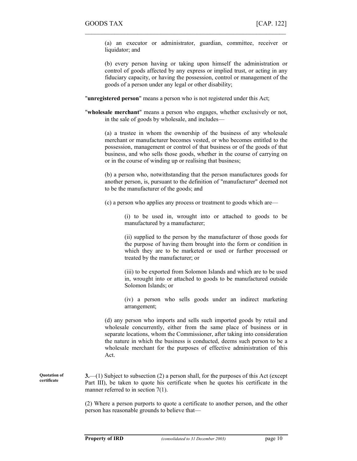(a) an executor or administrator, guardian, committee, receiver or liquidator; and

 $\mathcal{L}_\text{max}$  , and the contract of the contract of the contract of the contract of the contract of the contract of

(b) every person having or taking upon himself the administration or control of goods affected by any express or implied trust, or acting in any fiduciary capacity, or having the possession, control or management of the goods of a person under any legal or other disability;

"unregistered person" means a person who is not registered under this Act;

"wholesale merchant" means a person who engages, whether exclusively or not, in the sale of goods by wholesale, and includes—

(a) a trustee in whom the ownership of the business of any wholesale merchant or manufacturer becomes vested, or who becomes entitled to the possession, management or control of that business or of the goods of that business, and who sells those goods, whether in the course of carrying on or in the course of winding up or realising that business;

(b) a person who, notwithstanding that the person manufactures goods for another person, is, pursuant to the definition of "manufacturer" deemed not to be the manufacturer of the goods; and

(c) a person who applies any process or treatment to goods which are—

(i) to be used in, wrought into or attached to goods to be manufactured by a manufacturer;

(ii) supplied to the person by the manufacturer of those goods for the purpose of having them brought into the form or condition in which they are to be marketed or used or further processed or treated by the manufacturer; or

(iii) to be exported from Solomon Islands and which are to be used in, wrought into or attached to goods to be manufactured outside Solomon Islands; or

(iv) a person who sells goods under an indirect marketing arrangement;

(d) any person who imports and sells such imported goods by retail and wholesale concurrently, either from the same place of business or in separate locations, whom the Commissioner, after taking into consideration the nature in which the business is conducted, deems such person to be a wholesale merchant for the purposes of effective administration of this Act.

 $3$ —(1) Subject to subsection (2) a person shall, for the purposes of this Act (except Part III), be taken to quote his certificate when he quotes his certificate in the manner referred to in section 7(1). Quotation of certificate

> (2) Where a person purports to quote a certificate to another person, and the other person has reasonable grounds to believe that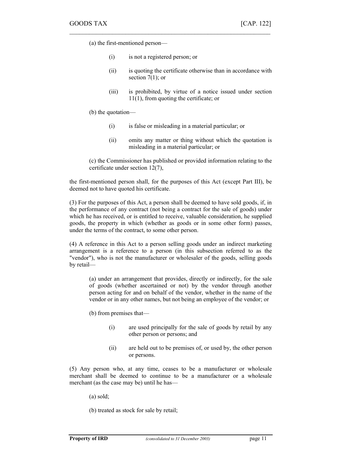(a) the first-mentioned person—

(i) is not a registered person; or

 $\mathcal{L}_\text{max} = \mathcal{L}_\text{max} = \mathcal{L}_\text{max} = \mathcal{L}_\text{max} = \mathcal{L}_\text{max} = \mathcal{L}_\text{max} = \mathcal{L}_\text{max} = \mathcal{L}_\text{max} = \mathcal{L}_\text{max} = \mathcal{L}_\text{max} = \mathcal{L}_\text{max} = \mathcal{L}_\text{max} = \mathcal{L}_\text{max} = \mathcal{L}_\text{max} = \mathcal{L}_\text{max} = \mathcal{L}_\text{max} = \mathcal{L}_\text{max} = \mathcal{L}_\text{max} = \mathcal{$ 

- (ii) is quoting the certificate otherwise than in accordance with section  $7(1)$ ; or
- (iii) is prohibited, by virtue of a notice issued under section 11(1), from quoting the certificate; or

(b) the quotation—

- (i) is false or misleading in a material particular; or
- (ii) omits any matter or thing without which the quotation is misleading in a material particular; or

(c) the Commissioner has published or provided information relating to the certificate under section 12(7),

the first-mentioned person shall, for the purposes of this Act (except Part III), be deemed not to have quoted his certificate.

(3) For the purposes of this Act, a person shall be deemed to have sold goods, if, in the performance of any contract (not being a contract for the sale of goods) under which he has received, or is entitled to receive, valuable consideration, he supplied goods, the property in which (whether as goods or in some other form) passes, under the terms of the contract, to some other person.

(4) A reference in this Act to a person selling goods under an indirect marketing arrangement is a reference to a person (in this subsection referred to as the "vendor"), who is not the manufacturer or wholesaler of the goods, selling goods by retail—

(a) under an arrangement that provides, directly or indirectly, for the sale of goods (whether ascertained or not) by the vendor through another person acting for and on behalf of the vendor, whether in the name of the vendor or in any other names, but not being an employee of the vendor; or

(b) from premises that—

- (i) are used principally for the sale of goods by retail by any other person or persons; and
- (ii) are held out to be premises of, or used by, the other person or persons.

(5) Any person who, at any time, ceases to be a manufacturer or wholesale merchant shall be deemed to continue to be a manufacturer or a wholesale merchant (as the case may be) until he has—

(a) sold;

(b) treated as stock for sale by retail;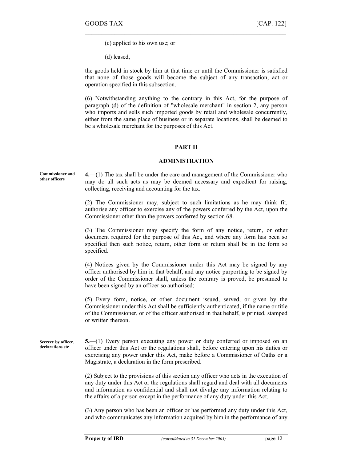(c) applied to his own use; or

(d) leased,

the goods held in stock by him at that time or until the Commissioner is satisfied that none of those goods will become the subject of any transaction, act or operation specified in this subsection.

 $\mathcal{L}_\text{max}$  , and the contract of the contract of the contract of the contract of the contract of the contract of

(6) Notwithstanding anything to the contrary in this Act, for the purpose of paragraph (d) of the definition of "wholesale merchant" in section 2, any person who imports and sells such imported goods by retail and wholesale concurrently, either from the same place of business or in separate locations, shall be deemed to be a wholesale merchant for the purposes of this Act.

#### PART II

#### ADMINISTRATION

Commissioner and other officers

4.—(1) The tax shall be under the care and management of the Commissioner who may do all such acts as may be deemed necessary and expedient for raising, collecting, receiving and accounting for the tax.

(2) The Commissioner may, subject to such limitations as he may think fit, authorise any officer to exercise any of the powers conferred by the Act, upon the Commissioner other than the powers conferred by section 68.

(3) The Commissioner may specify the form of any notice, return, or other document required for the purpose of this Act, and where any form has been so specified then such notice, return, other form or return shall be in the form so specified.

(4) Notices given by the Commissioner under this Act may be signed by any officer authorised by him in that behalf, and any notice purporting to be signed by order of the Commissioner shall, unless the contrary is proved, be presumed to have been signed by an officer so authorised;

(5) Every form, notice, or other document issued, served, or given by the Commissioner under this Act shall be sufficiently authenticated, if the name or title of the Commissioner, or of the officer authorised in that behalf, is printed, stamped or written thereon.

5.—(1) Every person executing any power or duty conferred or imposed on an officer under this Act or the regulations shall, before entering upon his duties or exercising any power under this Act, make before a Commissioner of Oaths or a Magistrate, a declaration in the form prescribed. Secrecy by officer, declarations etc

> (2) Subject to the provisions of this section any officer who acts in the execution of any duty under this Act or the regulations shall regard and deal with all documents and information as confidential and shall not divulge any information relating to the affairs of a person except in the performance of any duty under this Act.

> (3) Any person who has been an officer or has performed any duty under this Act, and who communicates any information acquired by him in the performance of any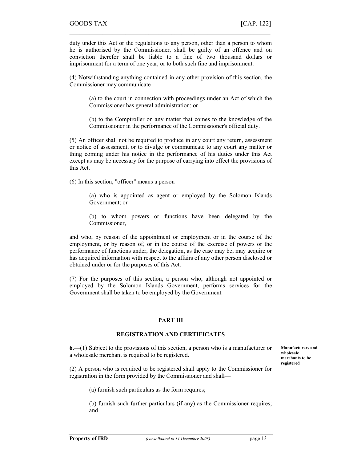duty under this Act or the regulations to any person, other than a person to whom he is authorised by the Commissioner, shall be guilty of an offence and on conviction therefor shall be liable to a fine of two thousand dollars or imprisonment for a term of one year, or to both such fine and imprisonment.

 $\mathcal{L}_\text{max} = \mathcal{L}_\text{max} = \mathcal{L}_\text{max} = \mathcal{L}_\text{max} = \mathcal{L}_\text{max} = \mathcal{L}_\text{max} = \mathcal{L}_\text{max} = \mathcal{L}_\text{max} = \mathcal{L}_\text{max} = \mathcal{L}_\text{max} = \mathcal{L}_\text{max} = \mathcal{L}_\text{max} = \mathcal{L}_\text{max} = \mathcal{L}_\text{max} = \mathcal{L}_\text{max} = \mathcal{L}_\text{max} = \mathcal{L}_\text{max} = \mathcal{L}_\text{max} = \mathcal{$ 

(4) Notwithstanding anything contained in any other provision of this section, the Commissioner may communicate—

(a) to the court in connection with proceedings under an Act of which the Commissioner has general administration; or

(b) to the Comptroller on any matter that comes to the knowledge of the Commissioner in the performance of the Commissioner's official duty.

(5) An officer shall not be required to produce in any court any return, assessment or notice of assessment, or to divulge or communicate to any court any matter or thing coming under his notice in the performance of his duties under this Act except as may be necessary for the purpose of carrying into effect the provisions of this Act.

(6) In this section, "officer" means a person—

(a) who is appointed as agent or employed by the Solomon Islands Government; or

(b) to whom powers or functions have been delegated by the Commissioner,

and who, by reason of the appointment or employment or in the course of the employment, or by reason of, or in the course of the exercise of powers or the performance of functions under, the delegation, as the case may be, may acquire or has acquired information with respect to the affairs of any other person disclosed or obtained under or for the purposes of this Act.

(7) For the purposes of this section, a person who, although not appointed or employed by the Solomon Islands Government, performs services for the Government shall be taken to be employed by the Government.

#### PART III

#### REGISTRATION AND CERTIFICATES

6.—(1) Subject to the provisions of this section, a person who is a manufacturer or a wholesale merchant is required to be registered.

(2) A person who is required to be registered shall apply to the Commissioner for registration in the form provided by the Commissioner and shall—

(a) furnish such particulars as the form requires;

(b) furnish such further particulars (if any) as the Commissioner requires; and

Manufacturers and wholesale merchants to be registered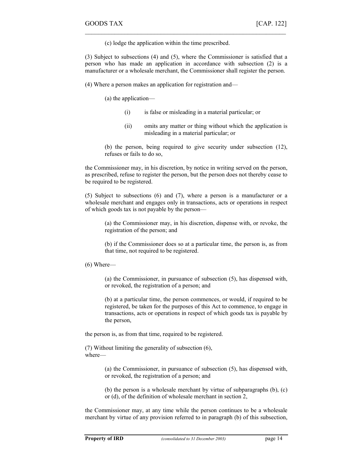(c) lodge the application within the time prescribed.

(3) Subject to subsections (4) and (5), where the Commissioner is satisfied that a person who has made an application in accordance with subsection (2) is a manufacturer or a wholesale merchant, the Commissioner shall register the person.

 $\mathcal{L}_\text{max}$  , and the contract of the contract of the contract of the contract of the contract of the contract of

(4) Where a person makes an application for registration and—

(a) the application—

- (i) is false or misleading in a material particular; or
- (ii) omits any matter or thing without which the application is misleading in a material particular; or

(b) the person, being required to give security under subsection (12), refuses or fails to do so,

the Commissioner may, in his discretion, by notice in writing served on the person, as prescribed, refuse to register the person, but the person does not thereby cease to be required to be registered.

(5) Subject to subsections (6) and (7), where a person is a manufacturer or a wholesale merchant and engages only in transactions, acts or operations in respect of which goods tax is not payable by the person—

(a) the Commissioner may, in his discretion, dispense with, or revoke, the registration of the person; and

(b) if the Commissioner does so at a particular time, the person is, as from that time, not required to be registered.

(6) Where—

(a) the Commissioner, in pursuance of subsection (5), has dispensed with, or revoked, the registration of a person; and

(b) at a particular time, the person commences, or would, if required to be registered, be taken for the purposes of this Act to commence, to engage in transactions, acts or operations in respect of which goods tax is payable by the person,

the person is, as from that time, required to be registered.

(7) Without limiting the generality of subsection (6), where—

> (a) the Commissioner, in pursuance of subsection (5), has dispensed with, or revoked, the registration of a person; and

> (b) the person is a wholesale merchant by virtue of subparagraphs (b), (c) or (d), of the definition of wholesale merchant in section 2,

the Commissioner may, at any time while the person continues to be a wholesale merchant by virtue of any provision referred to in paragraph (b) of this subsection,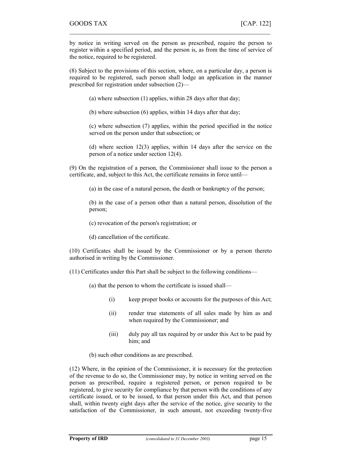by notice in writing served on the person as prescribed, require the person to register within a specified period, and the person is, as from the time of service of the notice, required to be registered.

 $\mathcal{L}_\text{max} = \mathcal{L}_\text{max} = \mathcal{L}_\text{max} = \mathcal{L}_\text{max} = \mathcal{L}_\text{max} = \mathcal{L}_\text{max} = \mathcal{L}_\text{max} = \mathcal{L}_\text{max} = \mathcal{L}_\text{max} = \mathcal{L}_\text{max} = \mathcal{L}_\text{max} = \mathcal{L}_\text{max} = \mathcal{L}_\text{max} = \mathcal{L}_\text{max} = \mathcal{L}_\text{max} = \mathcal{L}_\text{max} = \mathcal{L}_\text{max} = \mathcal{L}_\text{max} = \mathcal{$ 

(8) Subject to the provisions of this section, where, on a particular day, a person is required to be registered, such person shall lodge an application in the manner prescribed for registration under subsection (2)—

(a) where subsection (1) applies, within 28 days after that day;

(b) where subsection (6) applies, within 14 days after that day;

(c) where subsection (7) applies, within the period specified in the notice served on the person under that subsection; or

(d) where section 12(3) applies, within 14 days after the service on the person of a notice under section 12(4).

(9) On the registration of a person, the Commissioner shall issue to the person a certificate, and, subject to this Act, the certificate remains in force until—

(a) in the case of a natural person, the death or bankruptcy of the person;

(b) in the case of a person other than a natural person, dissolution of the person;

(c) revocation of the person's registration; or

(d) cancellation of the certificate.

(10) Certificates shall be issued by the Commissioner or by a person thereto authorised in writing by the Commissioner.

(11) Certificates under this Part shall be subject to the following conditions—

(a) that the person to whom the certificate is issued shall—

- (i) keep proper books or accounts for the purposes of this Act;
- (ii) render true statements of all sales made by him as and when required by the Commissioner; and
- (iii) duly pay all tax required by or under this Act to be paid by him; and

(b) such other conditions as are prescribed.

(12) Where, in the opinion of the Commissioner, it is necessary for the protection of the revenue to do so, the Commissioner may, by notice in writing served on the person as prescribed, require a registered person, or person required to be registered, to give security for compliance by that person with the conditions of any certificate issued, or to be issued, to that person under this Act, and that person shall, within twenty eight days after the service of the notice, give security to the satisfaction of the Commissioner, in such amount, not exceeding twenty-five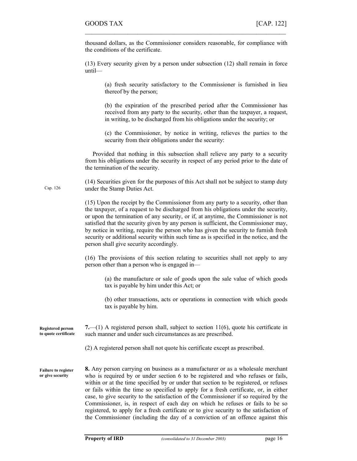Cap. 126

thousand dollars, as the Commissioner considers reasonable, for compliance with the conditions of the certificate.

 $\mathcal{L}_\text{max}$  , and the contract of the contract of the contract of the contract of the contract of the contract of

(13) Every security given by a person under subsection (12) shall remain in force until—

(a) fresh security satisfactory to the Commissioner is furnished in lieu thereof by the person;

(b) the expiration of the prescribed period after the Commissioner has received from any party to the security, other than the taxpayer, a request, in writing, to be discharged from his obligations under the security; or

(c) the Commissioner, by notice in writing, relieves the parties to the security from their obligations under the security:

 Provided that nothing in this subsection shall relieve any party to a security from his obligations under the security in respect of any period prior to the date of the termination of the security.

(14) Securities given for the purposes of this Act shall not be subject to stamp duty under the Stamp Duties Act.

(15) Upon the receipt by the Commissioner from any party to a security, other than the taxpayer, of a request to be discharged from his obligations under the security, or upon the termination of any security, or if, at anytime, the Commissioner is not satisfied that the security given by any person is sufficient, the Commissioner may, by notice in writing, require the person who has given the security to furnish fresh security or additional security within such time as is specified in the notice, and the person shall give security accordingly.

(16) The provisions of this section relating to securities shall not apply to any person other than a person who is engaged in—

(a) the manufacture or sale of goods upon the sale value of which goods tax is payable by him under this Act; or

(b) other transactions, acts or operations in connection with which goods tax is payable by him.

7.—(1) A registered person shall, subject to section  $11(6)$ , quote his certificate in such manner and under such circumstances as are prescribed. Registered person to quote certificate

(2) A registered person shall not quote his certificate except as prescribed.

8. Any person carrying on business as a manufacturer or as a wholesale merchant who is required by or under section 6 to be registered and who refuses or fails, within or at the time specified by or under that section to be registered, or refuses or fails within the time so specified to apply for a fresh certificate, or, in either case, to give security to the satisfaction of the Commissioner if so required by the Commissioner, is, in respect of each day on which he refuses or fails to be so registered, to apply for a fresh certificate or to give security to the satisfaction of the Commissioner (including the day of a conviction of an offence against this Failure to register or give security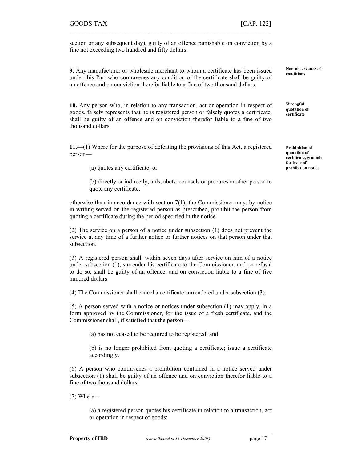section or any subsequent day), guilty of an offence punishable on conviction by a fine not exceeding two hundred and fifty dollars.

 $\mathcal{L}_\text{max} = \mathcal{L}_\text{max} = \mathcal{L}_\text{max} = \mathcal{L}_\text{max} = \mathcal{L}_\text{max} = \mathcal{L}_\text{max} = \mathcal{L}_\text{max} = \mathcal{L}_\text{max} = \mathcal{L}_\text{max} = \mathcal{L}_\text{max} = \mathcal{L}_\text{max} = \mathcal{L}_\text{max} = \mathcal{L}_\text{max} = \mathcal{L}_\text{max} = \mathcal{L}_\text{max} = \mathcal{L}_\text{max} = \mathcal{L}_\text{max} = \mathcal{L}_\text{max} = \mathcal{$ 

9. Any manufacturer or wholesale merchant to whom a certificate has been issued under this Part who contravenes any condition of the certificate shall be guilty of an offence and on conviction therefor liable to a fine of two thousand dollars.

10. Any person who, in relation to any transaction, act or operation in respect of goods, falsely represents that he is registered person or falsely quotes a certificate, shall be guilty of an offence and on conviction therefor liable to a fine of two thousand dollars.

11.—(1) Where for the purpose of defeating the provisions of this Act, a registered person—

(a) quotes any certificate; or

(b) directly or indirectly, aids, abets, counsels or procures another person to quote any certificate,

otherwise than in accordance with section 7(1), the Commissioner may, by notice in writing served on the registered person as prescribed, prohibit the person from quoting a certificate during the period specified in the notice.

(2) The service on a person of a notice under subsection (1) does not prevent the service at any time of a further notice or further notices on that person under that subsection.

(3) A registered person shall, within seven days after service on him of a notice under subsection (1), surrender his certificate to the Commissioner, and on refusal to do so, shall be guilty of an offence, and on conviction liable to a fine of five hundred dollars.

(4) The Commissioner shall cancel a certificate surrendered under subsection (3).

(5) A person served with a notice or notices under subsection (1) may apply, in a form approved by the Commissioner, for the issue of a fresh certificate, and the Commissioner shall, if satisfied that the person—

(a) has not ceased to be required to be registered; and

(b) is no longer prohibited from quoting a certificate; issue a certificate accordingly.

(6) A person who contravenes a prohibition contained in a notice served under subsection (1) shall be guilty of an offence and on conviction therefor liable to a fine of two thousand dollars.

(7) Where—

(a) a registered person quotes his certificate in relation to a transaction, act or operation in respect of goods;

Non-observance of conditions

Wrongful quotation of certificate

Prohibition of quotation of certificate, grounds for issue of prohibition notice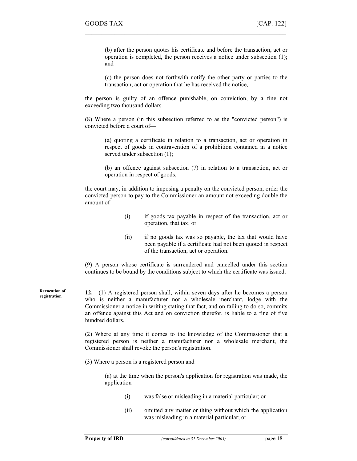(b) after the person quotes his certificate and before the transaction, act or operation is completed, the person receives a notice under subsection (1); and

(c) the person does not forthwith notify the other party or parties to the transaction, act or operation that he has received the notice,

the person is guilty of an offence punishable, on conviction, by a fine not exceeding two thousand dollars.

 $\mathcal{L}_\text{max}$  , and the contract of the contract of the contract of the contract of the contract of the contract of

(8) Where a person (in this subsection referred to as the "convicted person") is convicted before a court of—

(a) quoting a certificate in relation to a transaction, act or operation in respect of goods in contravention of a prohibition contained in a notice served under subsection  $(1)$ ;

(b) an offence against subsection (7) in relation to a transaction, act or operation in respect of goods,

the court may, in addition to imposing a penalty on the convicted person, order the convicted person to pay to the Commissioner an amount not exceeding double the amount of—

- (i) if goods tax payable in respect of the transaction, act or operation, that tax; or
- (ii) if no goods tax was so payable, the tax that would have been payable if a certificate had not been quoted in respect of the transaction, act or operation.

(9) A person whose certificate is surrendered and cancelled under this section continues to be bound by the conditions subject to which the certificate was issued.

12.—(1) A registered person shall, within seven days after he becomes a person who is neither a manufacturer nor a wholesale merchant, lodge with the Commissioner a notice in writing stating that fact, and on failing to do so, commits an offence against this Act and on conviction therefor, is liable to a fine of five hundred dollars.

> (2) Where at any time it comes to the knowledge of the Commissioner that a registered person is neither a manufacturer nor a wholesale merchant, the Commissioner shall revoke the person's registration.

(3) Where a person is a registered person and—

(a) at the time when the person's application for registration was made, the application—

- (i) was false or misleading in a material particular; or
- (ii) omitted any matter or thing without which the application was misleading in a material particular; or

Revocation of registration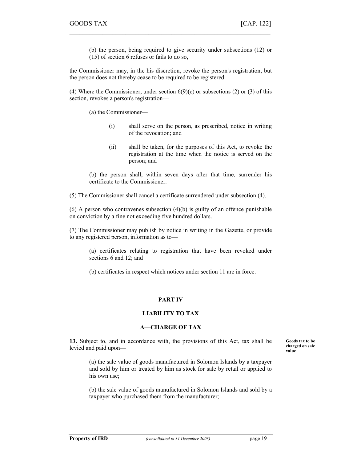(b) the person, being required to give security under subsections (12) or (15) of section 6 refuses or fails to do so,

the Commissioner may, in the his discretion, revoke the person's registration, but the person does not thereby cease to be required to be registered.

 $\mathcal{L}_\text{max} = \mathcal{L}_\text{max} = \mathcal{L}_\text{max} = \mathcal{L}_\text{max} = \mathcal{L}_\text{max} = \mathcal{L}_\text{max} = \mathcal{L}_\text{max} = \mathcal{L}_\text{max} = \mathcal{L}_\text{max} = \mathcal{L}_\text{max} = \mathcal{L}_\text{max} = \mathcal{L}_\text{max} = \mathcal{L}_\text{max} = \mathcal{L}_\text{max} = \mathcal{L}_\text{max} = \mathcal{L}_\text{max} = \mathcal{L}_\text{max} = \mathcal{L}_\text{max} = \mathcal{$ 

(4) Where the Commissioner, under section  $6(9)(c)$  or subsections (2) or (3) of this section, revokes a person's registration—

(a) the Commissioner—

- (i) shall serve on the person, as prescribed, notice in writing of the revocation; and
- (ii) shall be taken, for the purposes of this Act, to revoke the registration at the time when the notice is served on the person; and

(b) the person shall, within seven days after that time, surrender his certificate to the Commissioner.

(5) The Commissioner shall cancel a certificate surrendered under subsection (4).

 $(6)$  A person who contravenes subsection  $(4)(b)$  is guilty of an offence punishable on conviction by a fine not exceeding five hundred dollars.

(7) The Commissioner may publish by notice in writing in the Gazette, or provide to any registered person, information as to—

(a) certificates relating to registration that have been revoked under sections 6 and 12; and

(b) certificates in respect which notices under section 11 are in force.

#### PART IV

#### LIABILITY TO TAX

#### A—CHARGE OF TAX

13. Subject to, and in accordance with, the provisions of this Act, tax shall be levied and paid upon—

(a) the sale value of goods manufactured in Solomon Islands by a taxpayer and sold by him or treated by him as stock for sale by retail or applied to his own use;

(b) the sale value of goods manufactured in Solomon Islands and sold by a taxpayer who purchased them from the manufacturer;

Goods tax to be charged on sale value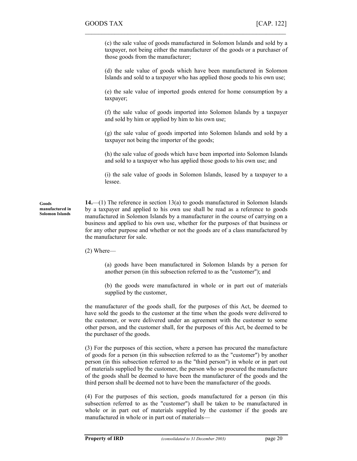(c) the sale value of goods manufactured in Solomon Islands and sold by a taxpayer, not being either the manufacturer of the goods or a purchaser of those goods from the manufacturer;

 $\mathcal{L}_\text{max}$  , and the contract of the contract of the contract of the contract of the contract of the contract of

(d) the sale value of goods which have been manufactured in Solomon Islands and sold to a taxpayer who has applied those goods to his own use;

(e) the sale value of imported goods entered for home consumption by a taxpayer;

(f) the sale value of goods imported into Solomon Islands by a taxpayer and sold by him or applied by him to his own use;

(g) the sale value of goods imported into Solomon Islands and sold by a taxpayer not being the importer of the goods;

(h) the sale value of goods which have been imported into Solomon Islands and sold to a taxpayer who has applied those goods to his own use; and

(i) the sale value of goods in Solomon Islands, leased by a taxpayer to a lessee.

14.—(1) The reference in section 13(a) to goods manufactured in Solomon Islands by a taxpayer and applied to his own use shall be read as a reference to goods manufactured in Solomon Islands by a manufacturer in the course of carrying on a business and applied to his own use, whether for the purposes of that business or for any other purpose and whether or not the goods are of a class manufactured by the manufacturer for sale.

(2) Where—

(a) goods have been manufactured in Solomon Islands by a person for another person (in this subsection referred to as the "customer"); and

(b) the goods were manufactured in whole or in part out of materials supplied by the customer,

the manufacturer of the goods shall, for the purposes of this Act, be deemed to have sold the goods to the customer at the time when the goods were delivered to the customer, or were delivered under an agreement with the customer to some other person, and the customer shall, for the purposes of this Act, be deemed to be the purchaser of the goods.

(3) For the purposes of this section, where a person has procured the manufacture of goods for a person (in this subsection referred to as the "customer") by another person (in this subsection referred to as the "third person") in whole or in part out of materials supplied by the customer, the person who so procured the manufacture of the goods shall be deemed to have been the manufacturer of the goods and the third person shall be deemed not to have been the manufacturer of the goods.

(4) For the purposes of this section, goods manufactured for a person (in this subsection referred to as the "customer") shall be taken to be manufactured in whole or in part out of materials supplied by the customer if the goods are manufactured in whole or in part out of materials—

Goods manufactured in Solomon Islands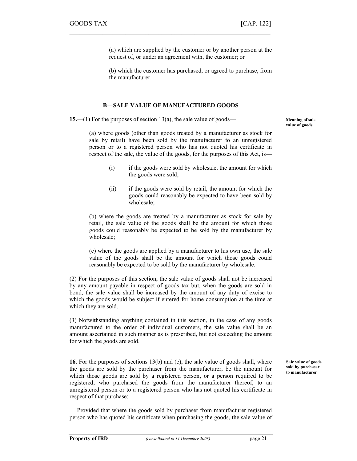(a) which are supplied by the customer or by another person at the request of, or under an agreement with, the customer; or

(b) which the customer has purchased, or agreed to purchase, from the manufacturer.

#### B—SALE VALUE OF MANUFACTURED GOODS

 $\mathcal{L}_\text{max} = \mathcal{L}_\text{max} = \mathcal{L}_\text{max} = \mathcal{L}_\text{max} = \mathcal{L}_\text{max} = \mathcal{L}_\text{max} = \mathcal{L}_\text{max} = \mathcal{L}_\text{max} = \mathcal{L}_\text{max} = \mathcal{L}_\text{max} = \mathcal{L}_\text{max} = \mathcal{L}_\text{max} = \mathcal{L}_\text{max} = \mathcal{L}_\text{max} = \mathcal{L}_\text{max} = \mathcal{L}_\text{max} = \mathcal{L}_\text{max} = \mathcal{L}_\text{max} = \mathcal{$ 

15.—(1) For the purposes of section 13(a), the sale value of goods—

Meaning of sale value of goods

(a) where goods (other than goods treated by a manufacturer as stock for sale by retail) have been sold by the manufacturer to an unregistered person or to a registered person who has not quoted his certificate in respect of the sale, the value of the goods, for the purposes of this Act, is—

- (i) if the goods were sold by wholesale, the amount for which the goods were sold;
- (ii) if the goods were sold by retail, the amount for which the goods could reasonably be expected to have been sold by wholesale;

(b) where the goods are treated by a manufacturer as stock for sale by retail, the sale value of the goods shall be the amount for which those goods could reasonably be expected to be sold by the manufacturer by wholesale;

(c) where the goods are applied by a manufacturer to his own use, the sale value of the goods shall be the amount for which those goods could reasonably be expected to be sold by the manufacturer by wholesale.

(2) For the purposes of this section, the sale value of goods shall not be increased by any amount payable in respect of goods tax but, when the goods are sold in bond, the sale value shall be increased by the amount of any duty of excise to which the goods would be subject if entered for home consumption at the time at which they are sold.

(3) Notwithstanding anything contained in this section, in the case of any goods manufactured to the order of individual customers, the sale value shall be an amount ascertained in such manner as is prescribed, but not exceeding the amount for which the goods are sold.

16. For the purposes of sections 13(b) and (c), the sale value of goods shall, where the goods are sold by the purchaser from the manufacturer, be the amount for which those goods are sold by a registered person, or a person required to be registered, who purchased the goods from the manufacturer thereof, to an unregistered person or to a registered person who has not quoted his certificate in respect of that purchase:

Sale value of goods sold by purchaser to manufacturer

 Provided that where the goods sold by purchaser from manufacturer registered person who has quoted his certificate when purchasing the goods, the sale value of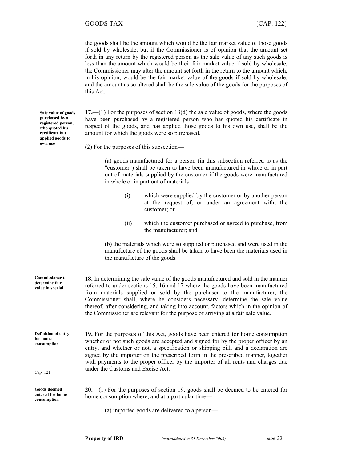the goods shall be the amount which would be the fair market value of those goods if sold by wholesale, but if the Commissioner is of opinion that the amount set forth in any return by the registered person as the sale value of any such goods is less than the amount which would be their fair market value if sold by wholesale, the Commissioner may alter the amount set forth in the return to the amount which, in his opinion, would be the fair market value of the goods if sold by wholesale, and the amount as so altered shall be the sale value of the goods for the purposes of this Act.

 $\mathcal{L}_\text{max}$  , and the contract of the contract of the contract of the contract of the contract of the contract of

17.—(1) For the purposes of section 13(d) the sale value of goods, where the goods have been purchased by a registered person who has quoted his certificate in respect of the goods, and has applied those goods to his own use, shall be the amount for which the goods were so purchased.

(2) For the purposes of this subsection—

(a) goods manufactured for a person (in this subsection referred to as the "customer") shall be taken to have been manufactured in whole or in part out of materials supplied by the customer if the goods were manufactured in whole or in part out of materials—

- (i) which were supplied by the customer or by another person at the request of, or under an agreement with, the customer; or
- (ii) which the customer purchased or agreed to purchase, from the manufacturer; and

(b) the materials which were so supplied or purchased and were used in the manufacture of the goods shall be taken to have been the materials used in the manufacture of the goods.

| <b>Commissioner to</b><br>determine fair<br>value in special | <b>18.</b> In determining the sale value of the goods manufactured and sold in the manner<br>referred to under sections 15, 16 and 17 where the goods have been manufactured<br>from materials supplied or sold by the purchaser to the manufacturer, the<br>Commissioner shall, where he considers necessary, determine the sale value<br>thereof, after considering, and taking into account, factors which in the opinion of<br>the Commissioner are relevant for the purpose of arriving at a fair sale value. |
|--------------------------------------------------------------|--------------------------------------------------------------------------------------------------------------------------------------------------------------------------------------------------------------------------------------------------------------------------------------------------------------------------------------------------------------------------------------------------------------------------------------------------------------------------------------------------------------------|
| Definition of entry<br>for home<br>consumption               | 19. For the purposes of this Act, goods have been entered for home consumption<br>whether or not such goods are accepted and signed for by the proper officer by an<br>entry, and whether or not, a specification or shipping bill, and a declaration are<br>signed by the importer on the prescribed form in the prescribed manner, together<br>with payments to the proper officer by the importer of all rents and charges due                                                                                  |
| Cap. 121                                                     | under the Customs and Excise Act.                                                                                                                                                                                                                                                                                                                                                                                                                                                                                  |
| <b>Goods deemed</b><br>entered for home<br>consumption       | $20$ —(1) For the purposes of section 19, goods shall be deemed to be entered for<br>home consumption where, and at a particular time—                                                                                                                                                                                                                                                                                                                                                                             |
|                                                              | (a) imported goods are delivered to a person—                                                                                                                                                                                                                                                                                                                                                                                                                                                                      |

Sale value of goods purchased by a registered person, who quoted his certificate but applied goods to own use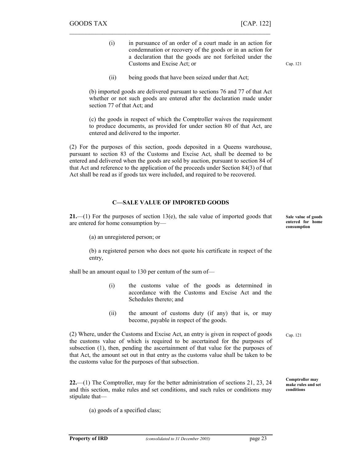- (i) in pursuance of an order of a court made in an action for condemnation or recovery of the goods or in an action for a declaration that the goods are not forfeited under the Customs and Excise Act; or
- (ii) being goods that have been seized under that Act;

(b) imported goods are delivered pursuant to sections 76 and 77 of that Act whether or not such goods are entered after the declaration made under section 77 of that Act; and

 $\mathcal{L}_\text{max} = \mathcal{L}_\text{max} = \mathcal{L}_\text{max} = \mathcal{L}_\text{max} = \mathcal{L}_\text{max} = \mathcal{L}_\text{max} = \mathcal{L}_\text{max} = \mathcal{L}_\text{max} = \mathcal{L}_\text{max} = \mathcal{L}_\text{max} = \mathcal{L}_\text{max} = \mathcal{L}_\text{max} = \mathcal{L}_\text{max} = \mathcal{L}_\text{max} = \mathcal{L}_\text{max} = \mathcal{L}_\text{max} = \mathcal{L}_\text{max} = \mathcal{L}_\text{max} = \mathcal{$ 

(c) the goods in respect of which the Comptroller waives the requirement to produce documents, as provided for under section 80 of that Act, are entered and delivered to the importer.

(2) For the purposes of this section, goods deposited in a Queens warehouse, pursuant to section 83 of the Customs and Excise Act, shall be deemed to be entered and delivered when the goods are sold by auction, pursuant to section 84 of that Act and reference to the application of the proceeds under Section 84(3) of that Act shall be read as if goods tax were included, and required to be recovered.

#### C—SALE VALUE OF IMPORTED GOODS

**21.**—(1) For the purposes of section 13(e), the sale value of imported goods that are entered for home consumption by—

(a) an unregistered person; or

(b) a registered person who does not quote his certificate in respect of the entry,

shall be an amount equal to 130 per centum of the sum of—

- (i) the customs value of the goods as determined in accordance with the Customs and Excise Act and the Schedules thereto; and
- (ii) the amount of customs duty (if any) that is, or may become, payable in respect of the goods.

(2) Where, under the Customs and Excise Act, an entry is given in respect of goods the customs value of which is required to be ascertained for the purposes of subsection (1), then, pending the ascertainment of that value for the purposes of that Act, the amount set out in that entry as the customs value shall be taken to be the customs value for the purposes of that subsection.

22.—(1) The Comptroller, may for the better administration of sections 21, 23, 24 and this section, make rules and set conditions, and such rules or conditions may stipulate that—

(a) goods of a specified class;

Sale value of goods entered for home consumption

Cap. 121

Cap. 121

Comptroller may make rules and set conditions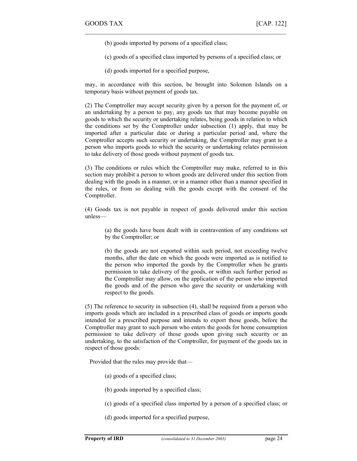- (b) goods imported by persons of a specified class;
- (c) goods of a specified class imported by persons of a specified class; or

 $\mathcal{L}_\text{max}$  , and the contract of the contract of the contract of the contract of the contract of the contract of

(d) goods imported for a specified purpose,

may, in accordance with this section, be brought into Solomon Islands on a temporary basis without payment of goods tax.

(2) The Comptroller may accept security given by a person for the payment of, or an undertaking by a person to pay, any goods tax that may become payable on goods to which the security or undertaking relates, being goods in relation to which the conditions set by the Comptroller under subsection (1) apply, that may be imported after a particular date or during a particular period and, where the Comptroller accepts such security or undertaking, the Comptroller may grant to a person who imports goods to which the security or undertaking relates permission to take delivery of those goods without payment of goods tax.

(3) The conditions or rules which the Comptroller may make, referred to in this section may prohibit a person to whom goods are delivered under this section from dealing with the goods in a manner, or in a manner other than a manner specified in the rules, or from so dealing with the goods except with the consent of the Comptroller.

(4) Goods tax is not payable in respect of goods delivered under this section unless—

(a) the goods have been dealt with in contravention of any conditions set by the Comptroller; or

(b) the goods are not exported within such period, not exceeding twelve months, after the date on which the goods were imported as is notified to the person who imported the goods by the Comptroller when he grants permission to take delivery of the goods, or within such further period as the Comptroller may allow, on the application of the person who imported the goods and of the person who gave the security or undertaking with respect to the goods.

(5) The reference to security in subsection (4), shall be required from a person who imports goods which are included in a prescribed class of goods or imports goods intended for a prescribed purpose and intends to export those goods, before the Comptroller may grant to such person who enters the goods for home consumption permission to take delivery of those goods upon giving such security or an undertaking, to the satisfaction of the Comptroller, for payment of the goods tax in respect of those goods:

Provided that the rules may provide that—

- (a) goods of a specified class;
- (b) goods imported by a specified class;
- (c) goods of a specified class imported by a person of a specified class; or
- (d) goods imported for a specified purpose,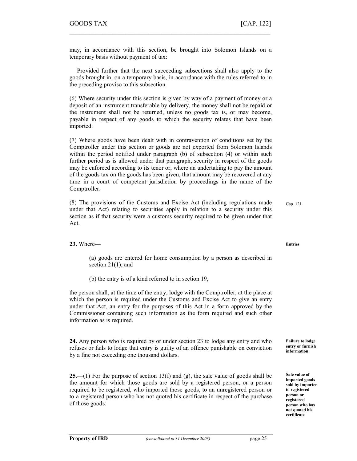may, in accordance with this section, be brought into Solomon Islands on a temporary basis without payment of tax:

 $\mathcal{L}_\text{max} = \mathcal{L}_\text{max} = \mathcal{L}_\text{max} = \mathcal{L}_\text{max} = \mathcal{L}_\text{max} = \mathcal{L}_\text{max} = \mathcal{L}_\text{max} = \mathcal{L}_\text{max} = \mathcal{L}_\text{max} = \mathcal{L}_\text{max} = \mathcal{L}_\text{max} = \mathcal{L}_\text{max} = \mathcal{L}_\text{max} = \mathcal{L}_\text{max} = \mathcal{L}_\text{max} = \mathcal{L}_\text{max} = \mathcal{L}_\text{max} = \mathcal{L}_\text{max} = \mathcal{$ 

 Provided further that the next succeeding subsections shall also apply to the goods brought in, on a temporary basis, in accordance with the rules referred to in the preceding proviso to this subsection.

(6) Where security under this section is given by way of a payment of money or a deposit of an instrument transferable by delivery, the money shall not be repaid or the instrument shall not be returned, unless no goods tax is, or may become, payable in respect of any goods to which the security relates that have been imported.

(7) Where goods have been dealt with in contravention of conditions set by the Comptroller under this section or goods are not exported from Solomon Islands within the period notified under paragraph (b) of subsection (4) or within such further period as is allowed under that paragraph, security in respect of the goods may be enforced according to its tenor or, where an undertaking to pay the amount of the goods tax on the goods has been given, that amount may be recovered at any time in a court of competent jurisdiction by proceedings in the name of the Comptroller.

(8) The provisions of the Customs and Excise Act (including regulations made under that Act) relating to securities apply in relation to a security under this section as if that security were a customs security required to be given under that Act. Cap. 121

23. Where—

(a) goods are entered for home consumption by a person as described in section  $21(1)$ ; and

(b) the entry is of a kind referred to in section 19,

the person shall, at the time of the entry, lodge with the Comptroller, at the place at which the person is required under the Customs and Excise Act to give an entry under that Act, an entry for the purposes of this Act in a form approved by the Commissioner containing such information as the form required and such other information as is required.

24. Any person who is required by or under section 23 to lodge any entry and who refuses or fails to lodge that entry is guilty of an offence punishable on conviction by a fine not exceeding one thousand dollars.

25.—(1) For the purpose of section 13(f) and  $(g)$ , the sale value of goods shall be the amount for which those goods are sold by a registered person, or a person required to be registered, who imported those goods, to an unregistered person or to a registered person who has not quoted his certificate in respect of the purchase of those goods:

Entries

Failure to lodge entry or furnish information

Sale value of imported goods sold by importer to registered person or registered person who has not quoted his certificate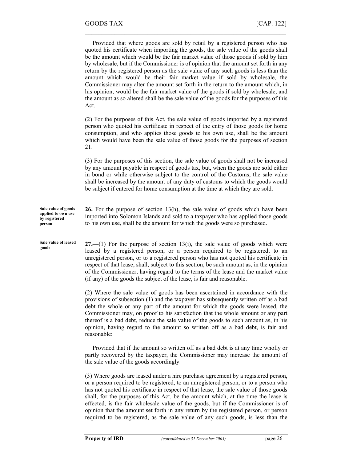Provided that where goods are sold by retail by a registered person who has quoted his certificate when importing the goods, the sale value of the goods shall be the amount which would be the fair market value of those goods if sold by him by wholesale, but if the Commissioner is of opinion that the amount set forth in any return by the registered person as the sale value of any such goods is less than the amount which would be their fair market value if sold by wholesale, the Commissioner may alter the amount set forth in the return to the amount which, in his opinion, would be the fair market value of the goods if sold by wholesale, and the amount as so altered shall be the sale value of the goods for the purposes of this Act. (2) For the purposes of this Act, the sale value of goods imported by a registered person who quoted his certificate in respect of the entry of those goods for home consumption, and who applies those goods to his own use, shall be the amount which would have been the sale value of those goods for the purposes of section 21. (3) For the purposes of this section, the sale value of goods shall not be increased by any amount payable in respect of goods tax, but, when the goods are sold either in bond or while otherwise subject to the control of the Customs, the sale value shall be increased by the amount of any duty of customs to which the goods would be subject if entered for home consumption at the time at which they are sold. 26. For the purpose of section 13(h), the sale value of goods which have been imported into Solomon Islands and sold to a taxpayer who has applied those goods to his own use, shall be the amount for which the goods were so purchased.  $27$ —(1) For the purpose of section 13(i), the sale value of goods which were leased by a registered person, or a person required to be registered, to an unregistered person, or to a registered person who has not quoted his certificate in respect of that lease, shall, subject to this section, be such amount as, in the opinion of the Commissioner, having regard to the terms of the lease and the market value (if any) of the goods the subject of the lease, is fair and reasonable. (2) Where the sale value of goods has been ascertained in accordance with the provisions of subsection (1) and the taxpayer has subsequently written off as a bad debt the whole or any part of the amount for which the goods were leased, the Commissioner may, on proof to his satisfaction that the whole amount or any part thereof is a bad debt, reduce the sale value of the goods to such amount as, in his opinion, having regard to the amount so written off as a bad debt, is fair and reasonable: Provided that if the amount so written off as a bad debt is at any time wholly or partly recovered by the taxpayer, the Commissioner may increase the amount of the sale value of the goods accordingly. (3) Where goods are leased under a hire purchase agreement by a registered person, Sale value of goods applied to own use by registered person Sale value of leased goods

 $\mathcal{L}_\text{max}$  , and the contract of the contract of the contract of the contract of the contract of the contract of

or a person required to be registered, to an unregistered person, or to a person who has not quoted his certificate in respect of that lease, the sale value of those goods shall, for the purposes of this Act, be the amount which, at the time the lease is effected, is the fair wholesale value of the goods, but if the Commissioner is of opinion that the amount set forth in any return by the registered person, or person required to be registered, as the sale value of any such goods, is less than the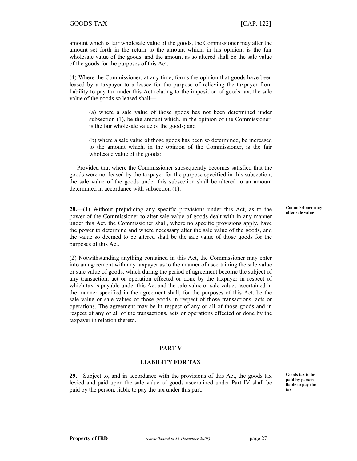amount which is fair wholesale value of the goods, the Commissioner may alter the amount set forth in the return to the amount which, in his opinion, is the fair wholesale value of the goods, and the amount as so altered shall be the sale value of the goods for the purposes of this Act.

 $\mathcal{L}_\text{max} = \mathcal{L}_\text{max} = \mathcal{L}_\text{max} = \mathcal{L}_\text{max} = \mathcal{L}_\text{max} = \mathcal{L}_\text{max} = \mathcal{L}_\text{max} = \mathcal{L}_\text{max} = \mathcal{L}_\text{max} = \mathcal{L}_\text{max} = \mathcal{L}_\text{max} = \mathcal{L}_\text{max} = \mathcal{L}_\text{max} = \mathcal{L}_\text{max} = \mathcal{L}_\text{max} = \mathcal{L}_\text{max} = \mathcal{L}_\text{max} = \mathcal{L}_\text{max} = \mathcal{$ 

(4) Where the Commissioner, at any time, forms the opinion that goods have been leased by a taxpayer to a lessee for the purpose of relieving the taxpayer from liability to pay tax under this Act relating to the imposition of goods tax, the sale value of the goods so leased shall—

(a) where a sale value of those goods has not been determined under subsection (1), be the amount which, in the opinion of the Commissioner, is the fair wholesale value of the goods; and

(b) where a sale value of those goods has been so determined, be increased to the amount which, in the opinion of the Commissioner, is the fair wholesale value of the goods:

 Provided that where the Commissioner subsequently becomes satisfied that the goods were not leased by the taxpayer for the purpose specified in this subsection, the sale value of the goods under this subsection shall be altered to an amount determined in accordance with subsection (1).

28.—(1) Without prejudicing any specific provisions under this Act, as to the power of the Commissioner to alter sale value of goods dealt with in any manner under this Act, the Commissioner shall, where no specific provisions apply, have the power to determine and where necessary alter the sale value of the goods, and the value so deemed to be altered shall be the sale value of those goods for the purposes of this Act.

(2) Notwithstanding anything contained in this Act, the Commissioner may enter into an agreement with any taxpayer as to the manner of ascertaining the sale value or sale value of goods, which during the period of agreement become the subject of any transaction, act or operation effected or done by the taxpayer in respect of which tax is payable under this Act and the sale value or sale values ascertained in the manner specified in the agreement shall, for the purposes of this Act, be the sale value or sale values of those goods in respect of those transactions, acts or operations. The agreement may be in respect of any or all of those goods and in respect of any or all of the transactions, acts or operations effected or done by the taxpayer in relation thereto.

#### PART V

#### LIABILITY FOR TAX

29.—Subject to, and in accordance with the provisions of this Act, the goods tax levied and paid upon the sale value of goods ascertained under Part IV shall be paid by the person, liable to pay the tax under this part.

Goods tax to be paid by person liable to pay the tax

Commissioner may alter sale value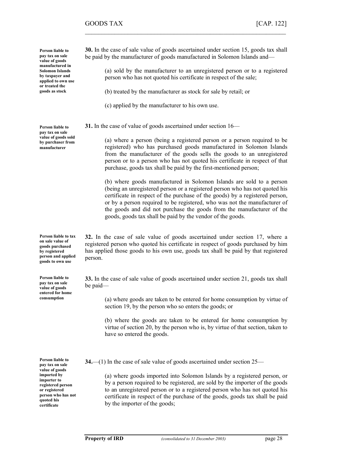Person liable to pay tax on sale value of goods manufactured in Solomon Islands by taxpayer and applied to own use or treated the goods as stock

Person liable to pay tax on sale value of goods sold by purchaser from manufacturer

Person liable to tax on sale value of goods purchased by registered person and applied goods to own use

Person liable to pay tax on sale value of goods entered for home consumption

Person liable to pay tax on sale value of goods imported by importer to registered person or registered person who has not quoted his certificate

30. In the case of sale value of goods ascertained under section 15, goods tax shall be paid by the manufacturer of goods manufactured in Solomon Islands and—

 $\mathcal{L}_\text{max}$  , and the contract of the contract of the contract of the contract of the contract of the contract of

(a) sold by the manufacturer to an unregistered person or to a registered person who has not quoted his certificate in respect of the sale;

(b) treated by the manufacturer as stock for sale by retail; or

- (c) applied by the manufacturer to his own use.
- 31. In the case of value of goods ascertained under section 16—

(a) where a person (being a registered person or a person required to be registered) who has purchased goods manufactured in Solomon Islands from the manufacturer of the goods sells the goods to an unregistered person or to a person who has not quoted his certificate in respect of that purchase, goods tax shall be paid by the first-mentioned person;

(b) where goods manufactured in Solomon Islands are sold to a person (being an unregistered person or a registered person who has not quoted his certificate in respect of the purchase of the goods) by a registered person, or by a person required to be registered, who was not the manufacturer of the goods and did not purchase the goods from the manufacturer of the goods, goods tax shall be paid by the vendor of the goods.

32. In the case of sale value of goods ascertained under section 17, where a registered person who quoted his certificate in respect of goods purchased by him has applied those goods to his own use, goods tax shall be paid by that registered person.

33. In the case of sale value of goods ascertained under section 21, goods tax shall be paid—

(a) where goods are taken to be entered for home consumption by virtue of section 19, by the person who so enters the goods; or

(b) where the goods are taken to be entered for home consumption by virtue of section 20, by the person who is, by virtue of that section, taken to have so entered the goods.

34.—(1) In the case of sale value of goods ascertained under section 25—

(a) where goods imported into Solomon Islands by a registered person, or by a person required to be registered, are sold by the importer of the goods to an unregistered person or to a registered person who has not quoted his certificate in respect of the purchase of the goods, goods tax shall be paid by the importer of the goods;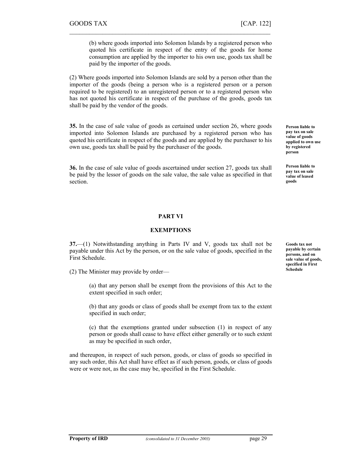(b) where goods imported into Solomon Islands by a registered person who quoted his certificate in respect of the entry of the goods for home consumption are applied by the importer to his own use, goods tax shall be paid by the importer of the goods.

(2) Where goods imported into Solomon Islands are sold by a person other than the importer of the goods (being a person who is a registered person or a person required to be registered) to an unregistered person or to a registered person who has not quoted his certificate in respect of the purchase of the goods, goods tax shall be paid by the vendor of the goods.

 $\mathcal{L}_\text{max} = \mathcal{L}_\text{max} = \mathcal{L}_\text{max} = \mathcal{L}_\text{max} = \mathcal{L}_\text{max} = \mathcal{L}_\text{max} = \mathcal{L}_\text{max} = \mathcal{L}_\text{max} = \mathcal{L}_\text{max} = \mathcal{L}_\text{max} = \mathcal{L}_\text{max} = \mathcal{L}_\text{max} = \mathcal{L}_\text{max} = \mathcal{L}_\text{max} = \mathcal{L}_\text{max} = \mathcal{L}_\text{max} = \mathcal{L}_\text{max} = \mathcal{L}_\text{max} = \mathcal{$ 

35. In the case of sale value of goods as certained under section 26, where goods imported into Solomon Islands are purchased by a registered person who has quoted his certificate in respect of the goods and are applied by the purchaser to his own use, goods tax shall be paid by the purchaser of the goods.

36. In the case of sale value of goods ascertained under section 27, goods tax shall be paid by the lessor of goods on the sale value, the sale value as specified in that section.

## PART VI

#### EXEMPTIONS

37.—(1) Notwithstanding anything in Parts IV and V, goods tax shall not be payable under this Act by the person, or on the sale value of goods, specified in the First Schedule.

(2) The Minister may provide by order—

(a) that any person shall be exempt from the provisions of this Act to the extent specified in such order;

(b) that any goods or class of goods shall be exempt from tax to the extent specified in such order;

(c) that the exemptions granted under subsection (1) in respect of any person or goods shall cease to have effect either generally or to such extent as may be specified in such order,

and thereupon, in respect of such person, goods, or class of goods so specified in any such order, this Act shall have effect as if such person, goods, or class of goods were or were not, as the case may be, specified in the First Schedule.

Person liable to pay tax on sale value of goods applied to own use by registered person

Person liable to pay tax on sale value of leased goods

Goods tax not payable by certain persons, and on sale value of goods, specified in First Schedule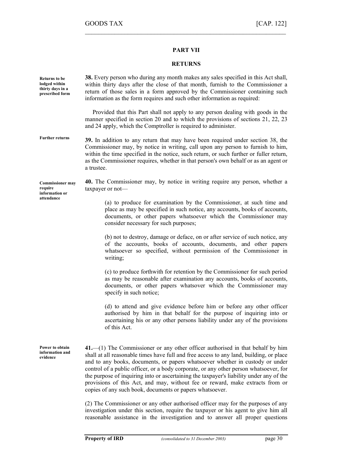### PART VII

 $\mathcal{L}_\text{max}$  , and the contract of the contract of the contract of the contract of the contract of the contract of

#### RETURNS

| Returns to be<br>lodged within<br>thirty days in a<br>prescribed form | <b>38.</b> Every person who during any month makes any sales specified in this Act shall,<br>within thirty days after the close of that month, furnish to the Commissioner a<br>return of those sales in a form approved by the Commissioner containing such<br>information as the form requires and such other information as required:                                                                                                                                                                                                                                                       |
|-----------------------------------------------------------------------|------------------------------------------------------------------------------------------------------------------------------------------------------------------------------------------------------------------------------------------------------------------------------------------------------------------------------------------------------------------------------------------------------------------------------------------------------------------------------------------------------------------------------------------------------------------------------------------------|
|                                                                       | Provided that this Part shall not apply to any person dealing with goods in the<br>manner specified in section 20 and to which the provisions of sections 21, 22, 23<br>and 24 apply, which the Comptroller is required to administer.                                                                                                                                                                                                                                                                                                                                                         |
| <b>Further returns</b>                                                | 39. In addition to any return that may have been required under section 38, the<br>Commissioner may, by notice in writing, call upon any person to furnish to him,<br>within the time specified in the notice, such return, or such further or fuller return,<br>as the Commissioner requires, whether in that person's own behalf or as an agent or<br>a trustee.                                                                                                                                                                                                                             |
| <b>Commissioner may</b><br>require<br>information or                  | 40. The Commissioner may, by notice in writing require any person, whether a<br>taxpayer or not-                                                                                                                                                                                                                                                                                                                                                                                                                                                                                               |
| attendance                                                            | (a) to produce for examination by the Commissioner, at such time and<br>place as may be specified in such notice, any accounts, books of accounts,<br>documents, or other papers whatsoever which the Commissioner may<br>consider necessary for such purposes;                                                                                                                                                                                                                                                                                                                                |
|                                                                       | (b) not to destroy, damage or deface, on or after service of such notice, any<br>of the accounts, books of accounts, documents, and other papers<br>whatsoever so specified, without permission of the Commissioner in<br>writing;                                                                                                                                                                                                                                                                                                                                                             |
|                                                                       | (c) to produce forthwith for retention by the Commissioner for such period<br>as may be reasonable after examination any accounts, books of accounts,<br>documents, or other papers whatsover which the Commissioner may<br>specify in such notice;                                                                                                                                                                                                                                                                                                                                            |
|                                                                       | (d) to attend and give evidence before him or before any other officer<br>authorised by him in that behalf for the purpose of inquiring into or<br>ascertaining his or any other persons liability under any of the provisions<br>of this Act.                                                                                                                                                                                                                                                                                                                                                 |
| Power to obtain<br>information and<br>evidence                        | $41$ . (1) The Commissioner or any other officer authorised in that behalf by him<br>shall at all reasonable times have full and free access to any land, building, or place<br>and to any books, documents, or papers whatsoever whether in custody or under<br>control of a public officer, or a body corporate, or any other person whatsoever, for<br>the purpose of inquiring into or ascertaining the taxpayer's liability under any of the<br>provisions of this Act, and may, without fee or reward, make extracts from or<br>copies of any such book, documents or papers whatsoever. |
|                                                                       | (2) The Commissioner or any other authorised officer may for the purposes of any<br>investigation under this section, require the taxpayer or his agent to give him all                                                                                                                                                                                                                                                                                                                                                                                                                        |

reasonable assistance in the investigation and to answer all proper questions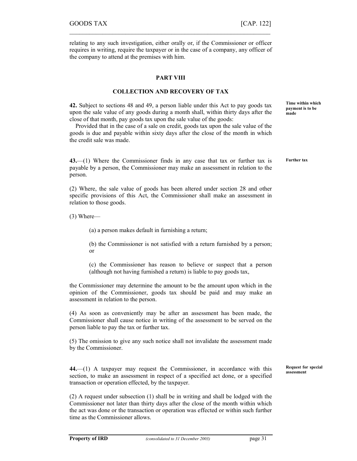$\mathcal{L}_\text{max} = \mathcal{L}_\text{max} = \mathcal{L}_\text{max} = \mathcal{L}_\text{max} = \mathcal{L}_\text{max} = \mathcal{L}_\text{max} = \mathcal{L}_\text{max} = \mathcal{L}_\text{max} = \mathcal{L}_\text{max} = \mathcal{L}_\text{max} = \mathcal{L}_\text{max} = \mathcal{L}_\text{max} = \mathcal{L}_\text{max} = \mathcal{L}_\text{max} = \mathcal{L}_\text{max} = \mathcal{L}_\text{max} = \mathcal{L}_\text{max} = \mathcal{L}_\text{max} = \mathcal{$ 

#### PART VIII

#### COLLECTION AND RECOVERY OF TAX

42. Subject to sections 48 and 49, a person liable under this Act to pay goods tax upon the sale value of any goods during a month shall, within thirty days after the close of that month, pay goods tax upon the sale value of the goods:

 Provided that in the case of a sale on credit, goods tax upon the sale value of the goods is due and payable within sixty days after the close of the month in which the credit sale was made.

43.—(1) Where the Commissioner finds in any case that tax or further tax is payable by a person, the Commissioner may make an assessment in relation to the person.

(2) Where, the sale value of goods has been altered under section 28 and other specific provisions of this Act, the Commissioner shall make an assessment in relation to those goods.

(3) Where—

(a) a person makes default in furnishing a return;

(b) the Commissioner is not satisfied with a return furnished by a person; or

(c) the Commissioner has reason to believe or suspect that a person (although not having furnished a return) is liable to pay goods tax,

the Commissioner may determine the amount to be the amount upon which in the opinion of the Commissioner, goods tax should be paid and may make an assessment in relation to the person.

(4) As soon as conveniently may be after an assessment has been made, the Commissioner shall cause notice in writing of the assessment to be served on the person liable to pay the tax or further tax.

(5) The omission to give any such notice shall not invalidate the assessment made by the Commissioner.

44.—(1) A taxpayer may request the Commissioner, in accordance with this section, to make an assessment in respect of a specified act done, or a specified transaction or operation effected, by the taxpayer.

(2) A request under subsection (1) shall be in writing and shall be lodged with the Commissioner not later than thirty days after the close of the month within which the act was done or the transaction or operation was effected or within such further time as the Commissioner allows.

Time within which payment is to be made

Further tax

Request for special assessment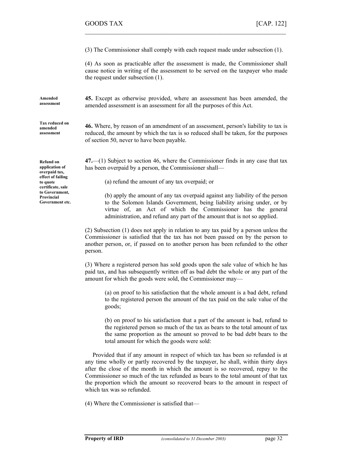(3) The Commissioner shall comply with each request made under subsection (1).

 $\mathcal{L}_\text{max}$  , and the contract of the contract of the contract of the contract of the contract of the contract of

(4) As soon as practicable after the assessment is made, the Commissioner shall cause notice in writing of the assessment to be served on the taxpayer who made the request under subsection (1).

45. Except as otherwise provided, where an assessment has been amended, the

amended assessment is an assessment for all the purposes of this Act.

Amended assessment

Tax reduced on amended assessment

46. Where, by reason of an amendment of an assessment, person's liability to tax is reduced, the amount by which the tax is so reduced shall be taken, for the purposes of section 50, never to have been payable.

47.—(1) Subject to section 46, where the Commissioner finds in any case that tax has been overpaid by a person, the Commissioner shall—

(a) refund the amount of any tax overpaid; or

(b) apply the amount of any tax overpaid against any liability of the person to the Solomon Islands Government, being liability arising under, or by virtue of, an Act of which the Commissioner has the general administration, and refund any part of the amount that is not so applied.

(2) Subsection (1) does not apply in relation to any tax paid by a person unless the Commissioner is satisfied that the tax has not been passed on by the person to another person, or, if passed on to another person has been refunded to the other person.

(3) Where a registered person has sold goods upon the sale value of which he has paid tax, and has subsequently written off as bad debt the whole or any part of the amount for which the goods were sold, the Commissioner may—

(a) on proof to his satisfaction that the whole amount is a bad debt, refund to the registered person the amount of the tax paid on the sale value of the goods;

(b) on proof to his satisfaction that a part of the amount is bad, refund to the registered person so much of the tax as bears to the total amount of tax the same proportion as the amount so proved to be bad debt bears to the total amount for which the goods were sold:

 Provided that if any amount in respect of which tax has been so refunded is at any time wholly or partly recovered by the taxpayer, he shall, within thirty days after the close of the month in which the amount is so recovered, repay to the Commissioner so much of the tax refunded as bears to the total amount of that tax the proportion which the amount so recovered bears to the amount in respect of which tax was so refunded.

(4) Where the Commissioner is satisfied that—

Refund on application of overpaid tax, effect of failing to quote certificate, sale to Government, Provincial Government etc.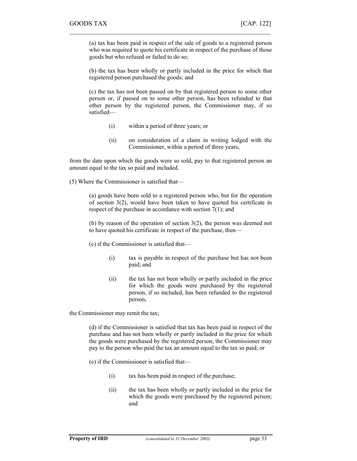(a) tax has been paid in respect of the sale of goods to a registered person who was required to quote his certificate in respect of the purchase of those goods but who refused or failed to do so;

 $\mathcal{L}_\text{max} = \mathcal{L}_\text{max} = \mathcal{L}_\text{max} = \mathcal{L}_\text{max} = \mathcal{L}_\text{max} = \mathcal{L}_\text{max} = \mathcal{L}_\text{max} = \mathcal{L}_\text{max} = \mathcal{L}_\text{max} = \mathcal{L}_\text{max} = \mathcal{L}_\text{max} = \mathcal{L}_\text{max} = \mathcal{L}_\text{max} = \mathcal{L}_\text{max} = \mathcal{L}_\text{max} = \mathcal{L}_\text{max} = \mathcal{L}_\text{max} = \mathcal{L}_\text{max} = \mathcal{$ 

(b) the tax has been wholly or partly included in the price for which that registered person purchased the goods; and

(c) the tax has not been passed on by that registered person to some other person or, if passed on to some other person, has been refunded to that other person by the registered person, the Commissioner may, if so satisfied—

- (i) within a period of three years; or
- (ii) on consideration of a claim in writing lodged with the Commissioner, within a period of three years,

from the date upon which the goods were so sold, pay to that registered person an amount equal to the tax so paid and included.

(5) Where the Commissioner is satisfied that—

(a) goods have been sold to a registered person who, but for the operation of section 3(2), would have been taken to have quoted his certificate in respect of the purchase in accordance with section 7(1); and

(b) by reason of the operation of section 3(2), the person was deemed not to have quoted his certificate in respect of the purchase, then—

(c) if the Commissioner is satisfied that—

- (i) tax is payable in respect of the purchase but has not been paid; and
- (ii) the tax has not been wholly or partly included in the price for which the goods were purchased by the registered person, if so included, has been refunded to the registered person,

the Commissioner may remit the tax;

(d) if the Commissioner is satisfied that tax has been paid in respect of the purchase and has not been wholly or partly included in the price for which the goods were purchased by the registered person, the Commissioner may pay to the person who paid the tax an amount equal to the tax so paid; or

(e) if the Commissioner is satisfied that—

- (i) tax has been paid in respect of the purchase;
- (ii) the tax has been wholly or partly included in the price for which the goods were purchased by the registered person; and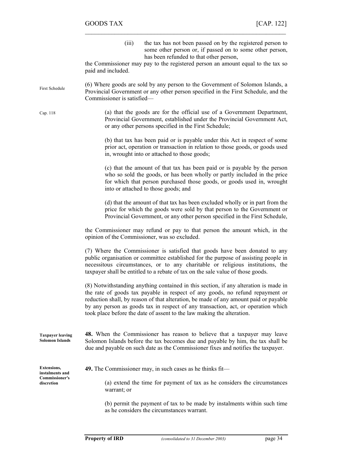| (iii) | the tax has not been passed on by the registered person to |
|-------|------------------------------------------------------------|
|       | some other person or, if passed on to some other person,   |
|       | has been refunded to that other person,                    |

the Commissioner may pay to the registered person an amount equal to the tax so paid and included.

 $\mathcal{L}_\text{max}$  , and the contract of the contract of the contract of the contract of the contract of the contract of

(6) Where goods are sold by any person to the Government of Solomon Islands, a Provincial Government or any other person specified in the First Schedule, and the Commissioner is satisfied— First Schedule

Cap. 118

(a) that the goods are for the official use of a Government Department, Provincial Government, established under the Provincial Government Act, or any other persons specified in the First Schedule;

(b) that tax has been paid or is payable under this Act in respect of some prior act, operation or transaction in relation to those goods, or goods used in, wrought into or attached to those goods;

(c) that the amount of that tax has been paid or is payable by the person who so sold the goods, or has been wholly or partly included in the price for which that person purchased those goods, or goods used in, wrought into or attached to those goods; and

(d) that the amount of that tax has been excluded wholly or in part from the price for which the goods were sold by that person to the Government or Provincial Government, or any other person specified in the First Schedule,

the Commissioner may refund or pay to that person the amount which, in the opinion of the Commissioner, was so excluded.

(7) Where the Commissioner is satisfied that goods have been donated to any public organisation or committee established for the purpose of assisting people in necessitous circumstances, or to any charitable or religious institutions, the taxpayer shall be entitled to a rebate of tax on the sale value of those goods.

(8) Notwithstanding anything contained in this section, if any alteration is made in the rate of goods tax payable in respect of any goods, no refund repayment or reduction shall, by reason of that alteration, be made of any amount paid or payable by any person as goods tax in respect of any transaction, act, or operation which took place before the date of assent to the law making the alteration.

48. When the Commissioner has reason to believe that a taxpayer may leave Solomon Islands before the tax becomes due and payable by him, the tax shall be due and payable on such date as the Commissioner fixes and notifies the taxpayer. Taxpayer leaving Solomon Islands

Extensions, instalments and Commissioner's discretion

49. The Commissioner may, in such cases as he thinks fit—

(a) extend the time for payment of tax as he considers the circumstances warrant; or

(b) permit the payment of tax to be made by instalments within such time as he considers the circumstances warrant.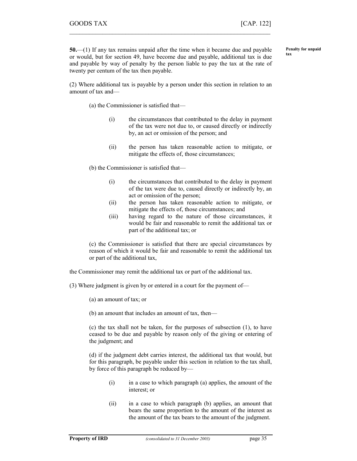Penalty for unpaid

tax

50.—(1) If any tax remains unpaid after the time when it became due and payable or would, but for section 49, have become due and payable, additional tax is due and payable by way of penalty by the person liable to pay the tax at the rate of twenty per centum of the tax then payable.

 $\mathcal{L}_\text{max} = \mathcal{L}_\text{max} = \mathcal{L}_\text{max} = \mathcal{L}_\text{max} = \mathcal{L}_\text{max} = \mathcal{L}_\text{max} = \mathcal{L}_\text{max} = \mathcal{L}_\text{max} = \mathcal{L}_\text{max} = \mathcal{L}_\text{max} = \mathcal{L}_\text{max} = \mathcal{L}_\text{max} = \mathcal{L}_\text{max} = \mathcal{L}_\text{max} = \mathcal{L}_\text{max} = \mathcal{L}_\text{max} = \mathcal{L}_\text{max} = \mathcal{L}_\text{max} = \mathcal{$ 

(2) Where additional tax is payable by a person under this section in relation to an amount of tax and—

(a) the Commissioner is satisfied that—

- (i) the circumstances that contributed to the delay in payment of the tax were not due to, or caused directly or indirectly by, an act or omission of the person; and
- (ii) the person has taken reasonable action to mitigate, or mitigate the effects of, those circumstances;

(b) the Commissioner is satisfied that—

- (i) the circumstances that contributed to the delay in payment of the tax were due to, caused directly or indirectly by, an act or omission of the person;
- (ii) the person has taken reasonable action to mitigate, or mitigate the effects of, those circumstances; and
- (iii) having regard to the nature of those circumstances, it would be fair and reasonable to remit the additional tax or part of the additional tax; or

(c) the Commissioner is satisfied that there are special circumstances by reason of which it would be fair and reasonable to remit the additional tax or part of the additional tax,

- the Commissioner may remit the additional tax or part of the additional tax.
- (3) Where judgment is given by or entered in a court for the payment of—
	- (a) an amount of tax; or
	- (b) an amount that includes an amount of tax, then—

(c) the tax shall not be taken, for the purposes of subsection (1), to have ceased to be due and payable by reason only of the giving or entering of the judgment; and

(d) if the judgment debt carries interest, the additional tax that would, but for this paragraph, be payable under this section in relation to the tax shall, by force of this paragraph be reduced by—

- (i) in a case to which paragraph (a) applies, the amount of the interest; or
- (ii) in a case to which paragraph (b) applies, an amount that bears the same proportion to the amount of the interest as the amount of the tax bears to the amount of the judgment.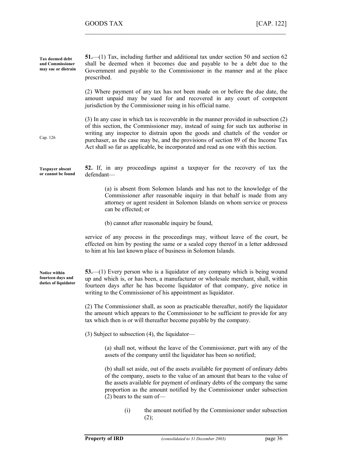51.—(1) Tax, including further and additional tax under section 50 and section 62 shall be deemed when it becomes due and payable to be a debt due to the Government and payable to the Commissioner in the manner and at the place prescribed. (2) Where payment of any tax has not been made on or before the due date, the amount unpaid may be sued for and recovered in any court of competent jurisdiction by the Commissioner suing in his official name. (3) In any case in which tax is recoverable in the manner provided in subsection (2) of this section, the Commissioner may, instead of suing for such tax authorise in writing any inspector to distrain upon the goods and chattels of the vendor or purchaser, as the case may be, and the provisions of section 89 of the Income Tax Act shall so far as applicable, be incorporated and read as one with this section. 52. If, in any proceedings against a taxpayer for the recovery of tax the defendant— (a) is absent from Solomon Islands and has not to the knowledge of the Commissioner after reasonable inquiry in that behalf is made from any attorney or agent resident in Solomon Islands on whom service or process can be effected; or (b) cannot after reasonable inquiry be found, service of any process in the proceedings may, without leave of the court, be effected on him by posting the same or a sealed copy thereof in a letter addressed to him at his last known place of business in Solomon Islands. 53.—(1) Every person who is a liquidator of any company which is being wound up and which is, or has been, a manufacturer or wholesale merchant, shall, within fourteen days after he has become liquidator of that company, give notice in writing to the Commissioner of his appointment as liquidator. (2) The Commissioner shall, as soon as practicable thereafter, notify the liquidator the amount which appears to the Commissioner to be sufficient to provide for any tax which then is or will thereafter become payable by the company. (3) Subject to subsection (4), the liquidator— (a) shall not, without the leave of the Commissioner, part with any of the assets of the company until the liquidator has been so notified; (b) shall set aside, out of the assets available for payment of ordinary debts of the company, assets to the value of an amount that bears to the value of the assets available for payment of ordinary debts of the company the same proportion as the amount notified by the Commissioner under subsection (2) bears to the sum of— (i) the amount notified by the Commissioner under subsection  $(2)$ ; Tax deemed debt and Commissioner may sue or distrain Cap. 126 Taxpayer absent or cannot be found Notice within fourteen days and duties of liquidator

 $\mathcal{L}_\text{max}$  , and the contract of the contract of the contract of the contract of the contract of the contract of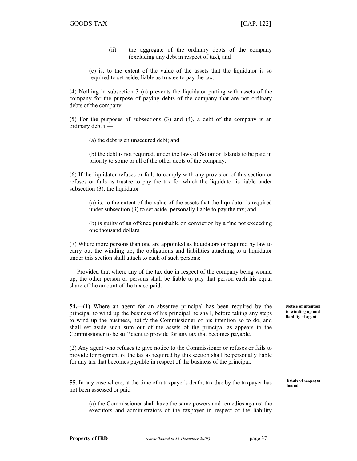(ii) the aggregate of the ordinary debts of the company (excluding any debt in respect of tax), and

(c) is, to the extent of the value of the assets that the liquidator is so required to set aside, liable as trustee to pay the tax.

(4) Nothing in subsection 3 (a) prevents the liquidator parting with assets of the company for the purpose of paying debts of the company that are not ordinary debts of the company.

 $\mathcal{L}_\text{max} = \mathcal{L}_\text{max} = \mathcal{L}_\text{max} = \mathcal{L}_\text{max} = \mathcal{L}_\text{max} = \mathcal{L}_\text{max} = \mathcal{L}_\text{max} = \mathcal{L}_\text{max} = \mathcal{L}_\text{max} = \mathcal{L}_\text{max} = \mathcal{L}_\text{max} = \mathcal{L}_\text{max} = \mathcal{L}_\text{max} = \mathcal{L}_\text{max} = \mathcal{L}_\text{max} = \mathcal{L}_\text{max} = \mathcal{L}_\text{max} = \mathcal{L}_\text{max} = \mathcal{$ 

(5) For the purposes of subsections (3) and (4), a debt of the company is an ordinary debt if—

(a) the debt is an unsecured debt; and

(b) the debt is not required, under the laws of Solomon Islands to be paid in priority to some or all of the other debts of the company.

(6) If the liquidator refuses or fails to comply with any provision of this section or refuses or fails as trustee to pay the tax for which the liquidator is liable under subsection (3), the liquidator—

(a) is, to the extent of the value of the assets that the liquidator is required under subsection (3) to set aside, personally liable to pay the tax; and

(b) is guilty of an offence punishable on conviction by a fine not exceeding one thousand dollars.

(7) Where more persons than one are appointed as liquidators or required by law to carry out the winding up, the obligations and liabilities attaching to a liquidator under this section shall attach to each of such persons:

 Provided that where any of the tax due in respect of the company being wound up, the other person or persons shall be liable to pay that person each his equal share of the amount of the tax so paid.

54.—(1) Where an agent for an absentee principal has been required by the principal to wind up the business of his principal he shall, before taking any steps to wind up the business, notify the Commissioner of his intention so to do, and shall set aside such sum out of the assets of the principal as appears to the Commissioner to be sufficient to provide for any tax that becomes payable.

(2) Any agent who refuses to give notice to the Commissioner or refuses or fails to provide for payment of the tax as required by this section shall be personally liable for any tax that becomes payable in respect of the business of the principal.

55. In any case where, at the time of a taxpayer's death, tax due by the taxpayer has not been assessed or paid—

(a) the Commissioner shall have the same powers and remedies against the executors and administrators of the taxpayer in respect of the liability Notice of intention to winding up and liability of agent

Estate of taxpayer bound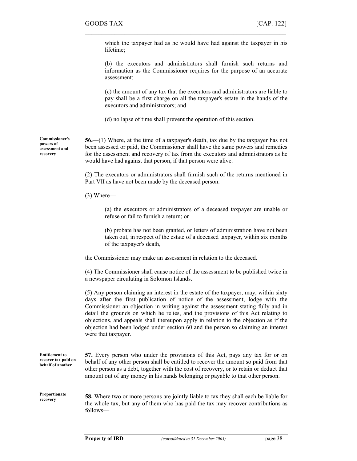which the taxpayer had as he would have had against the taxpayer in his lifetime;

 $\mathcal{L}_\text{max}$  , and the contract of the contract of the contract of the contract of the contract of the contract of

(b) the executors and administrators shall furnish such returns and information as the Commissioner requires for the purpose of an accurate assessment;

(c) the amount of any tax that the executors and administrators are liable to pay shall be a first charge on all the taxpayer's estate in the hands of the executors and administrators; and

(d) no lapse of time shall prevent the operation of this section.

56.—(1) Where, at the time of a taxpayer's death, tax due by the taxpayer has not been assessed or paid, the Commissioner shall have the same powers and remedies for the assessment and recovery of tax from the executors and administrators as he would have had against that person, if that person were alive. Commissioner's assessment and

> (2) The executors or administrators shall furnish such of the returns mentioned in Part VII as have not been made by the deceased person.

(3) Where—

powers of

recovery

(a) the executors or administrators of a deceased taxpayer are unable or refuse or fail to furnish a return; or

(b) probate has not been granted, or letters of administration have not been taken out, in respect of the estate of a deceased taxpayer, within six months of the taxpayer's death,

the Commissioner may make an assessment in relation to the deceased.

(4) The Commissioner shall cause notice of the assessment to be published twice in a newspaper circulating in Solomon Islands.

(5) Any person claiming an interest in the estate of the taxpayer, may, within sixty days after the first publication of notice of the assessment, lodge with the Commissioner an objection in writing against the assessment stating fully and in detail the grounds on which he relies, and the provisions of this Act relating to objections, and appeals shall thereupon apply in relation to the objection as if the objection had been lodged under section 60 and the person so claiming an interest were that taxpayer.

| <b>Entitlement to</b><br>recover tax paid on<br>behalf of another | 57. Every person who under the provisions of this Act, pays any tax for or on<br>behalf of any other person shall be entitled to recover the amount so paid from that<br>other person as a debt, together with the cost of recovery, or to retain or deduct that<br>amount out of any money in his hands belonging or payable to that other person. |
|-------------------------------------------------------------------|-----------------------------------------------------------------------------------------------------------------------------------------------------------------------------------------------------------------------------------------------------------------------------------------------------------------------------------------------------|
| Proportionate                                                     | <b>58.</b> Where two or more persons are jointly liable to tax they shall each be liable for                                                                                                                                                                                                                                                        |
| recovery                                                          | the whole tax but any of them who has noid the tax may reagy contributions as                                                                                                                                                                                                                                                                       |

the whole tax, but any of them who has paid the tax may recover contributions as follows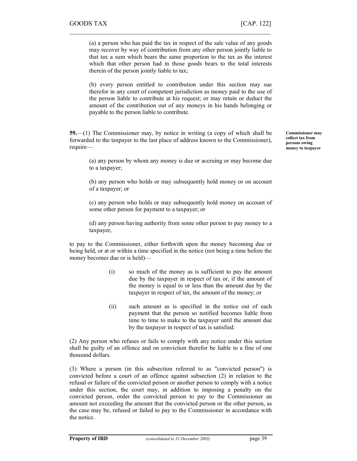(a) a person who has paid the tax in respect of the sale value of any goods may recover by way of contribution from any other person jointly liable to that tax a sum which bears the same proportion to the tax as the interest which that other person had in those goods bears to the total interests therein of the person jointly liable to tax;

 $\mathcal{L}_\text{max} = \mathcal{L}_\text{max} = \mathcal{L}_\text{max} = \mathcal{L}_\text{max} = \mathcal{L}_\text{max} = \mathcal{L}_\text{max} = \mathcal{L}_\text{max} = \mathcal{L}_\text{max} = \mathcal{L}_\text{max} = \mathcal{L}_\text{max} = \mathcal{L}_\text{max} = \mathcal{L}_\text{max} = \mathcal{L}_\text{max} = \mathcal{L}_\text{max} = \mathcal{L}_\text{max} = \mathcal{L}_\text{max} = \mathcal{L}_\text{max} = \mathcal{L}_\text{max} = \mathcal{$ 

(b) every person entitled to contribution under this section may sue therefor in any court of competent jurisdiction as money paid to the use of the person liable to contribute at his request; or may retain or deduct the amount of the contribution out of any moneys in his hands belonging or payable to the person liable to contribute.

59.—(1) The Commissioner may, by notice in writing (a copy of which shall be forwarded to the taxpayer to the last place of address known to the Commissioner), require—

(a) any person by whom any money is due or accruing or may become due to a taxpayer;

(b) any person who holds or may subsequently hold money or on account of a taxpayer; or

(c) any person who holds or may subsequently hold money on account of some other person for payment to a taxpayer; or

(d) any person having authority from some other person to pay money to a taxpayer,

to pay to the Commissioner, either forthwith upon the money becoming due or being held, or at or within a time specified in the notice (not being a time before the money becomes due or is held)—

- (i) so much of the money as is sufficient to pay the amount due by the taxpayer in respect of tax or, if the amount of the money is equal to or less than the amount due by the taxpayer in respect of tax, the amount of the money; or
- (ii) such amount as is specified in the notice out of each payment that the person so notified becomes liable from time to time to make to the taxpayer until the amount due by the taxpayer in respect of tax is satisfied.

(2) Any person who refuses or fails to comply with any notice under this section shall be guilty of an offence and on conviction therefor be liable to a fine of one thousand dollars.

(3) Where a person (in this subsection referred to as "convicted person") is convicted before a court of an offence against subsection (2) in relation to the refusal or failure of the convicted person or another person to comply with a notice under this section, the court may, in addition to imposing a penalty on the convicted person, order the convicted person to pay to the Commissioner an amount not exceeding the amount that the convicted person or the other person, as the case may be, refused or failed to pay to the Commissioner in accordance with the notice.

Commissioner may collect tax from persons owing money to taxpayer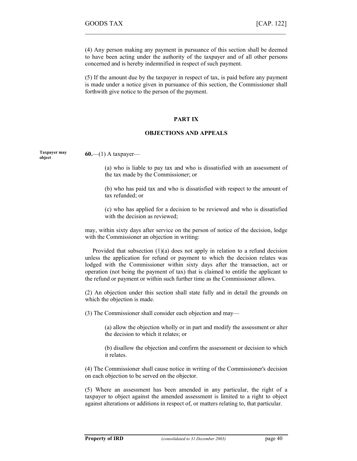(4) Any person making any payment in pursuance of this section shall be deemed to have been acting under the authority of the taxpayer and of all other persons concerned and is hereby indemnified in respect of such payment.

 $\mathcal{L}_\text{max}$  , and the contract of the contract of the contract of the contract of the contract of the contract of

(5) If the amount due by the taxpayer in respect of tax, is paid before any payment is made under a notice given in pursuance of this section, the Commissioner shall forthwith give notice to the person of the payment.

## PART IX

### OBJECTIONS AND APPEALS

Taxpayer may object

 $60$ —(1) A taxpayer—

(a) who is liable to pay tax and who is dissatisfied with an assessment of the tax made by the Commissioner; or

(b) who has paid tax and who is dissatisfied with respect to the amount of tax refunded; or

(c) who has applied for a decision to be reviewed and who is dissatisfied with the decision as reviewed:

may, within sixty days after service on the person of notice of the decision, lodge with the Commissioner an objection in writing:

 Provided that subsection (1)(a) does not apply in relation to a refund decision unless the application for refund or payment to which the decision relates was lodged with the Commissioner within sixty days after the transaction, act or operation (not being the payment of tax) that is claimed to entitle the applicant to the refund or payment or within such further time as the Commissioner allows.

(2) An objection under this section shall state fully and in detail the grounds on which the objection is made.

(3) The Commissioner shall consider each objection and may—

(a) allow the objection wholly or in part and modify the assessment or alter the decision to which it relates; or

(b) disallow the objection and confirm the assessment or decision to which it relates.

(4) The Commissioner shall cause notice in writing of the Commissioner's decision on each objection to be served on the objector.

(5) Where an assessment has been amended in any particular, the right of a taxpayer to object against the amended assessment is limited to a right to object against alterations or additions in respect of, or matters relating to, that particular.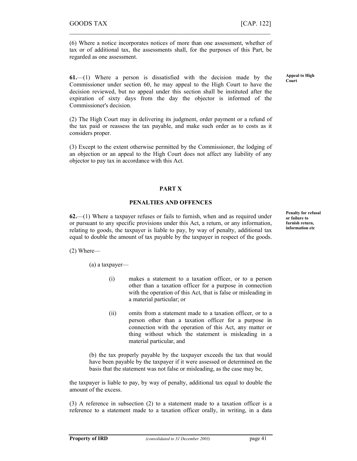(6) Where a notice incorporates notices of more than one assessment, whether of tax or of additional tax, the assessments shall, for the purposes of this Part, be regarded as one assessment.

 $\mathcal{L}_\text{max} = \mathcal{L}_\text{max} = \mathcal{L}_\text{max} = \mathcal{L}_\text{max} = \mathcal{L}_\text{max} = \mathcal{L}_\text{max} = \mathcal{L}_\text{max} = \mathcal{L}_\text{max} = \mathcal{L}_\text{max} = \mathcal{L}_\text{max} = \mathcal{L}_\text{max} = \mathcal{L}_\text{max} = \mathcal{L}_\text{max} = \mathcal{L}_\text{max} = \mathcal{L}_\text{max} = \mathcal{L}_\text{max} = \mathcal{L}_\text{max} = \mathcal{L}_\text{max} = \mathcal{$ 

61.—(1) Where a person is dissatisfied with the decision made by the Commissioner under section 60, he may appeal to the High Court to have the decision reviewed, but no appeal under this section shall be instituted after the expiration of sixty days from the day the objector is informed of the Commissioner's decision.

(2) The High Court may in delivering its judgment, order payment or a refund of the tax paid or reassess the tax payable, and make such order as to costs as it considers proper.

(3) Except to the extent otherwise permitted by the Commissioner, the lodging of an objection or an appeal to the High Court does not affect any liability of any objector to pay tax in accordance with this Act.

# PART X

## PENALTIES AND OFFENCES

62.—(1) Where a taxpayer refuses or fails to furnish, when and as required under or pursuant to any specific provisions under this Act, a return, or any information, relating to goods, the taxpayer is liable to pay, by way of penalty, additional tax equal to double the amount of tax payable by the taxpayer in respect of the goods.

(2) Where—

(a) a taxpayer—

- (i) makes a statement to a taxation officer, or to a person other than a taxation officer for a purpose in connection with the operation of this Act, that is false or misleading in a material particular; or
- (ii) omits from a statement made to a taxation officer, or to a person other than a taxation officer for a purpose in connection with the operation of this Act, any matter or thing without which the statement is misleading in a material particular, and

(b) the tax properly payable by the taxpayer exceeds the tax that would have been payable by the taxpayer if it were assessed or determined on the basis that the statement was not false or misleading, as the case may be,

the taxpayer is liable to pay, by way of penalty, additional tax equal to double the amount of the excess.

(3) A reference in subsection (2) to a statement made to a taxation officer is a reference to a statement made to a taxation officer orally, in writing, in a data Penalty for refusal or failure to furnish return, information etc

Appeal to High Court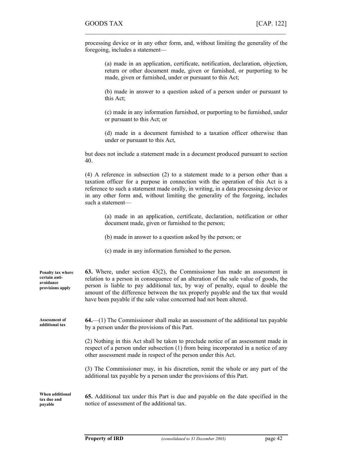processing device or in any other form, and, without limiting the generality of the foregoing, includes a statement—

 $\mathcal{L}_\text{max}$  , and the contract of the contract of the contract of the contract of the contract of the contract of

(a) made in an application, certificate, notification, declaration, objection, return or other document made, given or furnished, or purporting to be made, given or furnished, under or pursuant to this Act;

(b) made in answer to a question asked of a person under or pursuant to this Act;

(c) made in any information furnished, or purporting to be furnished, under or pursuant to this Act; or

(d) made in a document furnished to a taxation officer otherwise than under or pursuant to this Act,

but does not include a statement made in a document produced pursuant to section 40.

(4) A reference in subsection (2) to a statement made to a person other than a taxation officer for a purpose in connection with the operation of this Act is a reference to such a statement made orally, in writing, in a data processing device or in any other form and, without limiting the generality of the forgoing, includes such a statement—

(a) made in an application, certificate, declaration, notification or other document made, given or furnished to the person;

- (b) made in answer to a question asked by the person; or
- (c) made in any information furnished to the person.

| Penalty tax where<br>certain anti-<br>avoidance<br>provisions apply | 63. Where, under section $43(2)$ , the Commissioner has made an assessment in<br>relation to a person in consequence of an alteration of the sale value of goods, the<br>person is liable to pay additional tax, by way of penalty, equal to double the<br>amount of the difference between the tax properly payable and the tax that would<br>have been payable if the sale value concerned had not been altered. |
|---------------------------------------------------------------------|--------------------------------------------------------------------------------------------------------------------------------------------------------------------------------------------------------------------------------------------------------------------------------------------------------------------------------------------------------------------------------------------------------------------|
| <b>Assessment of</b><br>additional tax                              | $64$ . $-$ (1) The Commissioner shall make an assessment of the additional tax payable<br>by a person under the provisions of this Part.                                                                                                                                                                                                                                                                           |
|                                                                     | (2) Nothing in this Act shall be taken to preclude notice of an assessment made in<br>respect of a person under subsection (1) from being incorporated in a notice of any<br>other assessment made in respect of the person under this Act.                                                                                                                                                                        |
|                                                                     | (3) The Commissioner may, in his discretion, remit the whole or any part of the<br>additional tax payable by a person under the provisions of this Part.                                                                                                                                                                                                                                                           |
| When additional<br>tax due and<br>payable                           | 65. Additional tax under this Part is due and payable on the date specified in the<br>notice of assessment of the additional tax.                                                                                                                                                                                                                                                                                  |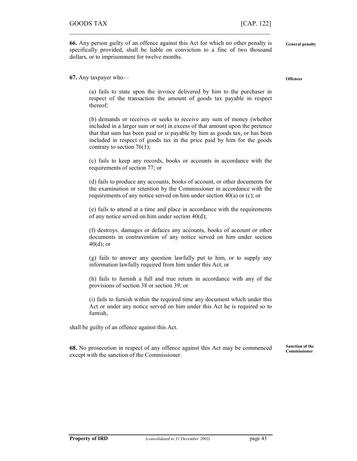66. Any person guilty of an offence against this Act for which no other penalty is specifically provided, shall be liable on conviction to a fine of two thousand dollars, or to imprisonment for twelve months.

 $\mathcal{L}_\text{max} = \mathcal{L}_\text{max} = \mathcal{L}_\text{max} = \mathcal{L}_\text{max} = \mathcal{L}_\text{max} = \mathcal{L}_\text{max} = \mathcal{L}_\text{max} = \mathcal{L}_\text{max} = \mathcal{L}_\text{max} = \mathcal{L}_\text{max} = \mathcal{L}_\text{max} = \mathcal{L}_\text{max} = \mathcal{L}_\text{max} = \mathcal{L}_\text{max} = \mathcal{L}_\text{max} = \mathcal{L}_\text{max} = \mathcal{L}_\text{max} = \mathcal{L}_\text{max} = \mathcal{$ 

67. Any taxpayer who—

(a) fails to state upon the invoice delivered by him to the purchaser in respect of the transaction the amount of goods tax payable in respect thereof;

(b) demands or receives or seeks to receive any sum of money (whether included in a larger sum or not) in excess of that amount upon the pretence that that sum has been paid or is payable by him as goods tax, or has been included in respect of goods tax in the price paid by him for the goods contrary to section 76(1);

(c) fails to keep any records, books or accounts in accordance with the requirements of section 77; or

(d) fails to produce any accounts, books of account, or other documents for the examination or retention by the Commissioner in accordance with the requirements of any notice served on him under section 40(a) or (c); or

(e) fails to attend at a time and place in accordance with the requirements of any notice served on him under section 40(d);

(f) destroys, damages or defaces any accounts, books of account or other documents in contravention of any notice served on him under section  $40(d)$ ; or

(g) fails to answer any question lawfully put to him, or to supply any information lawfully required from him under this Act; or

(h) fails to furnish a full and true return in accordance with any of the provisions of section 38 or section 39; or

(i) fails to furnish within the required time any document which under this Act or under any notice served on him under this Act he is required so to furnish,

shall be guilty of an offence against this Act.

68. No prosecution in respect of any offence against this Act may be commenced except with the sanction of the Commissioner. Sanction of the Commissioner

**Offences** 

General penalty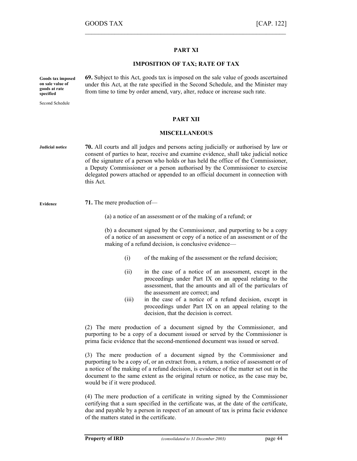## PART XI

 $\mathcal{L}_\text{max}$  , and the contract of the contract of the contract of the contract of the contract of the contract of

## IMPOSITION OF TAX; RATE OF TAX

69. Subject to this Act, goods tax is imposed on the sale value of goods ascertained under this Act, at the rate specified in the Second Schedule, and the Minister may from time to time by order amend, vary, alter, reduce or increase such rate. Goods tax imposed on sale value of goods at rate specified

Second Schedule

PART XII

#### MISCELLANEOUS

70. All courts and all judges and persons acting judicially or authorised by law or consent of parties to hear, receive and examine evidence, shall take judicial notice of the signature of a person who holds or has held the office of the Commissioner, a Deputy Commissioner or a person authorised by the Commissioner to exercise delegated powers attached or appended to an official document in connection with this Act. Judicial notice

Evidence

71. The mere production of—

(a) a notice of an assessment or of the making of a refund; or

(b) a document signed by the Commissioner, and purporting to be a copy of a notice of an assessment or copy of a notice of an assessment or of the making of a refund decision, is conclusive evidence—

- (i) of the making of the assessment or the refund decision;
- (ii) in the case of a notice of an assessment, except in the proceedings under Part IX on an appeal relating to the assessment, that the amounts and all of the particulars of the assessment are correct; and
- (iii) in the case of a notice of a refund decision, except in proceedings under Part IX on an appeal relating to the decision, that the decision is correct.

(2) The mere production of a document signed by the Commissioner, and purporting to be a copy of a document issued or served by the Commissioner is prima facie evidence that the second-mentioned document was issued or served.

(3) The mere production of a document signed by the Commissioner and purporting to be a copy of, or an extract from, a return, a notice of assessment or of a notice of the making of a refund decision, is evidence of the matter set out in the document to the same extent as the original return or notice, as the case may be, would be if it were produced.

(4) The mere production of a certificate in writing signed by the Commissioner certifying that a sum specified in the certificate was, at the date of the certificate, due and payable by a person in respect of an amount of tax is prima facie evidence of the matters stated in the certificate.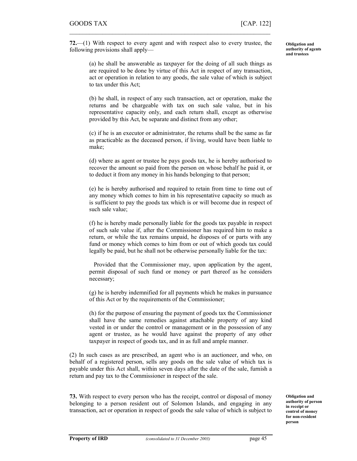72.—(1) With respect to every agent and with respect also to every trustee, the following provisions shall apply—

 $\mathcal{L}_\text{max} = \mathcal{L}_\text{max} = \mathcal{L}_\text{max} = \mathcal{L}_\text{max} = \mathcal{L}_\text{max} = \mathcal{L}_\text{max} = \mathcal{L}_\text{max} = \mathcal{L}_\text{max} = \mathcal{L}_\text{max} = \mathcal{L}_\text{max} = \mathcal{L}_\text{max} = \mathcal{L}_\text{max} = \mathcal{L}_\text{max} = \mathcal{L}_\text{max} = \mathcal{L}_\text{max} = \mathcal{L}_\text{max} = \mathcal{L}_\text{max} = \mathcal{L}_\text{max} = \mathcal{$ 

Obligation and authority of agents and trustees

(a) he shall be answerable as taxpayer for the doing of all such things as are required to be done by virtue of this Act in respect of any transaction, act or operation in relation to any goods, the sale value of which is subject to tax under this Act;

(b) he shall, in respect of any such transaction, act or operation, make the returns and be chargeable with tax on such sale value, but in his representative capacity only, and each return shall, except as otherwise provided by this Act, be separate and distinct from any other;

(c) if he is an executor or administrator, the returns shall be the same as far as practicable as the deceased person, if living, would have been liable to make;

(d) where as agent or trustee he pays goods tax, he is hereby authorised to recover the amount so paid from the person on whose behalf he paid it, or to deduct it from any money in his hands belonging to that person;

(e) he is hereby authorised and required to retain from time to time out of any money which comes to him in his representative capacity so much as is sufficient to pay the goods tax which is or will become due in respect of such sale value;

(f) he is hereby made personally liable for the goods tax payable in respect of such sale value if, after the Commissioner has required him to make a return, or while the tax remains unpaid, he disposes of or parts with any fund or money which comes to him from or out of which goods tax could legally be paid, but he shall not be otherwise personally liable for the tax:

Provided that the Commissioner may, upon application by the agent, permit disposal of such fund or money or part thereof as he considers necessary;

(g) he is hereby indemnified for all payments which he makes in pursuance of this Act or by the requirements of the Commissioner;

(h) for the purpose of ensuring the payment of goods tax the Commissioner shall have the same remedies against attachable property of any kind vested in or under the control or management or in the possession of any agent or trustee, as he would have against the property of any other taxpayer in respect of goods tax, and in as full and ample manner.

(2) In such cases as are prescribed, an agent who is an auctioneer, and who, on behalf of a registered person, sells any goods on the sale value of which tax is payable under this Act shall, within seven days after the date of the sale, furnish a return and pay tax to the Commissioner in respect of the sale.

73. With respect to every person who has the receipt, control or disposal of money belonging to a person resident out of Solomon Islands, and engaging in any transaction, act or operation in respect of goods the sale value of which is subject to Obligation and authority of person in receipt or control of money for non-resident person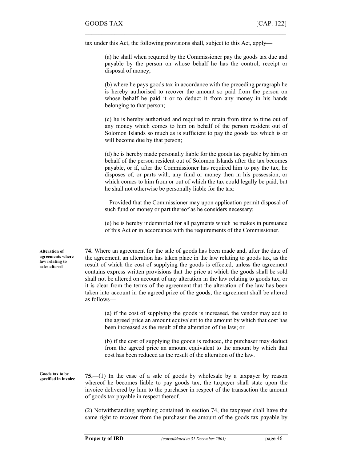tax under this Act, the following provisions shall, subject to this Act, apply—

 $\mathcal{L}_\text{max}$  , and the contract of the contract of the contract of the contract of the contract of the contract of

(a) he shall when required by the Commissioner pay the goods tax due and payable by the person on whose behalf he has the control, receipt or disposal of money;

(b) where he pays goods tax in accordance with the preceding paragraph he is hereby authorised to recover the amount so paid from the person on whose behalf he paid it or to deduct it from any money in his hands belonging to that person;

(c) he is hereby authorised and required to retain from time to time out of any money which comes to him on behalf of the person resident out of Solomon Islands so much as is sufficient to pay the goods tax which is or will become due by that person;

(d) he is hereby made personally liable for the goods tax payable by him on behalf of the person resident out of Solomon Islands after the tax becomes payable, or if, after the Commissioner has required him to pay the tax, he disposes of, or parts with, any fund or money then in his possession, or which comes to him from or out of which the tax could legally be paid, but he shall not otherwise be personally liable for the tax:

Provided that the Commissioner may upon application permit disposal of such fund or money or part thereof as he considers necessary;

(e) he is hereby indemnified for all payments which he makes in pursuance of this Act or in accordance with the requirements of the Commissioner.

74. Where an agreement for the sale of goods has been made and, after the date of the agreement, an alteration has taken place in the law relating to goods tax, as the result of which the cost of supplying the goods is effected, unless the agreement contains express written provisions that the price at which the goods shall be sold shall not be altered on account of any alteration in the law relating to goods tax, or it is clear from the terms of the agreement that the alteration of the law has been taken into account in the agreed price of the goods, the agreement shall be altered as follows—

> (a) if the cost of supplying the goods is increased, the vendor may add to the agreed price an amount equivalent to the amount by which that cost has been increased as the result of the alteration of the law; or

> (b) if the cost of supplying the goods is reduced, the purchaser may deduct from the agreed price an amount equivalent to the amount by which that cost has been reduced as the result of the alteration of the law.

Goods tax to be specified in invoice

75.—(1) In the case of a sale of goods by wholesale by a taxpayer by reason whereof he becomes liable to pay goods tax, the taxpayer shall state upon the invoice delivered by him to the purchaser in respect of the transaction the amount of goods tax payable in respect thereof.

(2) Notwithstanding anything contained in section 74, the taxpayer shall have the same right to recover from the purchaser the amount of the goods tax payable by

Alteration of agreements where law relating to sales altered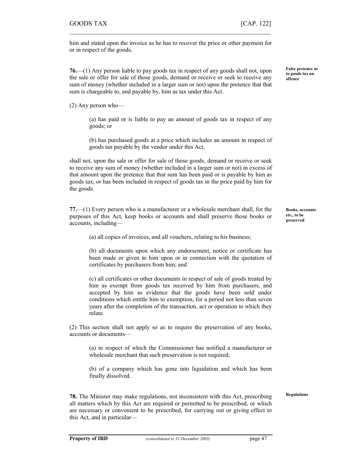him and stated upon the invoice as he has to recover the price or other payment for or in respect of the goods.

 $\mathcal{L}_\text{max} = \mathcal{L}_\text{max} = \mathcal{L}_\text{max} = \mathcal{L}_\text{max} = \mathcal{L}_\text{max} = \mathcal{L}_\text{max} = \mathcal{L}_\text{max} = \mathcal{L}_\text{max} = \mathcal{L}_\text{max} = \mathcal{L}_\text{max} = \mathcal{L}_\text{max} = \mathcal{L}_\text{max} = \mathcal{L}_\text{max} = \mathcal{L}_\text{max} = \mathcal{L}_\text{max} = \mathcal{L}_\text{max} = \mathcal{L}_\text{max} = \mathcal{L}_\text{max} = \mathcal{$ 

76.—(1) Any person liable to pay goods tax in respect of any goods shall not, upon the sale or offer for sale of those goods, demand or receive or seek to receive any sum of money (whether included in a larger sum or not) upon the pretence that that sum is chargeable to, and payable by, him as tax under this Act.

(2) Any person who—

(a) has paid or is liable to pay an amount of goods tax in respect of any goods; or

(b) has purchased goods at a price which includes an amount in respect of goods tax payable by the vendor under this Act,

shall not, upon the sale or offer for sale of those goods, demand or receive or seek to receive any sum of money (whether included in a larger sum or not) in excess of that amount upon the pretence that that sum has been paid or is payable by him as goods tax, or has been included in respect of goods tax in the price paid by him for the goods.

77.—(1) Every person who is a manufacturer or a wholesale merchant shall, for the purposes of this Act, keep books or accounts and shall preserve those books or accounts, including—

(a) all copies of invoices, and all vouchers, relating to his business;

(b) all documents upon which any endorsement, notice or certificate has been made or given to him upon or in connection with the quotation of certificates by purchasers from him; and

(c) all certificates or other documents in respect of sale of goods treated by him as exempt from goods tax received by him from purchasers, and accepted by him as evidence that the goods have been sold under conditions which entitle him to exemption, for a period not less than seven years after the completion of the transaction, act or operation to which they relate.

(2) This section shall not apply so as to require the preservation of any books, accounts or documents—

(a) in respect of which the Commissioner has notified a manufacturer or wholesale merchant that such preservation is not required;

(b) of a company which has gone into liquidation and which has been finally dissolved.

Regulations

78. The Minister may make regulations, not inconsistent with this Act, prescribing all matters which by this Act are required or permitted to be prescribed, or which are necessary or convenient to be prescribed, for carrying out or giving effect to this Act, and in particularFalse pretence as to goods tax an offence

Books, accounts etc., to be preserved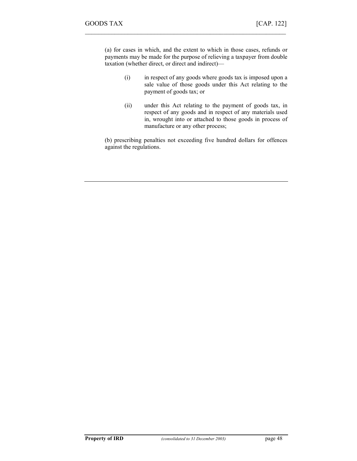(a) for cases in which, and the extent to which in those cases, refunds or payments may be made for the purpose of relieving a taxpayer from double taxation (whether direct, or direct and indirect)—

 $\mathcal{L}_\text{max}$  , and the contract of the contract of the contract of the contract of the contract of the contract of

- (i) in respect of any goods where goods tax is imposed upon a sale value of those goods under this Act relating to the payment of goods tax; or
- (ii) under this Act relating to the payment of goods tax, in respect of any goods and in respect of any materials used in, wrought into or attached to those goods in process of manufacture or any other process;

(b) prescribing penalties not exceeding five hundred dollars for offences against the regulations.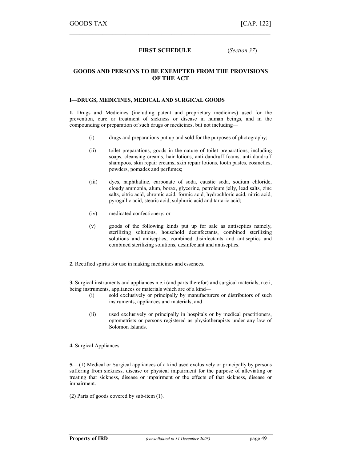## FIRST SCHEDULE (Section 37)

 $\mathcal{L}_\text{max} = \mathcal{L}_\text{max} = \mathcal{L}_\text{max} = \mathcal{L}_\text{max} = \mathcal{L}_\text{max} = \mathcal{L}_\text{max} = \mathcal{L}_\text{max} = \mathcal{L}_\text{max} = \mathcal{L}_\text{max} = \mathcal{L}_\text{max} = \mathcal{L}_\text{max} = \mathcal{L}_\text{max} = \mathcal{L}_\text{max} = \mathcal{L}_\text{max} = \mathcal{L}_\text{max} = \mathcal{L}_\text{max} = \mathcal{L}_\text{max} = \mathcal{L}_\text{max} = \mathcal{$ 

## GOODS AND PERSONS TO BE EXEMPTED FROM THE PROVISIONS OF THE ACT

#### I—DRUGS, MEDICINES, MEDICAL AND SURGICAL GOODS

1. Drugs and Medicines (including patent and proprietary medicines) used for the prevention, cure or treatment of sickness or disease in human beings, and in the compounding or preparation of such drugs or medicines, but not including—

- (i) drugs and preparations put up and sold for the purposes of photography;
- (ii) toilet preparations, goods in the nature of toilet preparations, including soaps, cleansing creams, hair lotions, anti-dandruff foams, anti-dandruff shampoos, skin repair creams, skin repair lotions, tooth pastes, cosmetics, powders, pomades and perfumes;
- (iii) dyes, naphthaline, carbonate of soda, caustic soda, sodium chloride, cloudy ammonia, alum, borax, glycerine, petroleum jelly, lead salts, zinc salts, citric acid, chromic acid, formic acid, hydrochloric acid, nitric acid, pyrogallic acid, stearic acid, sulphuric acid and tartaric acid;
- (iv) medicated confectionery; or
- (v) goods of the following kinds put up for sale as antiseptics namely, sterilizing solutions, household desinfectants, combined sterilizing solutions and antiseptics, combined disinfectants and antiseptics and combined sterilizing solutions, desinfectant and antiseptics.
- 2. Rectified spirits for use in making medicines and essences.

3. Surgical instruments and appliances n.e.i (and parts therefor) and surgical materials, n.e.i, being instruments, appliances or materials which are of a kind—

- (i) sold exclusively or principally by manufacturers or distributors of such instruments, appliances and materials; and
- (ii) used exclusively or principally in hospitals or by medical practitioners, optometrists or persons registered as physiotherapists under any law of Solomon Islands.

4. Surgical Appliances.

5.—(1) Medical or Surgical appliances of a kind used exclusively or principally by persons suffering from sickness, disease or physical impairment for the purpose of alleviating or treating that sickness, disease or impairment or the effects of that sickness, disease or impairment.

(2) Parts of goods covered by sub-item (1).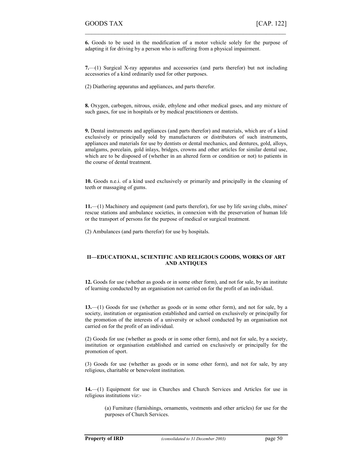6. Goods to be used in the modification of a motor vehicle solely for the purpose of adapting it for driving by a person who is suffering from a physical impairment.

 $\mathcal{L}_\text{max}$  , and the contract of the contract of the contract of the contract of the contract of the contract of

7.—(1) Surgical X-ray apparatus and accessories (and parts therefor) but not including accessories of a kind ordinarily used for other purposes.

(2) Diathering apparatus and appliances, and parts therefor.

8. Oxygen, carbogen, nitrous, oxide, ethylene and other medical gases, and any mixture of such gases, for use in hospitals or by medical practitioners or dentists.

9. Dental instruments and appliances (and parts therefor) and materials, which are of a kind exclusively or principally sold by manufacturers or distributors of such instruments, appliances and materials for use by dentists or dental mechanics, and dentures, gold, alloys, amalgams, porcelain, gold inlays, bridges, crowns and other articles for similar dental use, which are to be disposed of (whether in an altered form or condition or not) to patients in the course of dental treatment.

10. Goods n.e.i. of a kind used exclusively or primarily and principally in the cleaning of teeth or massaging of gums.

11.—(1) Machinery and equipment (and parts therefor), for use by life saving clubs, mines' rescue stations and ambulance societies, in connexion with the preservation of human life or the transport of persons for the purpose of medical or surgical treatment.

(2) Ambulances (and parts therefor) for use by hospitals.

#### II—EDUCATIONAL, SCIENTIFIC AND RELIGIOUS GOODS, WORKS OF ART AND ANTIQUES

12. Goods for use (whether as goods or in some other form), and not for sale, by an institute of learning conducted by an organisation not carried on for the profit of an individual.

13.—(1) Goods for use (whether as goods or in some other form), and not for sale, by a society, institution or organisation established and carried on exclusively or principally for the promotion of the interests of a university or school conducted by an organisation not carried on for the profit of an individual.

(2) Goods for use (whether as goods or in some other form), and not for sale, by a society, institution or organisation established and carried on exclusively or principally for the promotion of sport.

(3) Goods for use (whether as goods or in some other form), and not for sale, by any religious, charitable or benevolent institution.

14.—(1) Equipment for use in Churches and Church Services and Articles for use in religious institutions viz:-

(a) Furniture (furnishings, ornaments, vestments and other articles) for use for the purposes of Church Services.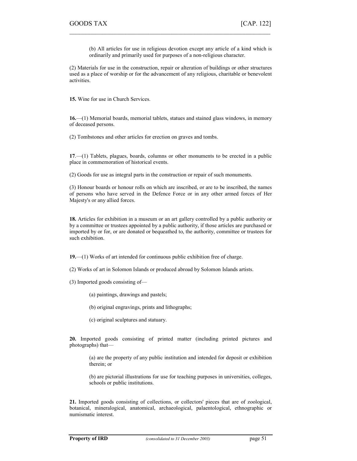(b) All articles for use in religious devotion except any article of a kind which is ordinarily and primarily used for purposes of a non-religious character.

(2) Materials for use in the construction, repair or alteration of buildings or other structures used as a place of worship or for the advancement of any religious, charitable or benevolent activities.

 $\mathcal{L}_\text{max} = \mathcal{L}_\text{max} = \mathcal{L}_\text{max} = \mathcal{L}_\text{max} = \mathcal{L}_\text{max} = \mathcal{L}_\text{max} = \mathcal{L}_\text{max} = \mathcal{L}_\text{max} = \mathcal{L}_\text{max} = \mathcal{L}_\text{max} = \mathcal{L}_\text{max} = \mathcal{L}_\text{max} = \mathcal{L}_\text{max} = \mathcal{L}_\text{max} = \mathcal{L}_\text{max} = \mathcal{L}_\text{max} = \mathcal{L}_\text{max} = \mathcal{L}_\text{max} = \mathcal{$ 

15. Wine for use in Church Services.

16.—(1) Memorial boards, memorial tablets, statues and stained glass windows, in memory of deceased persons.

(2) Tombstones and other articles for erection on graves and tombs.

17.—(1) Tablets, plagues, boards, columns or other monuments to be erected in a public place in commemoration of historical events.

(2) Goods for use as integral parts in the construction or repair of such monuments.

(3) Honour boards or honour rolls on which are inscribed, or are to be inscribed, the names of persons who have served in the Defence Force or in any other armed forces of Her Majesty's or any allied forces.

18. Articles for exhibition in a museum or an art gallery controlled by a public authority or by a committee or trustees appointed by a public authority, if those articles are purchased or imported by or for, or are donated or bequeathed to, the authority, committee or trustees for such exhibition.

19.—(1) Works of art intended for continuous public exhibition free of charge.

(2) Works of art in Solomon Islands or produced abroad by Solomon Islands artists.

(3) Imported goods consisting of—

(a) paintings, drawings and pastels;

(b) original engravings, prints and lithographs;

(c) original sculptures and statuary.

20. Imported goods consisting of printed matter (including printed pictures and photographs) that—

(a) are the property of any public institution and intended for deposit or exhibition therein; or

(b) are pictorial illustrations for use for teaching purposes in universities, colleges, schools or public institutions.

21. Imported goods consisting of collections, or collectors' pieces that are of zoological, botanical, mineralogical, anatomical, archaeological, palaentological, ethnographic or numismatic interest.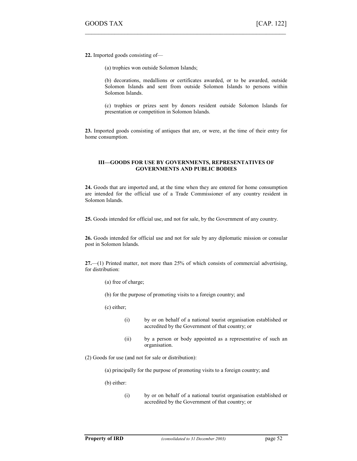22. Imported goods consisting of—

(a) trophies won outside Solomon Islands;

(b) decorations, medallions or certificates awarded, or to be awarded, outside Solomon Islands and sent from outside Solomon Islands to persons within Solomon Islands.

 $\mathcal{L}_\text{max}$  , and the contract of the contract of the contract of the contract of the contract of the contract of

(c) trophies or prizes sent by donors resident outside Solomon Islands for presentation or competition in Solomon Islands.

23. Imported goods consisting of antiques that are, or were, at the time of their entry for home consumption.

#### III—GOODS FOR USE BY GOVERNMENTS, REPRESENTATIVES OF GOVERNMENTS AND PUBLIC BODIES

24. Goods that are imported and, at the time when they are entered for home consumption are intended for the official use of a Trade Commissioner of any country resident in Solomon Islands.

25. Goods intended for official use, and not for sale, by the Government of any country.

26. Goods intended for official use and not for sale by any diplomatic mission or consular post in Solomon Islands.

27.—(1) Printed matter, not more than 25% of which consists of commercial advertising, for distribution:

- (a) free of charge;
- (b) for the purpose of promoting visits to a foreign country; and

(c) either;

- (i) by or on behalf of a national tourist organisation established or accredited by the Government of that country; or
- (ii) by a person or body appointed as a representative of such an organisation.

(2) Goods for use (and not for sale or distribution):

(a) principally for the purpose of promoting visits to a foreign country; and

(b) either:

(i) by or on behalf of a national tourist organisation established or accredited by the Government of that country; or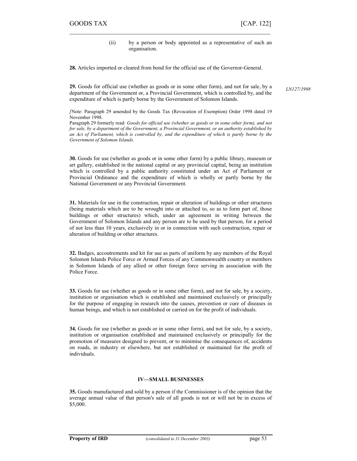(ii) by a person or body appointed as a representative of such an organisation.

28. Articles imported or cleared from bond for the official use of the Governor-General.

 $\mathcal{L}_\text{max} = \mathcal{L}_\text{max} = \mathcal{L}_\text{max} = \mathcal{L}_\text{max} = \mathcal{L}_\text{max} = \mathcal{L}_\text{max} = \mathcal{L}_\text{max} = \mathcal{L}_\text{max} = \mathcal{L}_\text{max} = \mathcal{L}_\text{max} = \mathcal{L}_\text{max} = \mathcal{L}_\text{max} = \mathcal{L}_\text{max} = \mathcal{L}_\text{max} = \mathcal{L}_\text{max} = \mathcal{L}_\text{max} = \mathcal{L}_\text{max} = \mathcal{L}_\text{max} = \mathcal{$ 

29. Goods for official use (whether as goods or in some other form), and not for sale, by a department of the Government or, a Provincial Government, which is controlled by, and the expenditure of which is partly borne by the Government of Solomon Islands.

LN127/1998

[Note: Paragraph 29 amended by the Goods Tax (Revocation of Exemption) Order 1998 dated 19 November 1998.

Paragraph 29 formerly read: Goods for official use (whether as goods or in some other form), and not for sale, by a department of the Government, a Provincial Government, or an authority established by an Act of Parliament, which is controlled by, and the expenditure of which is partly borne by the Government of Solomon Islands.

30. Goods for use (whether as goods or in some other form) by a public library, museum or art gallery, established in the national capital or any provincial capital, being an institution which is controlled by a public authority constituted under an Act of Parliament or Provincial Ordinance and the expenditure of which is wholly or partly borne by the National Government or any Provincial Government.

31. Materials for use in the construction, repair or alteration of buildings or other structures (being materials which are to be wrought into or attached to, so as to form part of, those buildings or other structures) which, under an agreement in writing between the Government of Solomon Islands and any person are to be used by that person, for a period of not less than 10 years, exclusively in or in connection with such construction, repair or alteration of building or other structures.

32. Badges, accoutrements and kit for use as parts of uniform by any members of the Royal Solomon Islands Police Force or Armed Forces of any Commonwealth country or members in Solomon Islands of any allied or other foreign force serving in association with the Police Force.

33. Goods for use (whether as goods or in some other form), and not for sale, by a society, institution or organisation which is established and maintained exclusively or principally for the purpose of engaging in research into the causes, prevention or cure of diseases in human beings, and which is not established or carried on for the profit of individuals.

34. Goods for use (whether as goods or in some other form), and not for sale, by a society, institution or organisation established and maintained exclusively or principally for the promotion of measures designed to prevent, or to minimise the consequences of, accidents on roads, in industry or elsewhere, but not established or maintained for the profit of individuals.

#### IV—SMALL BUSINESSES

35. Goods manufactured and sold by a person if the Commissioner is of the opinion that the average annual value of that person's sale of all goods is not or will not be in excess of \$5,000.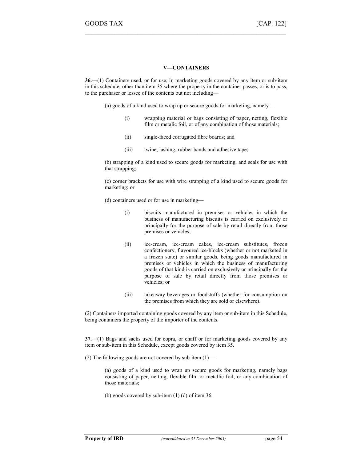#### V—CONTAINERS

 $\mathcal{L}_\text{max}$  , and the contract of the contract of the contract of the contract of the contract of the contract of

36.—(1) Containers used, or for use, in marketing goods covered by any item or sub-item in this schedule, other than item 35 where the property in the container passes, or is to pass, to the purchaser or lessee of the contents but not including—

(a) goods of a kind used to wrap up or secure goods for marketing, namely—

- (i) wrapping material or bags consisting of paper, netting, flexible film or metalic foil, or of any combination of those materials;
- (ii) single-faced corrugated fibre boards; and
- (iii) twine, lashing, rubber bands and adhesive tape;

(b) strapping of a kind used to secure goods for marketing, and seals for use with that strapping;

(c) corner brackets for use with wire strapping of a kind used to secure goods for marketing; or

(d) containers used or for use in marketing—

- (i) biscuits manufactured in premises or vehicles in which the business of manufacturing biscuits is carried on exclusively or principally for the purpose of sale by retail directly from those premises or vehicles;
- (ii) ice-cream, ice-cream cakes, ice-cream substitutes, frozen confectionery, flavoured ice-blocks (whether or not marketed in a frozen state) or similar goods, being goods manufactured in premises or vehicles in which the business of manufacturing goods of that kind is carried on exclusively or principally for the purpose of sale by retail directly from those premises or vehicles; or
- (iii) takeaway beverages or foodstuffs (whether for consumption on the premises from which they are sold or elsewhere).

(2) Containers imported containing goods covered by any item or sub-item in this Schedule, being containers the property of the importer of the contents.

37.—(1) Bags and sacks used for copra, or chaff or for marketing goods covered by any item or sub-item in this Schedule, except goods covered by item 35.

(2) The following goods are not covered by sub-item (1)—

(a) goods of a kind used to wrap up secure goods for marketing, namely bags consisting of paper, netting, flexible film or metallic foil, or any combination of those materials;

(b) goods covered by sub-item (1) (d) of item 36.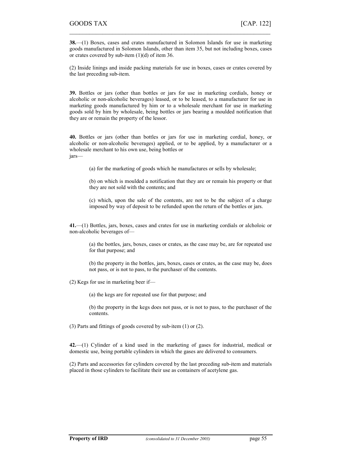38.—(1) Boxes, cases and crates manufactured in Solomon Islands for use in marketing goods manufactured in Solomon Islands, other than item 35, but not including boxes, cases or crates covered by sub-item (1)(d) of item 36.

 $\mathcal{L}_\text{max} = \mathcal{L}_\text{max} = \mathcal{L}_\text{max} = \mathcal{L}_\text{max} = \mathcal{L}_\text{max} = \mathcal{L}_\text{max} = \mathcal{L}_\text{max} = \mathcal{L}_\text{max} = \mathcal{L}_\text{max} = \mathcal{L}_\text{max} = \mathcal{L}_\text{max} = \mathcal{L}_\text{max} = \mathcal{L}_\text{max} = \mathcal{L}_\text{max} = \mathcal{L}_\text{max} = \mathcal{L}_\text{max} = \mathcal{L}_\text{max} = \mathcal{L}_\text{max} = \mathcal{$ 

(2) Inside linings and inside packing materials for use in boxes, cases or crates covered by the last preceding sub-item.

39. Bottles or jars (other than bottles or jars for use in marketing cordials, honey or alcoholic or non-alcoholic beverages) leased, or to be leased, to a manufacturer for use in marketing goods manufactured by him or to a wholesale merchant for use in marketing goods sold by him by wholesale, being bottles or jars bearing a moulded notification that they are or remain the property of the lessor.

40. Bottles or jars (other than bottles or jars for use in marketing cordial, honey, or alcoholic or non-alcoholic beverages) applied, or to be applied, by a manufacturer or a wholesale merchant to his own use, being bottles or jars—

(a) for the marketing of goods which he manufactures or sells by wholesale;

(b) on which is moulded a notification that they are or remain his property or that they are not sold with the contents; and

(c) which, upon the sale of the contents, are not to be the subject of a charge imposed by way of deposit to be refunded upon the return of the bottles or jars.

41.—(1) Bottles, jars, boxes, cases and crates for use in marketing cordials or alcholoic or non-alcoholic beverages of—

(a) the bottles, jars, boxes, cases or crates, as the case may be, are for repeated use for that purpose; and

(b) the property in the bottles, jars, boxes, cases or crates, as the case may be, does not pass, or is not to pass, to the purchaser of the contents.

(2) Kegs for use in marketing beer if—

(a) the kegs are for repeated use for that purpose; and

(b) the property in the kegs does not pass, or is not to pass, to the purchaser of the contents.

(3) Parts and fittings of goods covered by sub-item (1) or (2).

42.—(1) Cylinder of a kind used in the marketing of gases for industrial, medical or domestic use, being portable cylinders in which the gases are delivered to consumers.

(2) Parts and accessories for cylinders covered by the last preceding sub-item and materials placed in those cylinders to facilitate their use as containers of acetylene gas.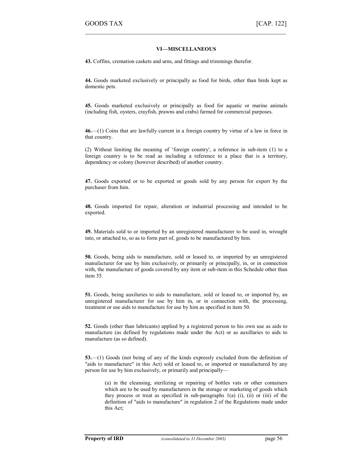#### VI—MISCELLANEOUS

 $\mathcal{L}_\text{max}$  , and the contract of the contract of the contract of the contract of the contract of the contract of

43. Coffins, cremation caskets and urns, and fittings and trimmings therefor.

44. Goods marketed exclusively or principally as food for birds, other than birds kept as domestic pets.

45. Goods marketed exclusively or principally as food for aquatic or marine animals (including fish, oysters, crayfish, prawns and crabs) farmed for commercial purposes.

46.—(1) Coins that are lawfully current in a foreign country by virtue of a law in force in that country.

(2) Without limiting the meaning of 'foreign country', a reference in sub-item (1) to a foreign country is to be read as including a reference to a place that is a territory, dependency or colony (however described) of another country.

47. Goods exported or to be exported or goods sold by any person for export by the purchaser from him.

48. Goods imported for repair, alteration or industrial processing and intended to be exported.

49. Materials sold to or imported by an unregistered manufacturer to be used in, wrought into, or attached to, so as to form part of, goods to be manufactured by him.

50. Goods, being aids to manufacture, sold or leased to, or imported by an unregistered manufacturer for use by him exclusively, or primarily or principally, in, or in connection with, the manufacture of goods covered by any item or sub-item in this Schedule other than item 35.

51. Goods, being auxiluries to aids to manufacture, sold or leased to, or imported by, an unregistered manufacturer for use by him in, or in connection with, the processing, treatment or use aids to manufacture for use by him as specified in item 50.

52. Goods (other than lubricants) applied by a registered person to his own use as aids to manufacture (as defined by regulations made under the Act) or as auxillaries to aids to manufacture (as so defined).

53.—(1) Goods (not being of any of the kinds expressly excluded from the definition of "aids to manufacture" in this Act) sold or leased to, or imported or manufactured by any person for use by him exclusively, or primarily and principally—

(a) in the cleansing, sterilizing or repairing of bottles vats or other containers which are to be used by manufacturers in the storage or marketing of goods which they process or treat as specified in sub-paragraphs  $1(a)$  (i), (ii) or (iii) of the definition of "aids to manufacture" in regulation 2 of the Regulations made under this Act;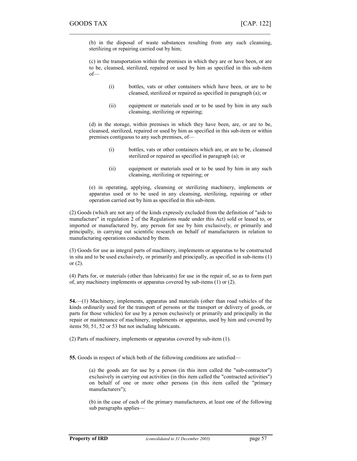(b) in the disposal of waste substances resulting from any such cleansing, sterilizing or repairing carried out by him;

 $\mathcal{L}_\text{max} = \mathcal{L}_\text{max} = \mathcal{L}_\text{max} = \mathcal{L}_\text{max} = \mathcal{L}_\text{max} = \mathcal{L}_\text{max} = \mathcal{L}_\text{max} = \mathcal{L}_\text{max} = \mathcal{L}_\text{max} = \mathcal{L}_\text{max} = \mathcal{L}_\text{max} = \mathcal{L}_\text{max} = \mathcal{L}_\text{max} = \mathcal{L}_\text{max} = \mathcal{L}_\text{max} = \mathcal{L}_\text{max} = \mathcal{L}_\text{max} = \mathcal{L}_\text{max} = \mathcal{$ 

(c) in the transportation within the premises in which they are or have been, or are to be, cleansed, sterilized, repaired or used by him as specified in this sub-item of—

- (i) bottles, vats or other containers which have been, or are to be cleansed, sterilized or repaired as specified in paragraph (a); or
- (ii) equipment or materials used or to be used by him in any such cleansing, sterilizing or repairing;

(d) in the storage, within premises in which they have been, are, or are to be, cleansed, sterilized, repaired or used by him as specified in this sub-item or within premises contiguous to any such premises, of—

- (i) bottles, vats or other containers which are, or are to be, cleansed sterilized or repaired as specified in paragraph (a); or
- (ii) equipment or materials used or to be used by him in any such cleansing, sterilizing or repairing; or

(e) in operating, applying, cleansing or sterilizing machinery, implements or apparatus used or to be used in any cleansing, sterilizing, repairing or other operation carried out by him as specified in this sub-item.

(2) Goods (which are not any of the kinds expressly excluded from the definition of "aids to manufacture" in regulation 2 of the Regulations made under this Act) sold or leased to, or imported or manufactured by, any person for use by him exclusively, or primarily and principally, in carrying out scientific research on behalf of manufacturers in relation to manufacturing operations conducted by them.

(3) Goods for use as integral parts of machinery, implements or apparatus to be constructed in situ and to be used exclusively, or primarily and principally, as specified in sub-items (1) or (2).

(4) Parts for, or materials (other than lubricants) for use in the repair of, so as to form part of, any machinery implements or apparatus covered by sub-items (1) or (2).

54.—(1) Machinery, implements, apparatus and materials (other than road vehicles of the kinds ordinarily used for the transport of persons or the transport or delivery of goods, or parts for those vehicles) for use by a person exclusively or primarily and principally in the repair or maintenance of machinery, implements or apparatus, used by him and covered by items 50, 51, 52 or 53 but not including lubricants.

(2) Parts of machinery, implements or apparatus covered by sub-item (1).

55. Goods in respect of which both of the following conditions are satisfied—

(a) the goods are for use by a person (in this item called the "sub-contractor") exclusively in carrying out activities (in this item called the "contracted activities") on behalf of one or more other persons (in this item called the "primary manufacturers");

(b) in the case of each of the primary manufacturers, at least one of the following sub paragraphs applies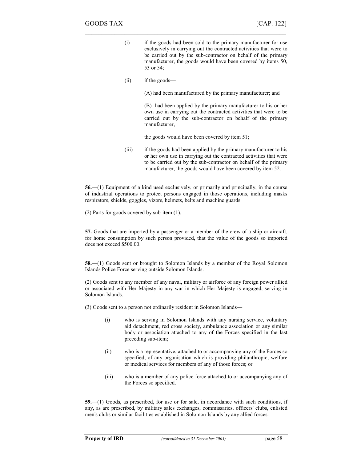(i) if the goods had been sold to the primary manufacturer for use exclusively in carrying out the contracted activities that were to be carried out by the sub-contractor on behalf of the primary manufacturer, the goods would have been covered by items 50, 53 or 54;

 $\mathcal{L}_\text{max}$  , and the contract of the contract of the contract of the contract of the contract of the contract of

(ii) if the goods—

(A) had been manufactured by the primary manufacturer; and

(B) had been applied by the primary manufacturer to his or her own use in carrying out the contracted activities that were to be carried out by the sub-contractor on behalf of the primary manufacturer,

the goods would have been covered by item 51;

(iii) if the goods had been applied by the primary manufacturer to his or her own use in carrying out the contracted activities that were to be carried out by the sub-contractor on behalf of the primary manufacturer, the goods would have been covered by item 52.

56.—(1) Equipment of a kind used exclusively, or primarily and principally, in the course of industrial operations to protect persons engaged in those operations, including masks respirators, shields, goggles, vizors, helmets, belts and machine guards.

(2) Parts for goods covered by sub-item (1).

57. Goods that are imported by a passenger or a member of the crew of a ship or aircraft, for home consumption by such person provided, that the value of the goods so imported does not exceed \$500.00.

58.—(1) Goods sent or brought to Solomon Islands by a member of the Royal Solomon Islands Police Force serving outside Solomon Islands.

(2) Goods sent to any member of any naval, military or airforce of any foreign power allied or associated with Her Majesty in any war in which Her Majesty is engaged, serving in Solomon Islands.

(3) Goods sent to a person not ordinarily resident in Solomon Islands—

- (i) who is serving in Solomon Islands with any nursing service, voluntary aid detachment, red cross society, ambulance association or any similar body or association attached to any of the Forces specified in the last preceding sub-item;
- (ii) who is a representative, attached to or accompanying any of the Forces so specified, of any organisation which is providing philanthropic, welfare or medical services for members of any of those forces; or
- (iii) who is a member of any police force attached to or accompanying any of the Forces so specified.

59.—(1) Goods, as prescribed, for use or for sale, in accordance with such conditions, if any, as are prescribed, by military sales exchanges, commissaries, officers' clubs, enlisted men's clubs or similar facilities established in Solomon Islands by any allied forces.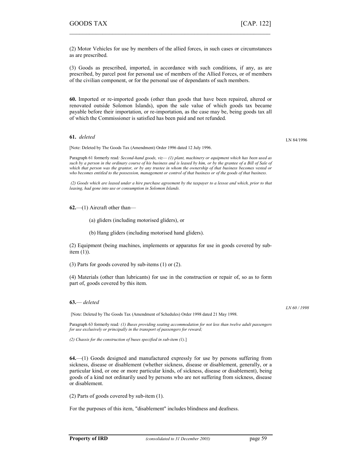(2) Motor Vehicles for use by members of the allied forces, in such cases or circumstances as are prescribed.

 $\mathcal{L}_\text{max} = \mathcal{L}_\text{max} = \mathcal{L}_\text{max} = \mathcal{L}_\text{max} = \mathcal{L}_\text{max} = \mathcal{L}_\text{max} = \mathcal{L}_\text{max} = \mathcal{L}_\text{max} = \mathcal{L}_\text{max} = \mathcal{L}_\text{max} = \mathcal{L}_\text{max} = \mathcal{L}_\text{max} = \mathcal{L}_\text{max} = \mathcal{L}_\text{max} = \mathcal{L}_\text{max} = \mathcal{L}_\text{max} = \mathcal{L}_\text{max} = \mathcal{L}_\text{max} = \mathcal{$ 

(3) Goods as prescribed, imported, in accordance with such conditions, if any, as are prescribed, by parcel post for personal use of members of the Allied Forces, or of members of the civilian component, or for the personal use of dependants of such members.

60. Imported or re-imported goods (other than goods that have been repaired, altered or renovated outside Solomon Islands), upon the sale value of which goods tax became payable before their importation, or re-importation, as the case may be, being goods tax all of which the Commissioner is satisfied has been paid and not refunded.

61. deleted

[Note: Deleted by The Goods Tax (Amendment) Order 1996 dated 12 July 1996.

Paragraph 61 formerly read: Second-hand goods, viz- (1) plant, machinery or equipment which has been used as such by a person in the ordinary course of his business and is leased by him, or by the grantee of a Bill of Sale of which that person was the grantor, or by any trustee in whom the ownership of that business becomes vested or who becomes entitled to the possession, management or control of that business or of the goods of that business.

 (2) Goods which are leased under a hire purchase agreement by the taxpayer to a lessee and which, prior to that leasing, had gone into use or consumption in Solomon Islands.

 $62$ ,—(1) Aircraft other than—

(a) gliders (including motorised gliders), or

(b) Hang gliders (including motorised hand gliders).

(2) Equipment (being machines, implements or apparatus for use in goods covered by subitem  $(1)$ ).

(3) Parts for goods covered by sub-items (1) or (2).

(4) Materials (other than lubricants) for use in the construction or repair of, so as to form part of, goods covered by this item.

#### 63.— deleted

[Note: Deleted by The Goods Tax (Amendment of Schedules) Order 1998 dated 21 May 1998.

Paragraph 63 formerly read: (1) Buses providing seating accommodation for not less than twelve adult passengers for use exclusively or principally in the transport of passengers for reward;

(2) Chassis for the construction of buses specified in sub-item (1).]

64.—(1) Goods designed and manufactured expressly for use by persons suffering from sickness, disease or disablement (whether sickness, disease or disablement, generally, or a particular kind, or one or more particular kinds, of sickness, disease or disablement), being goods of a kind not ordinarily used by persons who are not suffering from sickness, disease or disablement.

(2) Parts of goods covered by sub-item (1).

For the purposes of this item, "disablement" includes blindness and deafness.

LN 60 / 1998

LN 84/1996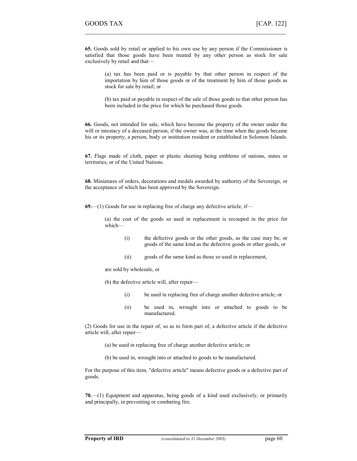65. Goods sold by retail or applied to his own use by any person if the Commissioner is satisfied that those goods have been treated by any other person as stock for sale exclusively by retail and that—

 $\mathcal{L}_\text{max}$  , and the contract of the contract of the contract of the contract of the contract of the contract of

(a) tax has been paid or is payable by that other person in respect of the importation by him of those goods or of the treatment by him of those goods as stock for sale by retail; or

(b) tax paid or payable in respect of the sale of those goods to that other person has been included in the price for which he purchased those goods.

66. Goods, not intended for sale, which have become the property of the owner under the will or intestacy of a deceased person, if the owner was, at the time when the goods became his or its property, a person, body or institution resident or established in Solomon Islands.

67. Flags made of cloth, paper or plastic sheeting being emblems of nations, states or territories, or of the United Nations.

68. Miniatures of orders, decorations and medals awarded by authority of the Sovereign, or the acceptance of which has been approved by the Sovereign.

69.—(1) Goods for use in replacing free of charge any defective article, if—

(a) the cost of the goods so used in replacement is recouped in the price for which—

- (i) the defective goods or the other goods, as the case may be, or goods of the same kind as the defective goods or other goods, or
- (ii) goods of the same kind as those so used in replacement,

are sold by wholesale, or

(b) the defective article will, after repair—

- (i) be used in replacing free of charge another defective article; or
- (ii) be used in, wrought into or attached to goods to be manufactured.

(2) Goods for use in the repair of, so as to form part of, a defective article if the defective article will, after repair—

- (a) be used in replacing free of charge another defective article; or
- (b) be used in, wrought into or attached to goods to be manufactured.

For the purpose of this item, "defective article" means defective goods or a defective part of goods.

70.—(1) Equipment and apparatus, being goods of a kind used exclusively, or primarily and principally, in preventing or combating fire.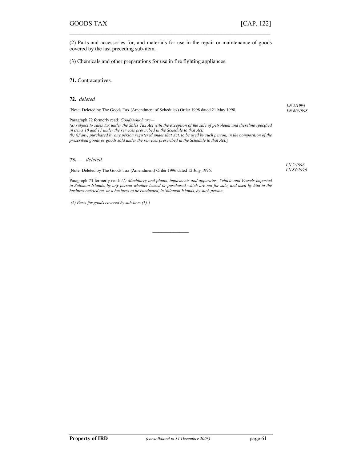(2) Parts and accessories for, and materials for use in the repair or maintenance of goods covered by the last preceding sub-item.

 $\mathcal{L}_\text{max} = \mathcal{L}_\text{max} = \mathcal{L}_\text{max} = \mathcal{L}_\text{max} = \mathcal{L}_\text{max} = \mathcal{L}_\text{max} = \mathcal{L}_\text{max} = \mathcal{L}_\text{max} = \mathcal{L}_\text{max} = \mathcal{L}_\text{max} = \mathcal{L}_\text{max} = \mathcal{L}_\text{max} = \mathcal{L}_\text{max} = \mathcal{L}_\text{max} = \mathcal{L}_\text{max} = \mathcal{L}_\text{max} = \mathcal{L}_\text{max} = \mathcal{L}_\text{max} = \mathcal{$ 

(3) Chemicals and other preparations for use in fire fighting appliances.

71. Contraceptives.

72. deleted

[Note: Deleted by The Goods Tax (Amendment of Schedules) Order 1998 dated 21 May 1998.

Paragraph 72 formerly read: Goods which are— (a) subject to sales tax under the Sales Tax Act with the exception of the sale of petroleum and dieseline specified in items 10 and 11 under the services prescribed in the Schedule to that Act; (b) (if any) purchased by any person registered under that Act, to be used by such person, in the composition of the prescribed goods or goods sold under the services prescribed in the Schedule to that Act.]

#### 73.— deleted

[Note: Deleted by The Goods Tax (Amendment) Order 1996 dated 12 July 1996.

LN 2/1996 LN 84/1996

LN 2/1994 LN 60/1998

Paragraph 73 formerly read: (1) Machinery and plants, implements and apparatus, Vehicle and Vessels imported in Solomon Islands, by any person whether leased or purchased which are not for sale, and used by him in the business carried on, or a business to be conducted, in Solomon Islands, by such person.

 $\overline{\phantom{a}}$ 

(2) Parts for goods covered by sub-item (1). ]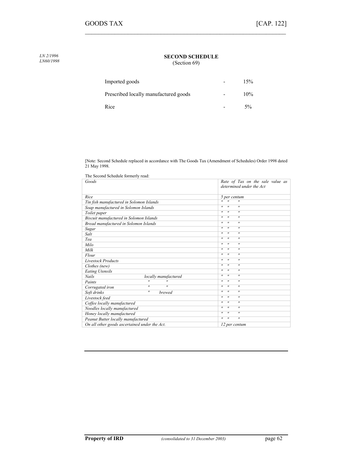SECOND SCHEDULE

(Section 69)

 $\mathcal{L}_\text{max}$  , and the contract of the contract of the contract of the contract of the contract of the contract of

| Imported goods                        |                          | 15%    |
|---------------------------------------|--------------------------|--------|
| Prescribed locally manufactured goods | $\overline{\phantom{0}}$ | $10\%$ |
| Rice                                  |                          | $5\%$  |

[Note: Second Schedule replaced in accordance with The Goods Tax (Amendment of Schedules) Order 1998 dated 21 May 1998.

| The Second Schedule formerly read:                  |                                                             |  |  |
|-----------------------------------------------------|-------------------------------------------------------------|--|--|
| Goods                                               | Rate of Tax on the sale value as                            |  |  |
|                                                     | determined under the Act                                    |  |  |
|                                                     |                                                             |  |  |
| Rice                                                | 5 per centum                                                |  |  |
| Tin fish manufactured in Solomon Islands            | $^{\prime\prime}$<br>$\overline{u}$<br>$^{\prime\prime}$    |  |  |
| Soap manufactured in Solomon Islands                | $^{\prime\prime}$<br>$^{\prime\prime}$<br>$^{\prime\prime}$ |  |  |
| Toilet paper                                        | $^{\prime\prime}$<br>$^{\prime\prime}$<br>$^{\prime\prime}$ |  |  |
| Biscuit manufactured in Solomon Islands             | $^{\prime}$<br>$^{\prime\prime}$<br>$^{\prime\prime}$       |  |  |
| Bread manufactured in Solomon Islands               | $^{\prime\prime}$<br>$^{\prime\prime}$<br>$^{\prime\prime}$ |  |  |
| Sugar                                               | $^{\prime\prime}$<br>$^{\prime\prime}$<br>$^{\prime\prime}$ |  |  |
| Salt                                                | $^{\prime\prime}$<br>$^{\prime\prime}$<br>$^{\prime\prime}$ |  |  |
| Tea                                                 | $^{\prime\prime}$<br>$^{\prime\prime}$<br>$^{\prime\prime}$ |  |  |
| Milo                                                | $^{\prime}$<br>$^{\prime\prime}$<br>$^{\prime\prime}$       |  |  |
| Milk                                                | $^{\prime\prime}$<br>$^{\prime\prime}$<br>$^{\prime\prime}$ |  |  |
| Flour                                               | $^{\prime\prime}$<br>$^{\prime\prime}$<br>$^{\prime\prime}$ |  |  |
| <b>Livestock Products</b>                           | $^{\prime\prime}$<br>$^{\prime\prime}$<br>$^{\prime\prime}$ |  |  |
| Clothes (new)                                       | $^{\prime\prime}$<br>$^{\prime\prime}$<br>$^{\prime\prime}$ |  |  |
| <b>Eating Utensils</b>                              | $^{\prime\prime}$<br>$^{\prime\prime}$<br>$^{\prime\prime}$ |  |  |
| <b>Nails</b><br>locally manufactured                | $^{\prime\prime}$<br>$^{\prime\prime}$<br>$^{\prime\prime}$ |  |  |
| $^{\prime}$<br>$^{\prime\prime}$<br>Paints          | $^{\prime\prime}$<br>$^{\prime}$<br>$^{\prime\prime}$       |  |  |
| $^{\prime}$<br>$^{\prime\prime}$<br>Corrugated iron | $^{\prime\prime}$<br>$^{\prime\prime}$<br>$^{\prime\prime}$ |  |  |
| $^{\prime\prime}$<br>Soft drinks<br>brewed          | $^{\prime\prime}$<br>$^{\prime\prime}$<br>$^{\prime\prime}$ |  |  |
| Livestock feed                                      | $^{\prime\prime}$<br>$^{\prime\prime}$<br>$^{\prime\prime}$ |  |  |
| Coffee locally manufactured                         | $^{\prime}$<br>$^{\prime\prime}$<br>$^{\prime\prime}$       |  |  |
| Noodles locally manufactured                        | $^{\prime\prime}$<br>$^{\prime\prime}$<br>$^{\prime\prime}$ |  |  |
| Honey locally manufactured                          | $^{\prime}$<br>$^{\prime\prime}$<br>$^{\prime\prime}$       |  |  |
| Peanut Butter locally manufactured                  | $^{\prime\prime}$<br>$^{\prime\prime}$<br>$^{\prime\prime}$ |  |  |
| On all other goods ascertained under the Act.       | 12 per centum                                               |  |  |

LN 2/1996 LN60/1998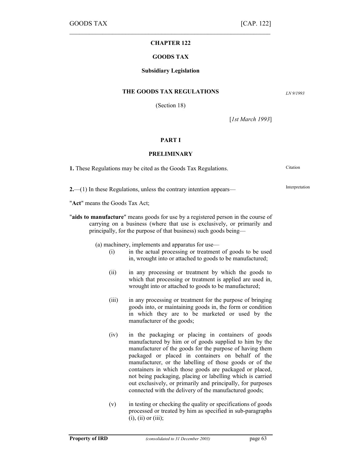# $\mathcal{L}_\text{max} = \mathcal{L}_\text{max} = \mathcal{L}_\text{max} = \mathcal{L}_\text{max} = \mathcal{L}_\text{max} = \mathcal{L}_\text{max} = \mathcal{L}_\text{max} = \mathcal{L}_\text{max} = \mathcal{L}_\text{max} = \mathcal{L}_\text{max} = \mathcal{L}_\text{max} = \mathcal{L}_\text{max} = \mathcal{L}_\text{max} = \mathcal{L}_\text{max} = \mathcal{L}_\text{max} = \mathcal{L}_\text{max} = \mathcal{L}_\text{max} = \mathcal{L}_\text{max} = \mathcal{$ CHAPTER 122

## GOODS TAX

## Subsidiary Legislation

### THE GOODS TAX REGULATIONS

(Section 18)

LN 9/1993

[*1st March 1993*]

## PART I

## PRELIMINARY

| <b>1.</b> These Regulations may be cited as the Goods Tax Regulations.                                       | Citation       |
|--------------------------------------------------------------------------------------------------------------|----------------|
| $2$ ,—(1) In these Regulations, unless the contrary intention appears—                                       | Interpretation |
| "Act" means the Goods Tax Act;                                                                               |                |
| We followed a concern function of the concernst concerns to the concerns of the component of $\mathcal{C}$ . |                |

aids to manufacture" means goods for use by a registered person in the course of carrying on a business (where that use is exclusively, or primarily and principally, for the purpose of that business) such goods being—

(a) machinery, implements and apparatus for use—

- (i) in the actual processing or treatment of goods to be used in, wrought into or attached to goods to be manufactured;
- (ii) in any processing or treatment by which the goods to which that processing or treatment is applied are used in, wrought into or attached to goods to be manufactured;
- (iii) in any processing or treatment for the purpose of bringing goods into, or maintaining goods in, the form or condition in which they are to be marketed or used by the manufacturer of the goods;
- (iv) in the packaging or placing in containers of goods manufactured by him or of goods supplied to him by the manufacturer of the goods for the purpose of having them packaged or placed in containers on behalf of the manufacturer, or the labelling of those goods or of the containers in which those goods are packaged or placed, not being packaging, placing or labelling which is carried out exclusively, or primarily and principally, for purposes connected with the delivery of the manufactured goods;
- (v) in testing or checking the quality or specifications of goods processed or treated by him as specified in sub-paragraphs  $(i)$ ,  $(ii)$  or  $(iii)$ ;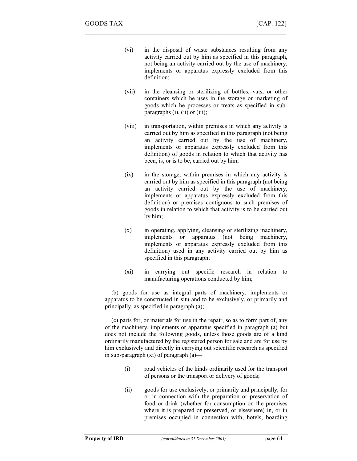(vi) in the disposal of waste substances resulting from any activity carried out by him as specified in this paragraph, not being an activity carried out by the use of machinery, implements or apparatus expressly excluded from this definition;

 $\mathcal{L}_\text{max}$  , and the contract of the contract of the contract of the contract of the contract of the contract of

- (vii) in the cleansing or sterilizing of bottles, vats, or other containers which he uses in the storage or marketing of goods which he processes or treats as specified in subparagraphs  $(i)$ ,  $(ii)$  or  $(iii)$ ;
- (viii) in transportation, within premises in which any activity is carried out by him as specified in this paragraph (not being an activity carried out by the use of machinery, implements or apparatus expressly excluded from this definition) of goods in relation to which that activity has been, is, or is to be, carried out by him;
- (ix) in the storage, within premises in which any activity is carried out by him as specified in this paragraph (not being an activity carried out by the use of machinery, implements or apparatus expressly excluded from this definition) or premises contiguous to such premises of goods in relation to which that activity is to be carried out by him;
- (x) in operating, applying, cleansing or sterilizing machinery, implements or apparatus (not being machinery, implements or apparatus expressly excluded from this definition) used in any activity carried out by him as specified in this paragraph;
- (xi) in carrying out specific research in relation to manufacturing operations conducted by him;

(b) goods for use as integral parts of machinery, implements or apparatus to be constructed in situ and to be exclusively, or primarily and principally, as specified in paragraph (a);

(c) parts for, or materials for use in the repair, so as to form part of, any of the machinery, implements or apparatus specified in paragraph (a) but does not include the following goods, unless those goods are of a kind ordinarily manufactured by the registered person for sale and are for use by him exclusively and directly in carrying out scientific research as specified in sub-paragraph (xi) of paragraph (a)—

- (i) road vehicles of the kinds ordinarily used for the transport of persons or the transport or delivery of goods;
- (ii) goods for use exclusively, or primarily and principally, for or in connection with the preparation or preservation of food or drink (whether for consumption on the premises where it is prepared or preserved, or elsewhere) in, or in premises occupied in connection with, hotels, boarding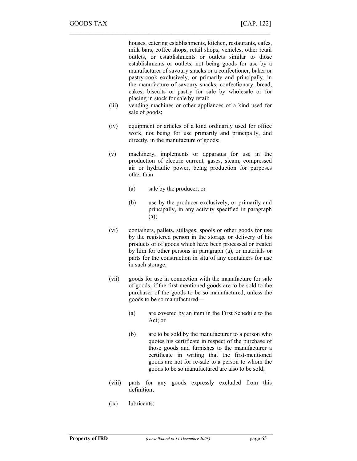houses, catering establishments, kitchen, restaurants, cafes, milk bars, coffee shops, retail shops, vehicles, other retail outlets, or establishments or outlets similar to those establishments or outlets, not being goods for use by a manufacturer of savoury snacks or a confectioner, baker or pastry-cook exclusively, or primarily and principally, in the manufacture of savoury snacks, confectionary, bread, cakes, biscuits or pastry for sale by wholesale or for placing in stock for sale by retail;

- (iii) vending machines or other appliances of a kind used for sale of goods;
- (iv) equipment or articles of a kind ordinarily used for office work, not being for use primarily and principally, and directly, in the manufacture of goods;
- (v) machinery, implements or apparatus for use in the production of electric current, gases, steam, compressed air or hydraulic power, being production for purposes other than—
	- (a) sale by the producer; or

 $\mathcal{L}_\text{max} = \mathcal{L}_\text{max} = \mathcal{L}_\text{max} = \mathcal{L}_\text{max} = \mathcal{L}_\text{max} = \mathcal{L}_\text{max} = \mathcal{L}_\text{max} = \mathcal{L}_\text{max} = \mathcal{L}_\text{max} = \mathcal{L}_\text{max} = \mathcal{L}_\text{max} = \mathcal{L}_\text{max} = \mathcal{L}_\text{max} = \mathcal{L}_\text{max} = \mathcal{L}_\text{max} = \mathcal{L}_\text{max} = \mathcal{L}_\text{max} = \mathcal{L}_\text{max} = \mathcal{$ 

- (b) use by the producer exclusively, or primarily and principally, in any activity specified in paragraph  $(a)$ ;
- (vi) containers, pallets, stillages, spools or other goods for use by the registered person in the storage or delivery of his products or of goods which have been processed or treated by him for other persons in paragraph (a), or materials or parts for the construction in situ of any containers for use in such storage;
- (vii) goods for use in connection with the manufacture for sale of goods, if the first-mentioned goods are to be sold to the purchaser of the goods to be so manufactured, unless the goods to be so manufactured—
	- (a) are covered by an item in the First Schedule to the Act; or
	- (b) are to be sold by the manufacturer to a person who quotes his certificate in respect of the purchase of those goods and furnishes to the manufacturer a certificate in writing that the first-mentioned goods are not for re-sale to a person to whom the goods to be so manufactured are also to be sold;
- (viii) parts for any goods expressly excluded from this definition;
- (ix) lubricants;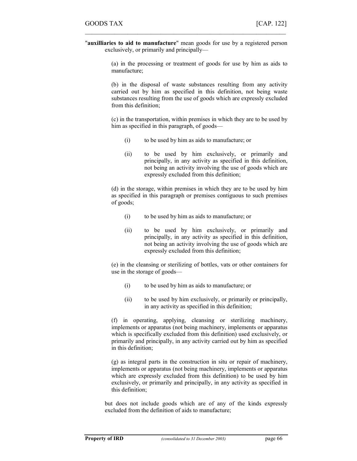"auxilliaries to aid to manufacture" mean goods for use by a registered person exclusively, or primarily and principally—

 $\mathcal{L}_\text{max}$  , and the contract of the contract of the contract of the contract of the contract of the contract of

(a) in the processing or treatment of goods for use by him as aids to manufacture;

(b) in the disposal of waste substances resulting from any activity carried out by him as specified in this definition, not being waste substances resulting from the use of goods which are expressly excluded from this definition;

(c) in the transportation, within premises in which they are to be used by him as specified in this paragraph, of goods—

- (i) to be used by him as aids to manufacture; or
- (ii) to be used by him exclusively, or primarily and principally, in any activity as specified in this definition, not being an activity involving the use of goods which are expressly excluded from this definition;

(d) in the storage, within premises in which they are to be used by him as specified in this paragraph or premises contiguous to such premises of goods;

- (i) to be used by him as aids to manufacture; or
- (ii) to be used by him exclusively, or primarily and principally, in any activity as specified in this definition, not being an activity involving the use of goods which are expressly excluded from this definition;

(e) in the cleansing or sterilizing of bottles, vats or other containers for use in the storage of goods—

- (i) to be used by him as aids to manufacture; or
- (ii) to be used by him exclusively, or primarily or principally, in any activity as specified in this definition;

(f) in operating, applying, cleansing or sterilizing machinery, implements or apparatus (not being machinery, implements or apparatus which is specifically excluded from this definition) used exclusively, or primarily and principally, in any activity carried out by him as specified in this definition;

(g) as integral parts in the construction in situ or repair of machinery, implements or apparatus (not being machinery, implements or apparatus which are expressly excluded from this definition) to be used by him exclusively, or primarily and principally, in any activity as specified in this definition;

but does not include goods which are of any of the kinds expressly excluded from the definition of aids to manufacture;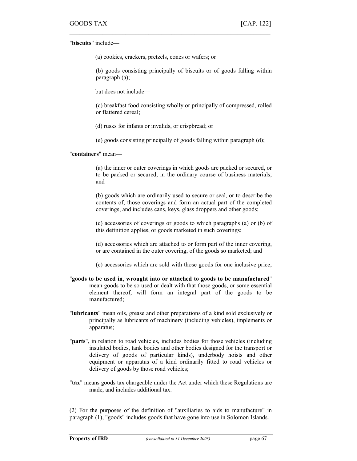"biscuits" include—

(a) cookies, crackers, pretzels, cones or wafers; or

 $\mathcal{L}_\text{max} = \mathcal{L}_\text{max} = \mathcal{L}_\text{max} = \mathcal{L}_\text{max} = \mathcal{L}_\text{max} = \mathcal{L}_\text{max} = \mathcal{L}_\text{max} = \mathcal{L}_\text{max} = \mathcal{L}_\text{max} = \mathcal{L}_\text{max} = \mathcal{L}_\text{max} = \mathcal{L}_\text{max} = \mathcal{L}_\text{max} = \mathcal{L}_\text{max} = \mathcal{L}_\text{max} = \mathcal{L}_\text{max} = \mathcal{L}_\text{max} = \mathcal{L}_\text{max} = \mathcal{$ 

(b) goods consisting principally of biscuits or of goods falling within paragraph (a);

but does not include—

(c) breakfast food consisting wholly or principally of compressed, rolled or flattered cereal;

(d) rusks for infants or invalids, or crispbread; or

(e) goods consisting principally of goods falling within paragraph (d);

"containers" mean—

(a) the inner or outer coverings in which goods are packed or secured, or to be packed or secured, in the ordinary course of business materials; and

(b) goods which are ordinarily used to secure or seal, or to describe the contents of, those coverings and form an actual part of the completed coverings, and includes cans, keys, glass droppers and other goods;

(c) accessories of coverings or goods to which paragraphs (a) or (b) of this definition applies, or goods marketed in such coverings;

(d) accessories which are attached to or form part of the inner covering, or are contained in the outer covering, of the goods so marketed; and

(e) accessories which are sold with those goods for one inclusive price;

- "goods to be used in, wrought into or attached to goods to be manufactured" mean goods to be so used or dealt with that those goods, or some essential element thereof, will form an integral part of the goods to be manufactured;
- "lubricants" mean oils, grease and other preparations of a kind sold exclusively or principally as lubricants of machinery (including vehicles), implements or apparatus;
- "**parts**", in relation to road vehicles, includes bodies for those vehicles (including insulated bodies, tank bodies and other bodies designed for the transport or delivery of goods of particular kinds), underbody hoists and other equipment or apparatus of a kind ordinarily fitted to road vehicles or delivery of goods by those road vehicles;
- "tax" means goods tax chargeable under the Act under which these Regulations are made, and includes additional tax.

(2) For the purposes of the definition of "auxiliaries to aids to manufacture" in paragraph (1), "goods" includes goods that have gone into use in Solomon Islands.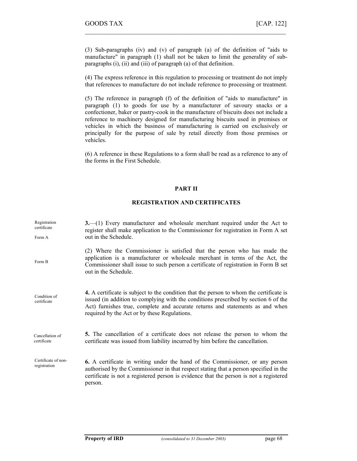(3) Sub-paragraphs (iv) and (v) of paragraph (a) of the definition of "aids to manufacture" in paragraph (1) shall not be taken to limit the generality of subparagraphs (i), (ii) and (iii) of paragraph (a) of that definition.

 $\mathcal{L}_\text{max}$  , and the contract of the contract of the contract of the contract of the contract of the contract of

(4) The express reference in this regulation to processing or treatment do not imply that references to manufacture do not include reference to processing or treatment.

(5) The reference in paragraph (f) of the definition of "aids to manufacture" in paragraph (1) to goods for use by a manufacturer of savoury snacks or a confectioner, baker or pastry-cook in the manufacture of biscuits does not include a reference to machinery designed for manufacturing biscuits used in premises or vehicles in which the business of manufacturing is carried on exclusively or principally for the purpose of sale by retail directly from those premises or vehicles.

(6) A reference in these Regulations to a form shall be read as a reference to any of the forms in the First Schedule.

## PART II

# REGISTRATION AND CERTIFICATES

| Registration<br>certificate<br>Form A | $3$ —(1) Every manufacturer and wholesale merchant required under the Act to<br>register shall make application to the Commissioner for registration in Form A set<br>out in the Schedule.                                                                                                                      |
|---------------------------------------|-----------------------------------------------------------------------------------------------------------------------------------------------------------------------------------------------------------------------------------------------------------------------------------------------------------------|
|                                       |                                                                                                                                                                                                                                                                                                                 |
| Form B                                | (2) Where the Commissioner is satisfied that the person who has made the<br>application is a manufacturer or wholesale merchant in terms of the Act, the<br>Commissioner shall issue to such person a certificate of registration in Form B set<br>out in the Schedule.                                         |
| Condition of<br>certificate           | 4. A certificate is subject to the condition that the person to whom the certificate is<br>issued (in addition to complying with the conditions prescribed by section 6 of the<br>Act) furnishes true, complete and accurate returns and statements as and when<br>required by the Act or by these Regulations. |
| Cancellation of<br>certificate        | 5. The cancellation of a certificate does not release the person to whom the<br>certificate was issued from liability incurred by him before the cancellation.                                                                                                                                                  |
| Certificate of non-<br>registration   | 6. A certificate in writing under the hand of the Commissioner, or any person<br>authorised by the Commissioner in that respect stating that a person specified in the<br>certificate is not a registered person is evidence that the person is not a registered<br>person.                                     |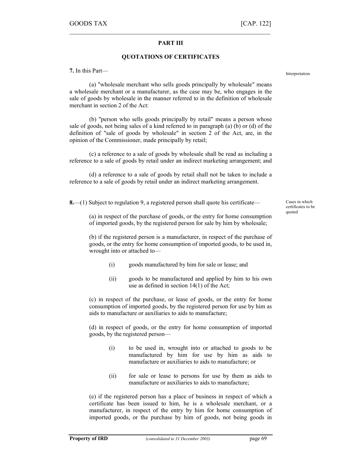## PART III

 $\mathcal{L}_\text{max} = \mathcal{L}_\text{max} = \mathcal{L}_\text{max} = \mathcal{L}_\text{max} = \mathcal{L}_\text{max} = \mathcal{L}_\text{max} = \mathcal{L}_\text{max} = \mathcal{L}_\text{max} = \mathcal{L}_\text{max} = \mathcal{L}_\text{max} = \mathcal{L}_\text{max} = \mathcal{L}_\text{max} = \mathcal{L}_\text{max} = \mathcal{L}_\text{max} = \mathcal{L}_\text{max} = \mathcal{L}_\text{max} = \mathcal{L}_\text{max} = \mathcal{L}_\text{max} = \mathcal{$ 

## QUOTATIONS OF CERTIFICATES

7. In this Part—

(a) "wholesale merchant who sells goods principally by wholesale" means a wholesale merchant or a manufacturer, as the case may be, who engages in the sale of goods by wholesale in the manner referred to in the definition of wholesale merchant in section 2 of the Act:

(b) "person who sells goods principally by retail" means a person whose sale of goods, not being sales of a kind referred to in paragraph (a) (b) or (d) of the definition of "sale of goods by wholesale" in section 2 of the Act, are, in the opinion of the Commissioner, made principally by retail;

(c) a reference to a sale of goods by wholesale shall be read as including a reference to a sale of goods by retail under an indirect marketing arrangement; and

(d) a reference to a sale of goods by retail shall not be taken to include a reference to a sale of goods by retail under an indirect marketing arrangement.

8.—(1) Subject to regulation 9, a registered person shall quote his certificate—

(a) in respect of the purchase of goods, or the entry for home consumption of imported goods, by the registered person for sale by him by wholesale;

(b) if the registered person is a manufacturer, in respect of the purchase of goods, or the entry for home consumption of imported goods, to be used in, wrought into or attached to—

- (i) goods manufactured by him for sale or lease; and
- (ii) goods to be manufactured and applied by him to his own use as defined in section 14(1) of the Act;

(c) in respect of the purchase, or lease of goods, or the entry for home consumption of imported goods, by the registered person for use by him as aids to manufacture or auxiliaries to aids to manufacture;

(d) in respect of goods, or the entry for home consumption of imported goods, by the registered person—

- (i) to be used in, wrought into or attached to goods to be manufactured by him for use by him as aids to manufacture or auxiliaries to aids to manufacture; or
- (ii) for sale or lease to persons for use by them as aids to manufacture or auxiliaries to aids to manufacture;

(e) if the registered person has a place of business in respect of which a certificate has been issued to him, he is a wholesale merchant, or a manufacturer, in respect of the entry by him for home consumption of imported goods, or the purchase by him of goods, not being goods in Cases in which certificates to be quoted

Interpretation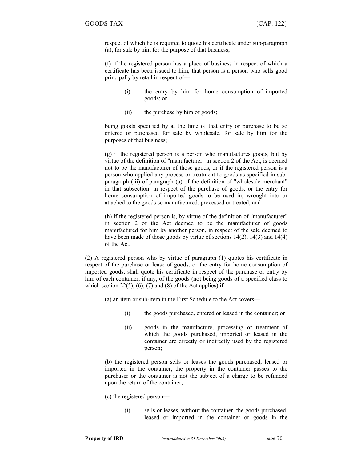respect of which he is required to quote his certificate under sub-paragraph (a), for sale by him for the purpose of that business;

 $\mathcal{L}_\text{max}$  , and the contract of the contract of the contract of the contract of the contract of the contract of

(f) if the registered person has a place of business in respect of which a certificate has been issued to him, that person is a person who sells good principally by retail in respect of—

- (i) the entry by him for home consumption of imported goods; or
- (ii) the purchase by him of goods;

being goods specified by at the time of that entry or purchase to be so entered or purchased for sale by wholesale, for sale by him for the purposes of that business;

(g) if the registered person is a person who manufactures goods, but by virtue of the definition of "manufacturer" in section 2 of the Act, is deemed not to be the manufacturer of those goods, or if the registered person is a person who applied any process or treatment to goods as specified in subparagraph (iii) of paragraph (a) of the definition of "wholesale merchant" in that subsection, in respect of the purchase of goods, or the entry for home consumption of imported goods to be used in, wrought into or attached to the goods so manufactured, processed or treated; and

(h) if the registered person is, by virtue of the definition of "manufacturer" in section 2 of the Act deemed to be the manufacturer of goods manufactured for him by another person, in respect of the sale deemed to have been made of those goods by virtue of sections 14(2), 14(3) and 14(4) of the Act.

(2) A registered person who by virtue of paragraph (1) quotes his certificate in respect of the purchase or lease of goods, or the entry for home consumption of imported goods, shall quote his certificate in respect of the purchase or entry by him of each container, if any, of the goods (not being goods of a specified class to which section 22(5), (6), (7) and (8) of the Act applies) if—

(a) an item or sub-item in the First Schedule to the Act covers—

- (i) the goods purchased, entered or leased in the container; or
- (ii) goods in the manufacture, processing or treatment of which the goods purchased, imported or leased in the container are directly or indirectly used by the registered person;

(b) the registered person sells or leases the goods purchased, leased or imported in the container, the property in the container passes to the purchaser or the container is not the subject of a charge to be refunded upon the return of the container;

(c) the registered person—

(i) sells or leases, without the container, the goods purchased, leased or imported in the container or goods in the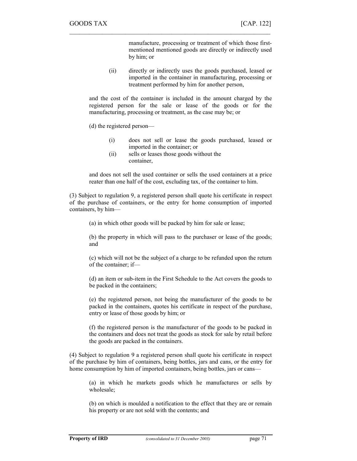manufacture, processing or treatment of which those firstmentioned mentioned goods are directly or indirectly used by him; or

(ii) directly or indirectly uses the goods purchased, leased or imported in the container in manufacturing, processing or treatment performed by him for another person,

and the cost of the container is included in the amount charged by the registered person for the sale or lease of the goods or for the manufacturing, processing or treatment, as the case may be; or

 $\mathcal{L}_\text{max} = \mathcal{L}_\text{max} = \mathcal{L}_\text{max} = \mathcal{L}_\text{max} = \mathcal{L}_\text{max} = \mathcal{L}_\text{max} = \mathcal{L}_\text{max} = \mathcal{L}_\text{max} = \mathcal{L}_\text{max} = \mathcal{L}_\text{max} = \mathcal{L}_\text{max} = \mathcal{L}_\text{max} = \mathcal{L}_\text{max} = \mathcal{L}_\text{max} = \mathcal{L}_\text{max} = \mathcal{L}_\text{max} = \mathcal{L}_\text{max} = \mathcal{L}_\text{max} = \mathcal{$ 

(d) the registered person—

- (i) does not sell or lease the goods purchased, leased or imported in the container; or
- (ii) sells or leases those goods without the container,

and does not sell the used container or sells the used containers at a price reater than one half of the cost, excluding tax, of the container to him.

(3) Subject to regulation 9, a registered person shall quote his certificate in respect of the purchase of containers, or the entry for home consumption of imported containers, by him—

(a) in which other goods will be packed by him for sale or lease;

(b) the property in which will pass to the purchaser or lease of the goods; and

(c) which will not be the subject of a charge to be refunded upon the return of the container; if—

(d) an item or sub-item in the First Schedule to the Act covers the goods to be packed in the containers;

(e) the registered person, not being the manufacturer of the goods to be packed in the containers, quotes his certificate in respect of the purchase, entry or lease of those goods by him; or

(f) the registered person is the manufacturer of the goods to be packed in the containers and does not treat the goods as stock for sale by retail before the goods are packed in the containers.

(4) Subject to regulation 9 a registered person shall quote his certificate in respect of the purchase by him of containers, being bottles, jars and cans, or the entry for home consumption by him of imported containers, being bottles, jars or cans—

(a) in which he markets goods which he manufactures or sells by wholesale;

(b) on which is moulded a notification to the effect that they are or remain his property or are not sold with the contents; and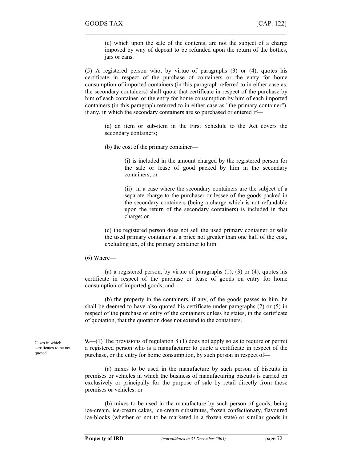(c) which upon the sale of the contents, are not the subject of a charge imposed by way of deposit to be refunded upon the return of the bottles, jars or cans.

(5) A registered person who, by virtue of paragraphs (3) or (4), quotes his certificate in respect of the purchase of containers or the entry for home consumption of imported containers (in this paragraph referred to in either case as, the secondary containers) shall quote that certificate in respect of the purchase by him of each container, or the entry for home consumption by him of each imported containers (in this paragraph referred to in either case as "the primary container"), if any, in which the secondary containers are so purchased or entered if—

 $\mathcal{L}_\text{max}$  , and the contract of the contract of the contract of the contract of the contract of the contract of

(a) an item or sub-item in the First Schedule to the Act covers the secondary containers;

(b) the cost of the primary container—

(i) is included in the amount charged by the registered person for the sale or lease of good packed by him in the secondary containers; or

(ii) in a case where the secondary containers are the subject of a separate charge to the purchaser or lessee of the goods packed in the secondary containers (being a charge which is not refundable upon the return of the secondary containers) is included in that charge; or

(c) the registered person does not sell the used primary container or sells the used primary container at a price not greater than one half of the cost, excluding tax, of the primary container to him.

### (6) Where—

(a) a registered person, by virtue of paragraphs  $(1)$ ,  $(3)$  or  $(4)$ , quotes his certificate in respect of the purchase or lease of goods on entry for home consumption of imported goods; and

(b) the property in the containers, if any, of the goods passes to him, he shall be deemed to have also quoted his certificate under paragraphs (2) or (5) in respect of the purchase or entry of the containers unless he states, in the certificate of quotation, that the quotation does not extend to the containers.

Cases in which certificates to be not quoted

**9.**—(1) The provisions of regulation 8 (1) does not apply so as to require or permit a registered person who is a manufacturer to quote a certificate in respect of the purchase, or the entry for home consumption, by such person in respect of—

(a) mixes to be used in the manufacture by such person of biscuits in premises or vehicles in which the business of manufacturing biscuits is carried on exclusively or principally for the purpose of sale by retail directly from those premises or vehicles: or

(b) mixes to be used in the manufacture by such person of goods, being ice-cream, ice-cream cakes, ice-cream substitutes, frozen confectionary, flavoured ice-blocks (whether or not to be marketed in a frozen state) or similar goods in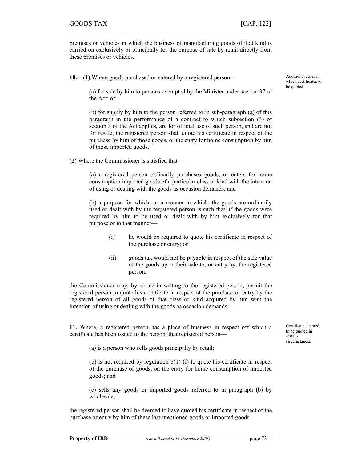premises or vehicles in which the business of manufacturing goods of that kind is carried on exclusively or principally for the purpose of sale by retail directly from these premises or vehicles.

 $\mathcal{L}_\text{max} = \mathcal{L}_\text{max} = \mathcal{L}_\text{max} = \mathcal{L}_\text{max} = \mathcal{L}_\text{max} = \mathcal{L}_\text{max} = \mathcal{L}_\text{max} = \mathcal{L}_\text{max} = \mathcal{L}_\text{max} = \mathcal{L}_\text{max} = \mathcal{L}_\text{max} = \mathcal{L}_\text{max} = \mathcal{L}_\text{max} = \mathcal{L}_\text{max} = \mathcal{L}_\text{max} = \mathcal{L}_\text{max} = \mathcal{L}_\text{max} = \mathcal{L}_\text{max} = \mathcal{$ 

10.—(1) Where goods purchased or entered by a registered person—

Additional cases in which certificates to be quoted

(a) for sale by him to persons exempted by the Minister under section 37 of the Act: or

(b) for supply by him to the person referred to in sub-paragraph (a) of this paragraph in the performance of a contract to which subsection (3) of section 3 of the Act applies, are for official use of such person, and are not for resale, the registered person shall quote his certificate in respect of the purchase by him of those goods, or the entry for home consumption by him of those imported goods.

(2) Where the Commissioner is satisfied that—

(a) a registered person ordinarily purchases goods, or enters for home consumption imported goods of a particular class or kind with the intention of using or dealing with the goods as occasion demands; and

(b) a purpose for which, or a manner in which, the goods are ordinarily used or dealt with by the registered person is such that, if the goods were required by him to be used or dealt with by him exclusively for that purpose or in that manner—

- (i) he would be required to quote his certificate in respect of the purchase or entry; or
- (ii) goods tax would not be payable in respect of the sale value of the goods upon their sale to, or entry by, the registered person.

the Commissioner may, by notice in writing to the registered person, permit the registered person to quote his certificate in respect of the purchase or entry by the registered person of all goods of that class or kind acquired by him with the intention of using or dealing with the goods as occasion demands.

11. Where, a registered person has a place of business in respect off which a certificate has been issued to the person, that registered person—

(a) is a person who sells goods principally by retail;

(b) is not required by regulation 8(1) (f) to quote his certificate in respect of the purchase of goods, on the entry for home consumption of imported goods; and

(c) sells any goods or imported goods referred to in paragraph (b) by wholesale,

the registered person shall be deemed to have quoted his certificate in respect of the purchase or entry by him of these last-mentioned goods or imported goods.

Certificate deemed to be quoted in certain circumstances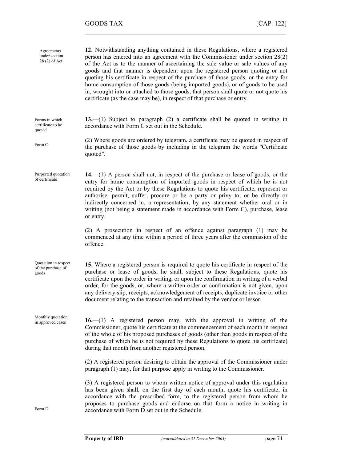12. Notwithstanding anything contained in these Regulations, where a registered person has entered into an agreement with the Commissioner under section 28(2) of the Act as to the manner of ascertaining the sale value or sale values of any goods and that manner is dependent upon the registered person quoting or not quoting his certificate in respect of the purchase of those goods, or the entry for home consumption of those goods (being imported goods), or of goods to be used in, wrought into or attached to those goods, that person shall quote or not quote his certificate (as the case may be), in respect of that purchase or entry. 13.—(1) Subject to paragraph (2) a certificate shall be quoted in writing in accordance with Form C set out in the Schedule. (2) Where goods are ordered by telegram, a certificate may be quoted in respect of the purchase of those goods by including in the telegram the words "Certificate quoted". 14.—(1) A person shall not, in respect of the purchase or lease of goods, or the entry for home consumption of imported goods in respect of which he is not required by the Act or by these Regulations to quote his certificate, represent or authorise, permit, suffer, procure or be a party or privy to, or be directly or indirectly concerned in, a representation, by any statement whether oral or in writing (not being a statement made in accordance with Form C), purchase, lease or entry. (2) A prosecution in respect of an offence against paragraph (1) may be commenced at any time within a period of three years after the commission of the offence. 15. Where a registered person is required to quote his certificate in respect of the purchase or lease of goods, he shall, subject to these Regulations, quote his certificate upon the order in writing, or upon the confirmation in writing of a verbal order, for the goods, or, where a written order or confirmation is not given, upon any delivery slip, receipts, acknowledgement of receipts, duplicate invoice or other document relating to the transaction and retained by the vendor or lessor. 16.—(1) A registered person may, with the approval in writing of the Commissioner, quote his certificate at the commencement of each month in respect of the whole of his proposed purchases of goods (other than goods in respect of the purchase of which he is not required by these Regulations to quote his certificate) during that month from another registered person. (2) A registered person desiring to obtain the approval of the Commissioner under paragraph (1) may, for that purpose apply in writing to the Commissioner. (3) A registered person to whom written notice of approval under this regulation has been given shall, on the first day of each month, quote his certificate, in accordance with the prescribed form, to the registered person from whom he proposes to purchase goods and endorse on that form a notice in writing in accordance with Form D set out in the Schedule. Agreements under section 28 (2) of Act Forms in which certificate to be quoted Form C Purported quotation of certificate Quotation in respect of the purchase of goods Monthly quotation in approved cases Form D

 $\mathcal{L}_\text{max}$  , and the contract of the contract of the contract of the contract of the contract of the contract of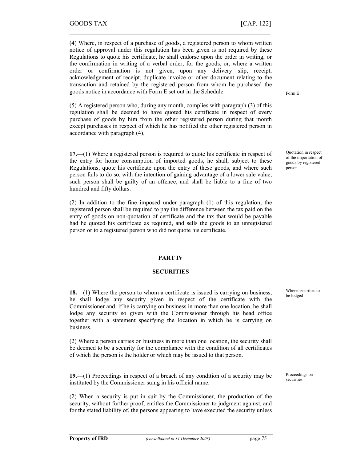(4) Where, in respect of a purchase of goods, a registered person to whom written notice of approval under this regulation has been given is not required by these Regulations to quote his certificate, he shall endorse upon the order in writing, or the confirmation in writing of a verbal order, for the goods, or, where a written order or confirmation is not given, upon any delivery slip, receipt, acknowledgement of receipt, duplicate invoice or other document relating to the transaction and retained by the registered person from whom he purchased the goods notice in accordance with Form E set out in the Schedule.

 $\mathcal{L}_\text{max} = \mathcal{L}_\text{max} = \mathcal{L}_\text{max} = \mathcal{L}_\text{max} = \mathcal{L}_\text{max} = \mathcal{L}_\text{max} = \mathcal{L}_\text{max} = \mathcal{L}_\text{max} = \mathcal{L}_\text{max} = \mathcal{L}_\text{max} = \mathcal{L}_\text{max} = \mathcal{L}_\text{max} = \mathcal{L}_\text{max} = \mathcal{L}_\text{max} = \mathcal{L}_\text{max} = \mathcal{L}_\text{max} = \mathcal{L}_\text{max} = \mathcal{L}_\text{max} = \mathcal{$ 

(5) A registered person who, during any month, complies with paragraph (3) of this regulation shall be deemed to have quoted his certificate in respect of every purchase of goods by him from the other registered person during that month except purchases in respect of which he has notified the other registered person in accordance with paragraph (4),

17.—(1) Where a registered person is required to quote his certificate in respect of the entry for home consumption of imported goods, he shall, subject to these Regulations, quote his certificate upon the entry of these goods, and where such person fails to do so, with the intention of gaining advantage of a lower sale value, such person shall be guilty of an offence, and shall be liable to a fine of two hundred and fifty dollars.

(2) In addition to the fine imposed under paragraph (1) of this regulation, the registered person shall be required to pay the difference between the tax paid on the entry of goods on non-quotation of certificate and the tax that would be payable had he quoted his certificate as required, and sells the goods to an unregistered person or to a registered person who did not quote his certificate.

## PART IV

### **SECURITIES**

18.—(1) Where the person to whom a certificate is issued is carrying on business, he shall lodge any security given in respect of the certificate with the Commissioner and, if he is carrying on business in more than one location, he shall lodge any security so given with the Commissioner through his head office together with a statement specifying the location in which he is carrying on business.

(2) Where a person carries on business in more than one location, the security shall be deemed to be a security for the compliance with the condition of all certificates of which the person is the holder or which may be issued to that person.

19.—(1) Proceedings in respect of a breach of any condition of a security may be instituted by the Commissioner suing in his official name.

(2) When a security is put in suit by the Commissioner, the production of the security, without further proof, entitles the Commissioner to judgment against, and for the stated liability of, the persons appearing to have executed the security unless Form E

Quotation in respect of the importation of goods by registered person

Where securities to be lodged

Proceedings on securities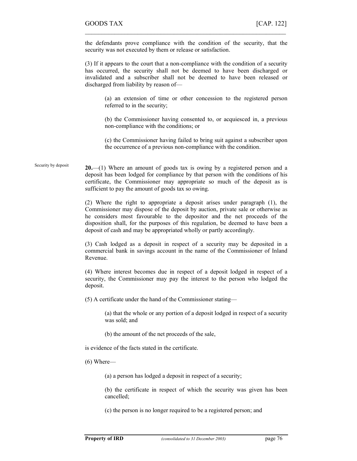the defendants prove compliance with the condition of the security, that the security was not executed by them or release or satisfaction.

 $\mathcal{L}_\text{max}$  , and the contract of the contract of the contract of the contract of the contract of the contract of

(3) If it appears to the court that a non-compliance with the condition of a security has occurred, the security shall not be deemed to have been discharged or invalidated and a subscriber shall not be deemed to have been released or discharged from liability by reason of—

(a) an extension of time or other concession to the registered person referred to in the security;

(b) the Commissioner having consented to, or acquiesced in, a previous non-compliance with the conditions; or

(c) the Commissioner having failed to bring suit against a subscriber upon the occurrence of a previous non-compliance with the condition.

#### 20.—(1) Where an amount of goods tax is owing by a registered person and a deposit has been lodged for compliance by that person with the conditions of his certificate, the Commissioner may appropriate so much of the deposit as is sufficient to pay the amount of goods tax so owing. Security by deposit

(2) Where the right to appropriate a deposit arises under paragraph (1), the Commissioner may dispose of the deposit by auction, private sale or otherwise as he considers most favourable to the depositor and the net proceeds of the disposition shall, for the purposes of this regulation, be deemed to have been a deposit of cash and may be appropriated wholly or partly accordingly.

(3) Cash lodged as a deposit in respect of a security may be deposited in a commercial bank in savings account in the name of the Commissioner of Inland Revenue.

(4) Where interest becomes due in respect of a deposit lodged in respect of a security, the Commissioner may pay the interest to the person who lodged the deposit.

(5) A certificate under the hand of the Commissioner stating—

(a) that the whole or any portion of a deposit lodged in respect of a security was sold; and

(b) the amount of the net proceeds of the sale,

is evidence of the facts stated in the certificate.

(6) Where—

(a) a person has lodged a deposit in respect of a security;

(b) the certificate in respect of which the security was given has been cancelled;

(c) the person is no longer required to be a registered person; and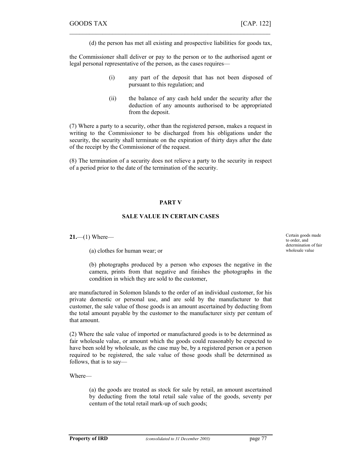(d) the person has met all existing and prospective liabilities for goods tax,

the Commissioner shall deliver or pay to the person or to the authorised agent or legal personal representative of the person, as the cases requires—

 $\mathcal{L}_\text{max} = \mathcal{L}_\text{max} = \mathcal{L}_\text{max} = \mathcal{L}_\text{max} = \mathcal{L}_\text{max} = \mathcal{L}_\text{max} = \mathcal{L}_\text{max} = \mathcal{L}_\text{max} = \mathcal{L}_\text{max} = \mathcal{L}_\text{max} = \mathcal{L}_\text{max} = \mathcal{L}_\text{max} = \mathcal{L}_\text{max} = \mathcal{L}_\text{max} = \mathcal{L}_\text{max} = \mathcal{L}_\text{max} = \mathcal{L}_\text{max} = \mathcal{L}_\text{max} = \mathcal{$ 

- (i) any part of the deposit that has not been disposed of pursuant to this regulation; and
- (ii) the balance of any cash held under the security after the deduction of any amounts authorised to be appropriated from the deposit.

(7) Where a party to a security, other than the registered person, makes a request in writing to the Commissioner to be discharged from his obligations under the security, the security shall terminate on the expiration of thirty days after the date of the receipt by the Commissioner of the request.

(8) The termination of a security does not relieve a party to the security in respect of a period prior to the date of the termination of the security.

## PART V

## SALE VALUE IN CERTAIN CASES

 $21$ —(1) Where—

(a) clothes for human wear; or

Certain goods made to order, and determination of fair wholesale value

(b) photographs produced by a person who exposes the negative in the camera, prints from that negative and finishes the photographs in the condition in which they are sold to the customer,

are manufactured in Solomon Islands to the order of an individual customer, for his private domestic or personal use, and are sold by the manufacturer to that customer, the sale value of those goods is an amount ascertained by deducting from the total amount payable by the customer to the manufacturer sixty per centum of that amount.

(2) Where the sale value of imported or manufactured goods is to be determined as fair wholesale value, or amount which the goods could reasonably be expected to have been sold by wholesale, as the case may be, by a registered person or a person required to be registered, the sale value of those goods shall be determined as follows, that is to say—

Where—

(a) the goods are treated as stock for sale by retail, an amount ascertained by deducting from the total retail sale value of the goods, seventy per centum of the total retail mark-up of such goods;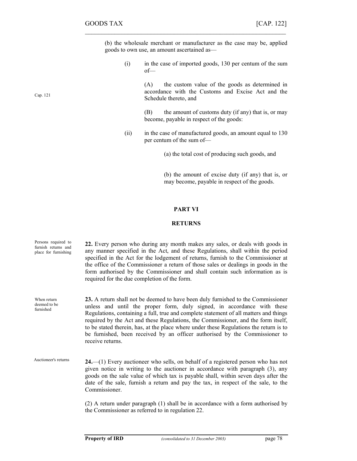(b) the wholesale merchant or manufacturer as the case may be, applied goods to own use, an amount ascertained as—

 $\mathcal{L}_\text{max}$  , and the contract of the contract of the contract of the contract of the contract of the contract of

(i) in the case of imported goods, 130 per centum of the sum of—

> (A) the custom value of the goods as determined in accordance with the Customs and Excise Act and the Schedule thereto, and

> (B) the amount of customs duty (if any) that is, or may become, payable in respect of the goods:

(ii) in the case of manufactured goods, an amount equal to 130 per centum of the sum of—

(a) the total cost of producing such goods, and

(b) the amount of excise duty (if any) that is, or may become, payable in respect of the goods.

### PART VI

### RETURNS

| Persons required to<br>furnish returns and<br>place for furnishing | 22. Every person who during any month makes any sales, or deals with goods in<br>any manner specified in the Act, and these Regulations, shall within the period<br>specified in the Act for the lodgement of returns, furnish to the Commissioner at<br>the office of the Commissioner a return of those sales or dealings in goods in the<br>form authorised by the Commissioner and shall contain such information as is<br>required for the due completion of the form.                                                            |
|--------------------------------------------------------------------|----------------------------------------------------------------------------------------------------------------------------------------------------------------------------------------------------------------------------------------------------------------------------------------------------------------------------------------------------------------------------------------------------------------------------------------------------------------------------------------------------------------------------------------|
| When return<br>deemed to be<br>furnished                           | 23. A return shall not be deemed to have been duly furnished to the Commissioner<br>unless and until the proper form, duly signed, in accordance with these<br>Regulations, containing a full, true and complete statement of all matters and things<br>required by the Act and these Regulations, the Commissioner, and the form itself,<br>to be stated therein, has, at the place where under these Regulations the return is to<br>be furnished, been received by an officer authorised by the Commissioner to<br>receive returns. |
| Auctioneer's returns                                               | $24$ —(1) Every auctioneer who sells, on behalf of a registered person who has not<br>given notice in writing to the auctioner in accordance with paragraph (3), any<br>goods on the sale value of which tax is payable shall, within seven days after the<br>date of the sale, furnish a return and pay the tax, in respect of the sale, to the<br>Commissioner.                                                                                                                                                                      |
|                                                                    | (2) A return under paragraph (1) shall be in accordance with a form authorised by<br>the Commissioner as referred to in regulation 22.                                                                                                                                                                                                                                                                                                                                                                                                 |

Cap. 121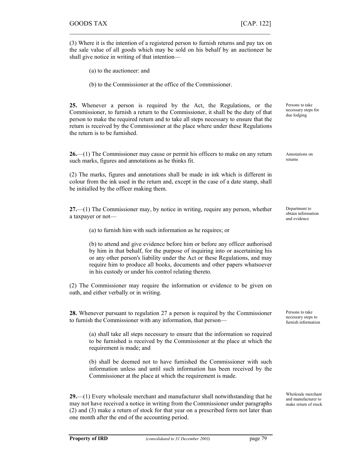(3) Where it is the intention of a registered person to furnish returns and pay tax on the sale value of all goods which may be sold on his behalf by an auctioneer he shall give notice in writing of that intention—

 $\mathcal{L}_\text{max} = \mathcal{L}_\text{max} = \mathcal{L}_\text{max} = \mathcal{L}_\text{max} = \mathcal{L}_\text{max} = \mathcal{L}_\text{max} = \mathcal{L}_\text{max} = \mathcal{L}_\text{max} = \mathcal{L}_\text{max} = \mathcal{L}_\text{max} = \mathcal{L}_\text{max} = \mathcal{L}_\text{max} = \mathcal{L}_\text{max} = \mathcal{L}_\text{max} = \mathcal{L}_\text{max} = \mathcal{L}_\text{max} = \mathcal{L}_\text{max} = \mathcal{L}_\text{max} = \mathcal{$ 

(a) to the auctioneer: and

(b) to the Commissioner at the office of the Commissioner.

25. Whenever a person is required by the Act, the Regulations, or the Commissioner, to furnish a return to the Commissioner, it shall be the duty of that person to make the required return and to take all steps necessary to ensure that the return is received by the Commissioner at the place where under these Regulations the return is to be furnished.

26.—(1) The Commissioner may cause or permit his officers to make on any return such marks, figures and annotations as he thinks fit.

(2) The marks, figures and annotations shall be made in ink which is different in colour from the ink used in the return and, except in the case of a date stamp, shall be initialled by the officer making them.

27.—(1) The Commissioner may, by notice in writing, require any person, whether a taxpayer or not—

(a) to furnish him with such information as he requires; or

(b) to attend and give evidence before him or before any officer authorised by him in that behalf, for the purpose of inquiring into or ascertaining his or any other person's liability under the Act or these Regulations, and may require him to produce all books, documents and other papers whatsoever in his custody or under his control relating thereto.

(2) The Commissioner may require the information or evidence to be given on oath, and either verbally or in writing.

28. Whenever pursuant to regulation 27 a person is required by the Commissioner to furnish the Commissioner with any information, that person—

(a) shall take all steps necessary to ensure that the information so required to be furnished is received by the Commissioner at the place at which the requirement is made; and

(b) shall be deemed not to have furnished the Commissioner with such information unless and until such information has been received by the Commissioner at the place at which the requirement is made.

29.—(1) Every wholesale merchant and manufacturer shall notwithstanding that he may not have received a notice in writing from the Commissioner under paragraphs (2) and (3) make a return of stock for that year on a prescribed form not later than one month after the end of the accounting period.

Persons to take necessary steps for due lodging

Annotations on returns

Department to obtain information and evidence

Persons to take necessary steps to furnish information

Wholesale merchant and manufacturer to make return of stock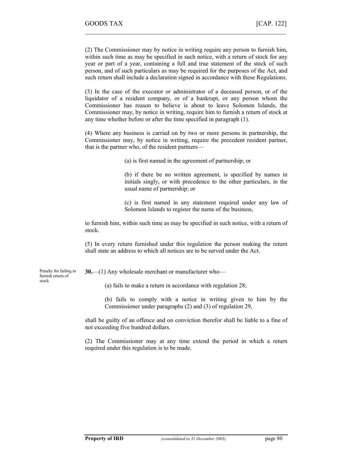(2) The Commissioner may by notice in writing require any person to furnish him, within such time as may be specified in such notice, with a return of stock for any year or part of a year, containing a full and true statement of the stock of such person, and of such particulars as may be required for the purposes of the Act, and such return shall include a declaration signed in accordance with these Regulations.

 $\mathcal{L}_\text{max}$  , and the contract of the contract of the contract of the contract of the contract of the contract of

(3) In the case of the executor or administrator of a deceased person, or of the liquidator of a resident company, or of a bankrupt, or any person whom the Commissioner has reason to believe is about to leave Solomon Islands, the Commissioner may, by notice in writing, require him to furnish a return of stock at any time whether before or after the time specified in paragraph (1).

(4) Where any business is carried on by two or more persons in partnership, the Commissioner may, by notice in writing, require the precedent resident partner, that is the partner who, of the resident partners—

(a) is first named in the agreement of partnership; or

(b) if there be no written agreement, is specified by names in initials singly, or with precedence to the other particulars, in the usual name of partnership; or

(c) is first named in any statement required under any law of Solomon Islands to register the name of the business,

to furnish him, within such time as may be specified in such notice, with a return of stock.

(5) In every return furnished under this regulation the person making the return shall state an address to which all notices are to be served under the Act.

Penalty for failing to furnish return of stock

30.—(1) Any wholesale merchant or manufacturer who—

- (a) fails to make a return in accordance with regulation 28;
- (b) fails to comply with a notice in writing given to him by the Commissioner under paragraphs (2) and (3) of regulation 29,

shall be guilty of an offence and on conviction therefor shall be liable to a fine of not exceeding five hundred dollars.

(2) The Commissioner may at any time extend the period in which a return required under this regulation is to be made.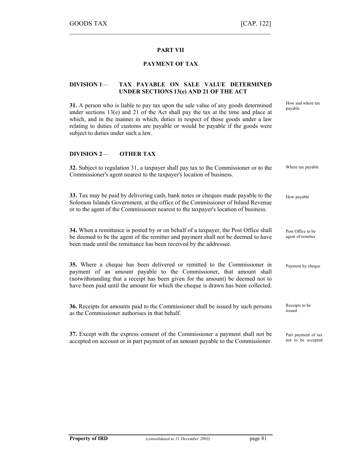How and where tax payable

# PART VII

 $\mathcal{L}_\text{max} = \mathcal{L}_\text{max} = \mathcal{L}_\text{max} = \mathcal{L}_\text{max} = \mathcal{L}_\text{max} = \mathcal{L}_\text{max} = \mathcal{L}_\text{max} = \mathcal{L}_\text{max} = \mathcal{L}_\text{max} = \mathcal{L}_\text{max} = \mathcal{L}_\text{max} = \mathcal{L}_\text{max} = \mathcal{L}_\text{max} = \mathcal{L}_\text{max} = \mathcal{L}_\text{max} = \mathcal{L}_\text{max} = \mathcal{L}_\text{max} = \mathcal{L}_\text{max} = \mathcal{$ 

## PAYMENT OF TAX

## DIVISION 1— TAX PAYABLE ON SALE VALUE DETERMINED UNDER SECTIONS 13(e) AND 21 OF THE ACT

31. A person who is liable to pay tax upon the sale value of any goods determined under sections 13(e) and 21 of the Act shall pay the tax at the time and place at which, and in the manner in which, duties in respect of those goods under a law relating to duties of customs are payable or would be payable if the goods were subject to duties under such a law.

## DIVISION 2— OTHER TAX

| 32. Subject to regulation 31, a taxpayer shall pay tax to the Commissioner or to the<br>Commissioner's agent nearest to the taxpayer's location of business.                                                                                                                                                            | Where tax payable                         |
|-------------------------------------------------------------------------------------------------------------------------------------------------------------------------------------------------------------------------------------------------------------------------------------------------------------------------|-------------------------------------------|
| 33. Tax may be paid by delivering cash, bank notes or cheques made payable to the<br>Solomon Islands Government, at the office of the Commissioner of Inland Revenue<br>or to the agent of the Commissioner nearest to the taxpayer's location of business.                                                             | How payable                               |
| <b>34.</b> When a remittance is posted by or on behalf of a taxpayer, the Post Office shall<br>be deemed to be the agent of the remitter and payment shall not be deemed to have<br>been made until the remittance has been received by the addressee.                                                                  | Post Office to be<br>agent of remitter    |
| 35. Where a cheque has been delivered or remitted to the Commissioner in<br>payment of an amount payable to the Commissioner, that amount shall<br>(notwithstanding that a receipt has been given for the amount) be deemed not to<br>have been paid until the amount for which the cheque is drawn has been collected. | Payment by cheque                         |
| 36. Receipts for amounts paid to the Commissioner shall be issued by such persons<br>as the Commissioner authorises in that behalf.                                                                                                                                                                                     | Receipts to be<br>issued                  |
| 37. Except with the express consent of the Commissioner a payment shall not be<br>accepted on account or in part payment of an amount payable to the Commissioner.                                                                                                                                                      | Part payment of tax<br>not to be accepted |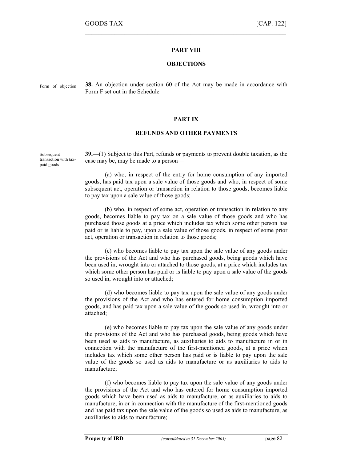## PART VIII

 $\mathcal{L}_\text{max}$  , and the contract of the contract of the contract of the contract of the contract of the contract of

### **OBJECTIONS**

Form of objection

38. An objection under section 60 of the Act may be made in accordance with Form F set out in the Schedule.

### PART IX

### REFUNDS AND OTHER PAYMENTS

39.—(1) Subject to this Part, refunds or payments to prevent double taxation, as the case may be, may be made to a person— **Subsequent** transaction with taxpaid goods

> (a) who, in respect of the entry for home consumption of any imported goods, has paid tax upon a sale value of those goods and who, in respect of some subsequent act, operation or transaction in relation to those goods, becomes liable to pay tax upon a sale value of those goods;

> (b) who, in respect of some act, operation or transaction in relation to any goods, becomes liable to pay tax on a sale value of those goods and who has purchased those goods at a price which includes tax which some other person has paid or is liable to pay, upon a sale value of those goods, in respect of some prior act, operation or transaction in relation to those goods;

> (c) who becomes liable to pay tax upon the sale value of any goods under the provisions of the Act and who has purchased goods, being goods which have been used in, wrought into or attached to those goods, at a price which includes tax which some other person has paid or is liable to pay upon a sale value of the goods so used in, wrought into or attached;

> (d) who becomes liable to pay tax upon the sale value of any goods under the provisions of the Act and who has entered for home consumption imported goods, and has paid tax upon a sale value of the goods so used in, wrought into or attached;

> (e) who becomes liable to pay tax upon the sale value of any goods under the provisions of the Act and who has purchased goods, being goods which have been used as aids to manufacture, as auxiliaries to aids to manufacture in or in connection with the manufacture of the first-mentioned goods, at a price which includes tax which some other person has paid or is liable to pay upon the sale value of the goods so used as aids to manufacture or as auxiliaries to aids to manufacture;

> (f) who becomes liable to pay tax upon the sale value of any goods under the provisions of the Act and who has entered for home consumption imported goods which have been used as aids to manufacture, or as auxiliaries to aids to manufacture, in or in connection with the manufacture of the first-mentioned goods and has paid tax upon the sale value of the goods so used as aids to manufacture, as auxiliaries to aids to manufacture;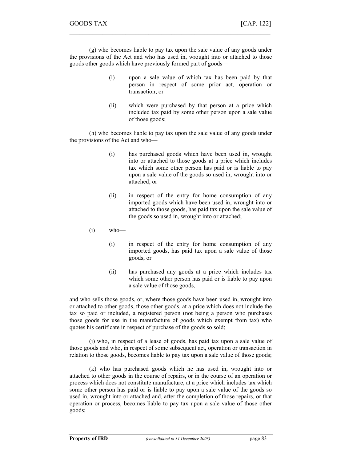(g) who becomes liable to pay tax upon the sale value of any goods under the provisions of the Act and who has used in, wrought into or attached to those goods other goods which have previously formed part of goods—

 $\mathcal{L}_\text{max} = \mathcal{L}_\text{max} = \mathcal{L}_\text{max} = \mathcal{L}_\text{max} = \mathcal{L}_\text{max} = \mathcal{L}_\text{max} = \mathcal{L}_\text{max} = \mathcal{L}_\text{max} = \mathcal{L}_\text{max} = \mathcal{L}_\text{max} = \mathcal{L}_\text{max} = \mathcal{L}_\text{max} = \mathcal{L}_\text{max} = \mathcal{L}_\text{max} = \mathcal{L}_\text{max} = \mathcal{L}_\text{max} = \mathcal{L}_\text{max} = \mathcal{L}_\text{max} = \mathcal{$ 

- (i) upon a sale value of which tax has been paid by that person in respect of some prior act, operation or transaction; or
- (ii) which were purchased by that person at a price which included tax paid by some other person upon a sale value of those goods;

(h) who becomes liable to pay tax upon the sale value of any goods under the provisions of the Act and who—

- (i) has purchased goods which have been used in, wrought into or attached to those goods at a price which includes tax which some other person has paid or is liable to pay upon a sale value of the goods so used in, wrought into or attached; or
- (ii) in respect of the entry for home consumption of any imported goods which have been used in, wrought into or attached to those goods, has paid tax upon the sale value of the goods so used in, wrought into or attached;
- $(i)$  who—
	- (i) in respect of the entry for home consumption of any imported goods, has paid tax upon a sale value of those goods; or
	- (ii) has purchased any goods at a price which includes tax which some other person has paid or is liable to pay upon a sale value of those goods,

and who sells those goods, or, where those goods have been used in, wrought into or attached to other goods, those other goods, at a price which does not include the tax so paid or included, a registered person (not being a person who purchases those goods for use in the manufacture of goods which exempt from tax) who quotes his certificate in respect of purchase of the goods so sold;

(j) who, in respect of a lease of goods, has paid tax upon a sale value of those goods and who, in respect of some subsequent act, operation or transaction in relation to those goods, becomes liable to pay tax upon a sale value of those goods;

(k) who has purchased goods which he has used in, wrought into or attached to other goods in the course of repairs, or in the course of an operation or process which does not constitute manufacture, at a price which includes tax which some other person has paid or is liable to pay upon a sale value of the goods so used in, wrought into or attached and, after the completion of those repairs, or that operation or process, becomes liable to pay tax upon a sale value of those other goods;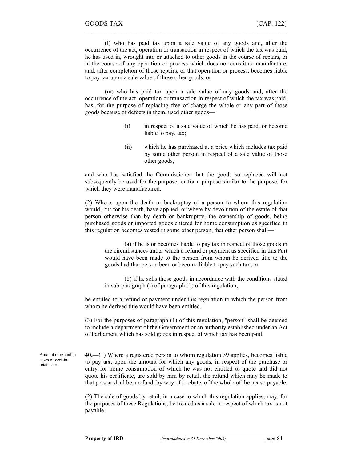(l) who has paid tax upon a sale value of any goods and, after the occurrence of the act, operation or transaction in respect of which the tax was paid, he has used in, wrought into or attached to other goods in the course of repairs, or in the course of any operation or process which does not constitute manufacture, and, after completion of those repairs, or that operation or process, becomes liable to pay tax upon a sale value of those other goods; or

 $\mathcal{L}_\text{max}$  , and the contract of the contract of the contract of the contract of the contract of the contract of

(m) who has paid tax upon a sale value of any goods and, after the occurrence of the act, operation or transaction in respect of which the tax was paid, has, for the purpose of replacing free of charge the whole or any part of those goods because of defects in them, used other goods—

- (i) in respect of a sale value of which he has paid, or become liable to pay, tax;
- (ii) which he has purchased at a price which includes tax paid by some other person in respect of a sale value of those other goods,

and who has satisfied the Commissioner that the goods so replaced will not subsequently be used for the purpose, or for a purpose similar to the purpose, for which they were manufactured.

(2) Where, upon the death or backruptcy of a person to whom this regulation would, but for his death, have applied, or where by devolution of the estate of that person otherwise than by death or bankruptcy, the ownership of goods, being purchased goods or imported goods entered for home consumption as specified in this regulation becomes vested in some other person, that other person shall—

(a) if he is or becomes liable to pay tax in respect of those goods in the circumstances under which a refund or payment as specified in this Part would have been made to the person from whom he derived title to the goods had that person been or become liable to pay such tax; or

(b) if he sells those goods in accordance with the conditions stated in sub-paragraph (i) of paragraph (1) of this regulation,

be entitled to a refund or payment under this regulation to which the person from whom he derived title would have been entitled.

(3) For the purposes of paragraph (1) of this regulation, "person" shall be deemed to include a department of the Government or an authority established under an Act of Parliament which has sold goods in respect of which tax has been paid.

Amount of refund in cases of certain retail sales

40.—(1) Where a registered person to whom regulation 39 applies, becomes liable to pay tax, upon the amount for which any goods, in respect of the purchase or entry for home consumption of which he was not entitled to quote and did not quote his certificate, are sold by him by retail, the refund which may be made to that person shall be a refund, by way of a rebate, of the whole of the tax so payable.

(2) The sale of goods by retail, in a case to which this regulation applies, may, for the purposes of these Regulations, be treated as a sale in respect of which tax is not payable.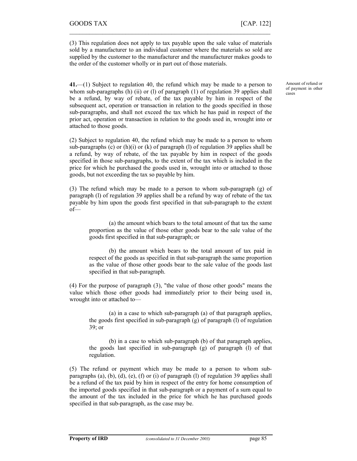(3) This regulation does not apply to tax payable upon the sale value of materials sold by a manufacturer to an individual customer where the materials so sold are supplied by the customer to the manufacturer and the manufacturer makes goods to the order of the customer wholly or in part out of those materials.

 $\mathcal{L}_\text{max} = \mathcal{L}_\text{max} = \mathcal{L}_\text{max} = \mathcal{L}_\text{max} = \mathcal{L}_\text{max} = \mathcal{L}_\text{max} = \mathcal{L}_\text{max} = \mathcal{L}_\text{max} = \mathcal{L}_\text{max} = \mathcal{L}_\text{max} = \mathcal{L}_\text{max} = \mathcal{L}_\text{max} = \mathcal{L}_\text{max} = \mathcal{L}_\text{max} = \mathcal{L}_\text{max} = \mathcal{L}_\text{max} = \mathcal{L}_\text{max} = \mathcal{L}_\text{max} = \mathcal{$ 

41.—(1) Subject to regulation 40, the refund which may be made to a person to whom sub-paragraphs (h) (ii) or (l) of paragraph (1) of regulation 39 applies shall be a refund, by way of rebate, of the tax payable by him in respect of the subsequent act, operation or transaction in relation to the goods specified in those sub-paragraphs, and shall not exceed the tax which he has paid in respect of the prior act, operation or transaction in relation to the goods used in, wrought into or attached to those goods.

(2) Subject to regulation 40, the refund which may be made to a person to whom sub-paragraphs (c) or (h)(i) or (k) of paragraph (l) of regulation 39 applies shall be a refund, by way of rebate, of the tax payable by him in respect of the goods specified in those sub-paragraphs, to the extent of the tax which is included in the price for which he purchased the goods used in, wrought into or attached to those goods, but not exceeding the tax so payable by him.

(3) The refund which may be made to a person to whom sub-paragraph (g) of paragraph (l) of regulation 39 applies shall be a refund by way of rebate of the tax payable by him upon the goods first specified in that sub-paragraph to the extent of—

(a) the amount which bears to the total amount of that tax the same proportion as the value of those other goods bear to the sale value of the goods first specified in that sub-paragraph; or

(b) the amount which bears to the total amount of tax paid in respect of the goods as specified in that sub-paragraph the same proportion as the value of those other goods bear to the sale value of the goods last specified in that sub-paragraph.

(4) For the purpose of paragraph (3), "the value of those other goods" means the value which those other goods had immediately prior to their being used in, wrought into or attached to—

(a) in a case to which sub-paragraph (a) of that paragraph applies, the goods first specified in sub-paragraph (g) of paragraph (l) of regulation 39; or

(b) in a case to which sub-paragraph (b) of that paragraph applies, the goods last specified in sub-paragraph (g) of paragraph (l) of that regulation.

(5) The refund or payment which may be made to a person to whom subparagraphs (a), (b), (d), (e), (f) or (i) of paragraph (l) of regulation 39 applies shall be a refund of the tax paid by him in respect of the entry for home consumption of the imported goods specified in that sub-paragraph or a payment of a sum equal to the amount of the tax included in the price for which he has purchased goods specified in that sub-paragraph, as the case may be.

Amount of refund or of payment in other cases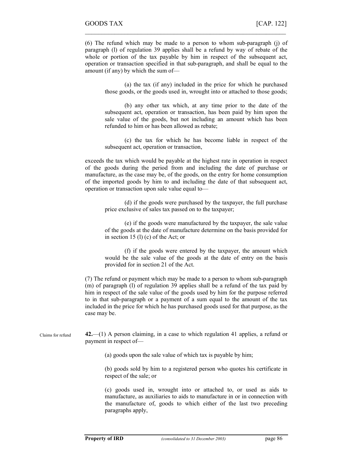(6) The refund which may be made to a person to whom sub-paragraph (j) of paragraph (l) of regulation 39 applies shall be a refund by way of rebate of the whole or portion of the tax payable by him in respect of the subsequent act, operation or transaction specified in that sub-paragraph, and shall be equal to the amount (if any) by which the sum of—

 $\mathcal{L}_\text{max}$  , and the contract of the contract of the contract of the contract of the contract of the contract of

(a) the tax (if any) included in the price for which he purchased those goods, or the goods used in, wrought into or attached to those goods;

(b) any other tax which, at any time prior to the date of the subsequent act, operation or transaction, has been paid by him upon the sale value of the goods, but not including an amount which has been refunded to him or has been allowed as rebate;

(c) the tax for which he has become liable in respect of the subsequent act, operation or transaction,

exceeds the tax which would be payable at the highest rate in operation in respect of the goods during the period from and including the date of purchase or manufacture, as the case may be, of the goods, on the entry for home consumption of the imported goods by him to and including the date of that subsequent act, operation or transaction upon sale value equal to—

(d) if the goods were purchased by the taxpayer, the full purchase price exclusive of sales tax passed on to the taxpayer;

(e) if the goods were manufactured by the taxpayer, the sale value of the goods at the date of manufacture determine on the basis provided for in section 15 (l) (c) of the Act; or

(f) if the goods were entered by the taxpayer, the amount which would be the sale value of the goods at the date of entry on the basis provided for in section 21 of the Act.

(7) The refund or payment which may be made to a person to whom sub-paragraph (m) of paragraph (l) of regulation 39 applies shall be a refund of the tax paid by him in respect of the sale value of the goods used by him for the purpose referred to in that sub-paragraph or a payment of a sum equal to the amount of the tax included in the price for which he has purchased goods used for that purpose, as the case may be.

42.—(1) A person claiming, in a case to which regulation 41 applies, a refund or payment in respect of— Claims for refund

(a) goods upon the sale value of which tax is payable by him;

(b) goods sold by him to a registered person who quotes his certificate in respect of the sale; or

(c) goods used in, wrought into or attached to, or used as aids to manufacture, as auxiliaries to aids to manufacture in or in connection with the manufacture of, goods to which either of the last two preceding paragraphs apply,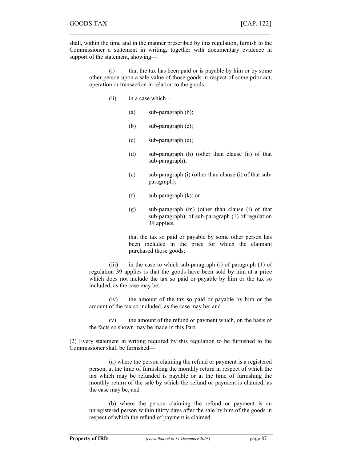shall, within the time and in the manner prescribed by this regulation, furnish to the Commissioner a statement in writing, together with documentary evidence in support of the statement, showing—

 $\mathcal{L}_\text{max} = \mathcal{L}_\text{max} = \mathcal{L}_\text{max} = \mathcal{L}_\text{max} = \mathcal{L}_\text{max} = \mathcal{L}_\text{max} = \mathcal{L}_\text{max} = \mathcal{L}_\text{max} = \mathcal{L}_\text{max} = \mathcal{L}_\text{max} = \mathcal{L}_\text{max} = \mathcal{L}_\text{max} = \mathcal{L}_\text{max} = \mathcal{L}_\text{max} = \mathcal{L}_\text{max} = \mathcal{L}_\text{max} = \mathcal{L}_\text{max} = \mathcal{L}_\text{max} = \mathcal{$ 

(i) that the tax has been paid or is payable by him or by some other person upon a sale value of those goods in respect of some prior act, operation or transaction in relation to the goods;

- (ii) in a case which—
	- (a) sub-paragraph (b);
	- (b) sub-paragraph (c);
	- (c) sub-paragraph (e);
	- (d) sub-paragraph (h) (other than clause (ii) of that sub-paragraph);
	- (e) sub-paragraph (i) (other than clause (i) of that subparagraph);
	- (f) sub-paragraph (k); or
	- (g) sub-paragraph (m) (other than clause (i) of that sub-paragraph), of sub-paragraph (1) of regulation 39 applies,

that the tax so paid or payable by some other person has been included in the price for which the claimant purchased those goods;

(iii) in the case to which sub-paragraph (i) of paragraph (1) of regulation 39 applies is that the goods have been sold by him at a price which does not include the tax so paid or payable by him or the tax so included, as the case may be;

(iv) the amount of the tax so paid or payable by him or the amount of the tax so included, as the case may be; and

(v) the amount of the refund or payment which, on the basis of the facts so shown may be made in this Part.

(2) Every statement in writing required by this regulation to be furnished to the Commissioner shall be furnished—

(a) where the person claiming the refund or payment is a registered person, at the time of furnishing the monthly return in respect of which the tax which may be refunded is payable or at the time of furnishing the monthly return of the sale by which the refund or payment is claimed, as the case may be; and

(b) where the person claiming the refund or payment is an unregistered person within thirty days after the sale by him of the goods in respect of which the refund of payment is claimed.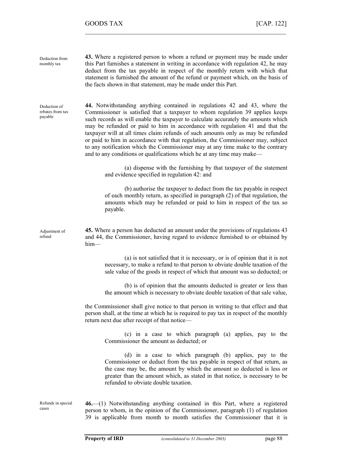43. Where a registered person to whom a refund or payment may be made under this Part furnishes a statement in writing in accordance with regulation 42, he may deduct from the tax payable in respect of the monthly return with which that statement is furnished the amount of the refund or payment which, on the basis of the facts shown in that statement, may be made under this Part. 44. Notwithstanding anything contained in regulations 42 and 43, where the Commissioner is satisfied that a taxpayer to whom regulation 39 applies keeps such records as will enable the taxpayer to calculate accurately the amounts which may be refunded or paid to him in accordance with regulation 41 and that the taxpayer will at all times claim refunds of such amounts only as may be refunded or paid to him in accordance with that regulation, the Commissioner may, subject to any notification which the Commissioner may at any time make to the contrary and to any conditions or qualifications which he at any time may make— (a) dispense with the furnishing by that taxpayer of the statement and evidence specified in regulation 42: and (b) authorise the taxpayer to deduct from the tax payable in respect of each monthly return, as specified in paragraph (2) of that regulation, the amounts which may be refunded or paid to him in respect of the tax so payable. 45. Where a person has deducted an amount under the provisions of regulations 43 and 44, the Commissioner, having regard to evidence furnished to or obtained by him— (a) is not satisfied that it is necessary, or is of opinion that it is not necessary, to make a refund to that person to obviate double taxation of the sale value of the goods in respect of which that amount was so deducted; or (b) is of opinion that the amounts deducted is greater or less than the amount which is necessary to obviate double taxation of that sale value, the Commissioner shall give notice to that person in writing to that effect and that person shall, at the time at which he is required to pay tax in respect of the monthly return next due after receipt of that notice— (c) in a case to which paragraph (a) applies, pay to the Commissioner the amount as deducted; or (d) in a case to which paragraph (b) applies, pay to the Commissioner or deduct from the tax payable in respect of that return, as the case may be, the amount by which the amount so deducted is less or greater than the amount which, as stated in that notice, is necessary to be refunded to obviate double taxation. 46.—(1) Notwithstanding anything contained in this Part, where a registered person to whom, in the opinion of the Commissioner, paragraph (1) of regulation 39 is applicable from month to month satisfies the Commissioner that it is Deduction from monthly tax Deduction of rebates from tax payable Adjustment of refund Refunds in special cases

 $\mathcal{L}_\text{max}$  , and the contract of the contract of the contract of the contract of the contract of the contract of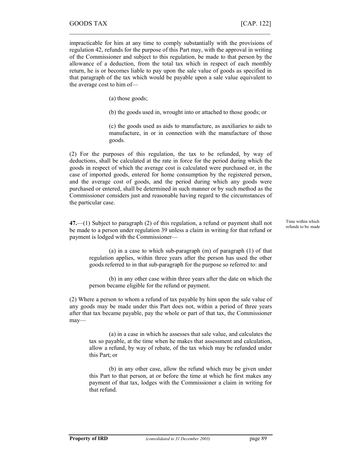impracticable for him at any time to comply substantially with the provisions of regulation 42, refunds for the purpose of this Part may, with the approval in writing of the Commissioner and subject to this regulation, be made to that person by the allowance of a deduction, from the total tax which in respect of each monthly return, he is or becomes liable to pay upon the sale value of goods as specified in that paragraph of the tax which would be payable upon a sale value equivalent to the average cost to him of—

 $\mathcal{L}_\text{max} = \mathcal{L}_\text{max} = \mathcal{L}_\text{max} = \mathcal{L}_\text{max} = \mathcal{L}_\text{max} = \mathcal{L}_\text{max} = \mathcal{L}_\text{max} = \mathcal{L}_\text{max} = \mathcal{L}_\text{max} = \mathcal{L}_\text{max} = \mathcal{L}_\text{max} = \mathcal{L}_\text{max} = \mathcal{L}_\text{max} = \mathcal{L}_\text{max} = \mathcal{L}_\text{max} = \mathcal{L}_\text{max} = \mathcal{L}_\text{max} = \mathcal{L}_\text{max} = \mathcal{$ 

(a) those goods;

(b) the goods used in, wrought into or attached to those goods; or

(c) the goods used as aids to manufacture, as auxiliaries to aids to manufacture, in or in connection with the manufacture of those goods.

(2) For the purposes of this regulation, the tax to be refunded, by way of deductions, shall be calculated at the rate in force for the period during which the goods in respect of which the average cost is calculated were purchased or, in the case of imported goods, entered for home consumption by the registered person, and the average cost of goods, and the period during which any goods were purchased or entered, shall be determined in such manner or by such method as the Commissioner considers just and reasonable having regard to the circumstances of the particular case.

47.—(1) Subject to paragraph (2) of this regulation, a refund or payment shall not be made to a person under regulation 39 unless a claim in writing for that refund or payment is lodged with the Commissioner—

(a) in a case to which sub-paragraph (m) of paragraph (1) of that regulation applies, within three years after the person has used the other goods referred to in that sub-paragraph for the purpose so referred to: and

(b) in any other case within three years after the date on which the person became eligible for the refund or payment.

(2) Where a person to whom a refund of tax payable by him upon the sale value of any goods may be made under this Part does not, within a period of three years after that tax became payable, pay the whole or part of that tax, the Commissioner may—

(a) in a case in which he assesses that sale value, and calculates the tax so payable, at the time when he makes that assessment and calculation, allow a refund, by way of rebate, of the tax which may be refunded under this Part; or

(b) in any other case, allow the refund which may be given under this Part to that person, at or before the time at which he first makes any payment of that tax, lodges with the Commissioner a claim in writing for that refund.

Time within which refunds to be made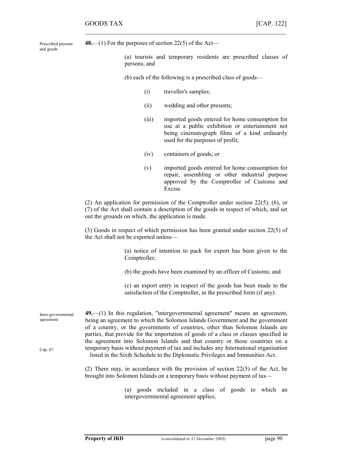Prescribed persons and goods

48.—(1) For the purposes of section 22(5) of the Act—

(a) tourists and temporary residents are prescribed classes of persons; and

(b) each of the following is a prescribed class of goods—

- (i) traveller's samples;
- (ii) wedding and other presents;

 $\mathcal{L}_\text{max}$  , and the contract of the contract of the contract of the contract of the contract of the contract of

- (iii) imported goods entered for home consumption for use at a public exhibition or entertainment not being cinematograph films of a kind ordinarily used for the purposes of profit;
- (iv) containers of goods; or
- (v) imported goods entered for home consumption for repair, assembling or other industrial purpose approved by the Comptroller of Customs and Excise.

(2) An application for permission of the Comptroller under section 22(5), (6), or (7) of the Act shall contain a description of the goods in respect of which, and set out the grounds on which, the application is made.

(3) Goods in respect of which permission has been granted under section 22(5) of the Act shall not be exported unless—

> (a) notice of intention to pack for export has been given to the Comptroller;

(b) the goods have been examined by an officer of Customs; and

(c) an export entry in respect of the goods has been made to the satisfaction of the Comptroller, in the prescribed form (if any).

49.—(1) In this regulation, "intergovernmental agreement" means an agreement, being an agreement to which the Solomon Islands Government and the government of a country, or the governments of countries, other than Solomon Islands are parties, that provide for the importation of goods of a class or classes specified in the agreement into Solomon Islands and that country or those countries on a temporary basis without payment of tax and includes any International organisation listed in the Sixth Schedule to the Diplomatic Privileges and Immunities Act. Inter-governmental agreement Cap. 67

> (2) There may, in accordance with the provision of section 22(5) of the Act, be brought into Solomon Islands on a temporary basis without payment of tax—

> > (a) goods included in a class of goods to which an intergovernmental agreement applies;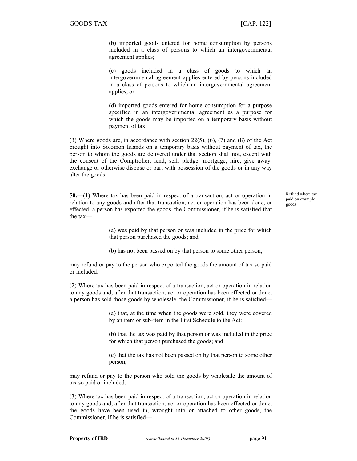(b) imported goods entered for home consumption by persons included in a class of persons to which an intergovernmental agreement applies;

 $\mathcal{L}_\text{max} = \mathcal{L}_\text{max} = \mathcal{L}_\text{max} = \mathcal{L}_\text{max} = \mathcal{L}_\text{max} = \mathcal{L}_\text{max} = \mathcal{L}_\text{max} = \mathcal{L}_\text{max} = \mathcal{L}_\text{max} = \mathcal{L}_\text{max} = \mathcal{L}_\text{max} = \mathcal{L}_\text{max} = \mathcal{L}_\text{max} = \mathcal{L}_\text{max} = \mathcal{L}_\text{max} = \mathcal{L}_\text{max} = \mathcal{L}_\text{max} = \mathcal{L}_\text{max} = \mathcal{$ 

(c) goods included in a class of goods to which an intergovernmental agreement applies entered by persons included in a class of persons to which an intergovernmental agreement applies; or

(d) imported goods entered for home consumption for a purpose specified in an intergovernmental agreement as a purpose for which the goods may be imported on a temporary basis without payment of tax.

(3) Where goods are, in accordance with section  $22(5)$ ,  $(6)$ ,  $(7)$  and  $(8)$  of the Act brought into Solomon Islands on a temporary basis without payment of tax, the person to whom the goods are delivered under that section shall not, except with the consent of the Comptroller, lend, sell, pledge, mortgage, hire, give away, exchange or otherwise dispose or part with possession of the goods or in any way alter the goods.

50.—(1) Where tax has been paid in respect of a transaction, act or operation in relation to any goods and after that transaction, act or operation has been done, or effected, a person has exported the goods, the Commissioner, if he is satisfied that the taxRefund where tax paid on example goods

(a) was paid by that person or was included in the price for which that person purchased the goods; and

(b) has not been passed on by that person to some other person,

may refund or pay to the person who exported the goods the amount of tax so paid or included.

(2) Where tax has been paid in respect of a transaction, act or operation in relation to any goods and, after that transaction, act or operation has been effected or done, a person has sold those goods by wholesale, the Commissioner, if he is satisfied—

> (a) that, at the time when the goods were sold, they were covered by an item or sub-item in the First Schedule to the Act:

> (b) that the tax was paid by that person or was included in the price for which that person purchased the goods; and

> (c) that the tax has not been passed on by that person to some other person,

may refund or pay to the person who sold the goods by wholesale the amount of tax so paid or included.

(3) Where tax has been paid in respect of a transaction, act or operation in relation to any goods and, after that transaction, act or operation has been effected or done, the goods have been used in, wrought into or attached to other goods, the Commissioner, if he is satisfied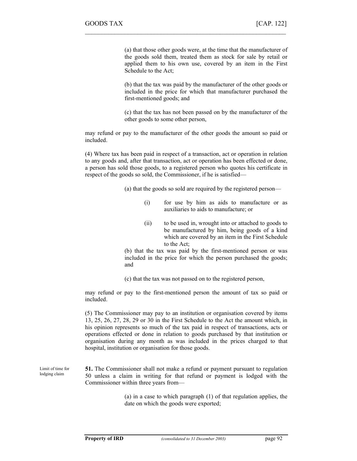(a) that those other goods were, at the time that the manufacturer of the goods sold them, treated them as stock for sale by retail or applied them to his own use, covered by an item in the First Schedule to the Act;

(b) that the tax was paid by the manufacturer of the other goods or included in the price for which that manufacturer purchased the first-mentioned goods; and

(c) that the tax has not been passed on by the manufacturer of the other goods to some other person,

may refund or pay to the manufacturer of the other goods the amount so paid or included.

 $\mathcal{L}_\text{max}$  , and the contract of the contract of the contract of the contract of the contract of the contract of

(4) Where tax has been paid in respect of a transaction, act or operation in relation to any goods and, after that transaction, act or operation has been effected or done, a person has sold those goods, to a registered person who quotes his certificate in respect of the goods so sold, the Commissioner, if he is satisfied—

(a) that the goods so sold are required by the registered person—

- (i) for use by him as aids to manufacture or as auxiliaries to aids to manufacture; or
- (ii) to be used in, wrought into or attached to goods to be manufactured by him, being goods of a kind which are covered by an item in the First Schedule to the Act;

(b) that the tax was paid by the first-mentioned person or was included in the price for which the person purchased the goods; and

(c) that the tax was not passed on to the registered person,

may refund or pay to the first-mentioned person the amount of tax so paid or included.

(5) The Commissioner may pay to an institution or organisation covered by items 13, 25, 26, 27, 28, 29 or 30 in the First Schedule to the Act the amount which, in his opinion represents so much of the tax paid in respect of transactions, acts or operations effected or done in relation to goods purchased by that institution or organisation during any month as was included in the prices charged to that hospital, institution or organisation for those goods.

Limit of time for lodging claim

51. The Commissioner shall not make a refund or payment pursuant to regulation 50 unless a claim in writing for that refund or payment is lodged with the Commissioner within three years from—

> (a) in a case to which paragraph (1) of that regulation applies, the date on which the goods were exported;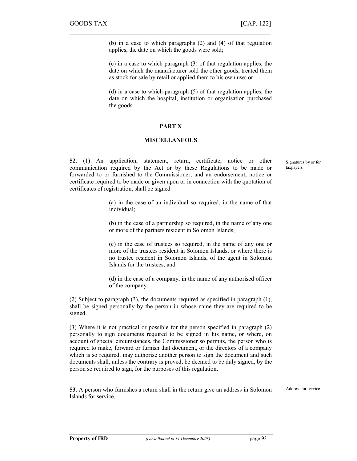(b) in a case to which paragraphs (2) and (4) of that regulation applies, the date on which the goods were sold;

(c) in a case to which paragraph (3) of that regulation applies, the date on which the manufacturer sold the other goods, treated them as stock for sale by retail or applied them to his own use: or

(d) in a case to which paragraph (5) of that regulation applies, the date on which the hospital, institution or organisation purchased the goods.

## PART X

 $\mathcal{L}_\text{max} = \mathcal{L}_\text{max} = \mathcal{L}_\text{max} = \mathcal{L}_\text{max} = \mathcal{L}_\text{max} = \mathcal{L}_\text{max} = \mathcal{L}_\text{max} = \mathcal{L}_\text{max} = \mathcal{L}_\text{max} = \mathcal{L}_\text{max} = \mathcal{L}_\text{max} = \mathcal{L}_\text{max} = \mathcal{L}_\text{max} = \mathcal{L}_\text{max} = \mathcal{L}_\text{max} = \mathcal{L}_\text{max} = \mathcal{L}_\text{max} = \mathcal{L}_\text{max} = \mathcal{$ 

### MISCELLANEOUS

52.—(1) An application, statement, return, certificate, notice or other communication required by the Act or by these Regulations to be made or forwarded to or furnished to the Commissioner, and an endorsement, notice or certificate required to be made or given upon or in connection with the quotation of certificates of registration, shall be signedSignatures by or for taxpayers

(a) in the case of an individual so required, in the name of that individual;

(b) in the case of a partnership so required, in the name of any one or more of the partners resident in Solomon Islands;

(c) in the case of trustees so required, in the name of any one or more of the trustees resident in Solomon Islands, or where there is no trustee resident in Solomon Islands, of the agent in Solomon Islands for the trustees; and

(d) in the case of a company, in the name of any authorised officer of the company.

(2) Subject to paragraph (3), the documents required as specified in paragraph (1), shall be signed personally by the person in whose name they are required to be signed.

(3) Where it is not practical or possible for the person specified in paragraph (2) personally to sign documents required to be signed in his name, or where, on account of special circumstances, the Commissioner so permits, the person who is required to make, forward or furnish that document, or the directors of a company which is so required, may authorise another person to sign the document and such documents shall, unless the contrary is proved, be deemed to be duly signed, by the person so required to sign, for the purposes of this regulation.

53. A person who furnishes a return shall in the return give an address in Solomon Islands for service.

Address for service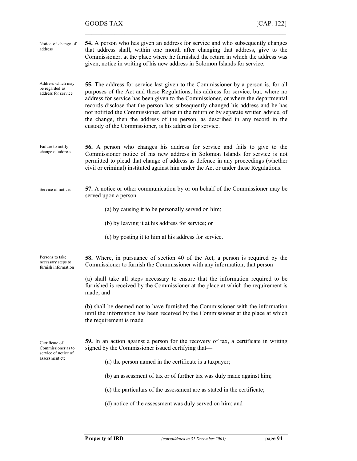# GOODS TAX [CAP. 122]

| Notice of change of<br>address                               | 54. A person who has given an address for service and who subsequently changes<br>that address shall, within one month after changing that address, give to the<br>Commissioner, at the place where he furnished the return in which the address was<br>given, notice in writing of his new address in Solomon Islands for service.                                                                                                                                                                                                                                                           |
|--------------------------------------------------------------|-----------------------------------------------------------------------------------------------------------------------------------------------------------------------------------------------------------------------------------------------------------------------------------------------------------------------------------------------------------------------------------------------------------------------------------------------------------------------------------------------------------------------------------------------------------------------------------------------|
| Address which may<br>be regarded as<br>address for service   | <b>55.</b> The address for service last given to the Commissioner by a person is, for all<br>purposes of the Act and these Regulations, his address for service, but, where no<br>address for service has been given to the Commissioner, or where the departmental<br>records disclose that the person has subsequently changed his address and he has<br>not notified the Commissioner, either in the return or by separate written advice, of<br>the change, then the address of the person, as described in any record in the<br>custody of the Commissioner, is his address for service. |
| Failure to notify<br>change of address                       | <b>56.</b> A person who changes his address for service and fails to give to the<br>Commissioner notice of his new address in Solomon Islands for service is not<br>permitted to plead that change of address as defence in any proceedings (whether<br>civil or criminal) instituted against him under the Act or under these Regulations.                                                                                                                                                                                                                                                   |
| Service of notices                                           | 57. A notice or other communication by or on behalf of the Commissioner may be<br>served upon a person-                                                                                                                                                                                                                                                                                                                                                                                                                                                                                       |
|                                                              | (a) by causing it to be personally served on him;                                                                                                                                                                                                                                                                                                                                                                                                                                                                                                                                             |
|                                                              | (b) by leaving it at his address for service; or                                                                                                                                                                                                                                                                                                                                                                                                                                                                                                                                              |
|                                                              | (c) by posting it to him at his address for service.                                                                                                                                                                                                                                                                                                                                                                                                                                                                                                                                          |
| Persons to take<br>necessary steps to<br>furnish information | <b>58.</b> Where, in pursuance of section 40 of the Act, a person is required by the<br>Commissioner to furnish the Commissioner with any information, that person-                                                                                                                                                                                                                                                                                                                                                                                                                           |
|                                                              | (a) shall take all steps necessary to ensure that the information required to be<br>furnished is received by the Commissioner at the place at which the requirement is<br>made; and                                                                                                                                                                                                                                                                                                                                                                                                           |
|                                                              | (b) shall be deemed not to have furnished the Commissioner with the information<br>until the information has been received by the Commissioner at the place at which<br>the requirement is made.                                                                                                                                                                                                                                                                                                                                                                                              |
| Certificate of<br>Commissioner as to<br>service of notice of | 59. In an action against a person for the recovery of tax, a certificate in writing<br>signed by the Commissioner issued certifying that-                                                                                                                                                                                                                                                                                                                                                                                                                                                     |
| assessment etc                                               | (a) the person named in the certificate is a taxpayer;                                                                                                                                                                                                                                                                                                                                                                                                                                                                                                                                        |
|                                                              | (b) an assessment of tax or of further tax was duly made against him;                                                                                                                                                                                                                                                                                                                                                                                                                                                                                                                         |
|                                                              | (c) the particulars of the assessment are as stated in the certificate;                                                                                                                                                                                                                                                                                                                                                                                                                                                                                                                       |
|                                                              | (d) notice of the assessment was duly served on him; and                                                                                                                                                                                                                                                                                                                                                                                                                                                                                                                                      |

 $\mathcal{L}_\text{max}$  , and the contract of the contract of the contract of the contract of the contract of the contract of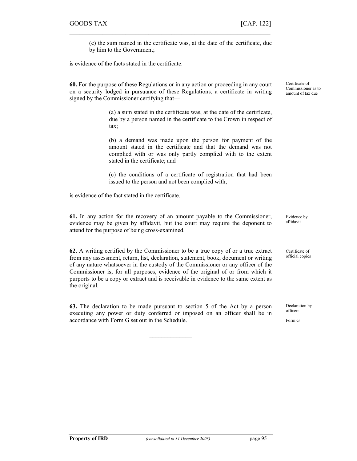(e) the sum named in the certificate was, at the date of the certificate, due by him to the Government;

is evidence of the facts stated in the certificate.

60. For the purpose of these Regulations or in any action or proceeding in any court on a security lodged in pursuance of these Regulations, a certificate in writing signed by the Commissioner certifying that—

 $\mathcal{L}_\text{max} = \mathcal{L}_\text{max} = \mathcal{L}_\text{max} = \mathcal{L}_\text{max} = \mathcal{L}_\text{max} = \mathcal{L}_\text{max} = \mathcal{L}_\text{max} = \mathcal{L}_\text{max} = \mathcal{L}_\text{max} = \mathcal{L}_\text{max} = \mathcal{L}_\text{max} = \mathcal{L}_\text{max} = \mathcal{L}_\text{max} = \mathcal{L}_\text{max} = \mathcal{L}_\text{max} = \mathcal{L}_\text{max} = \mathcal{L}_\text{max} = \mathcal{L}_\text{max} = \mathcal{$ 

(a) a sum stated in the certificate was, at the date of the certificate, due by a person named in the certificate to the Crown in respect of tax;

(b) a demand was made upon the person for payment of the amount stated in the certificate and that the demand was not complied with or was only partly complied with to the extent stated in the certificate; and

(c) the conditions of a certificate of registration that had been issued to the person and not been complied with,

is evidence of the fact stated in the certificate.

61. In any action for the recovery of an amount payable to the Commissioner, evidence may be given by affidavit, but the court may require the deponent to attend for the purpose of being cross-examined. Evidence by affidavit

62. A writing certified by the Commissioner to be a true copy of or a true extract from any assessment, return, list, declaration, statement, book, document or writing of any nature whatsoever in the custody of the Commissioner or any officer of the Commissioner is, for all purposes, evidence of the original of or from which it purports to be a copy or extract and is receivable in evidence to the same extent as the original.

63. The declaration to be made pursuant to section 5 of the Act by a person executing any power or duty conferred or imposed on an officer shall be in accordance with Form G set out in the Schedule.

 $\mathcal{L}$  , we have the set of  $\mathcal{L}$ 

Certificate of Commissioner as to amount of tax due

Certificate of official copies

Declaration by officers

Form G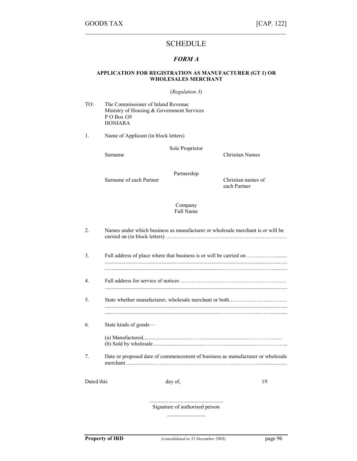# SCHEDULE

 $\mathcal{L}_\text{max}$  , and the contract of the contract of the contract of the contract of the contract of the contract of

# FORM A

### APPLICATION FOR REGISTRATION AS MANUFACTURER (GT 1) OR WHOLESALES MERCHANT

#### (Regulation 3)

TO: The Commissioner of Inland Revenue Ministry of Housing & Government Services P O Box G9 HONIARA

1. Name of Applicant (in block letters)

Sole Proprietor

Surname Christian Names

Surname of each Partner Christian names of

Partnership

each Partner

Company Full Name

| $\mathfrak{D}$   | Names under which business as manufacturer or wholesale merchant is or will be |  |
|------------------|--------------------------------------------------------------------------------|--|
| 3.               | Full address of place where that business is or will be carried on             |  |
| $\overline{4}$ . |                                                                                |  |
| .5.              |                                                                                |  |
| 6.               | State kinds of goods—                                                          |  |
| $7_{\cdot}$      | Date or proposed date of commencement of business as manufacturer or wholesale |  |
| Dated this       | 19<br>day of,                                                                  |  |

...................................................... Signature of authorised person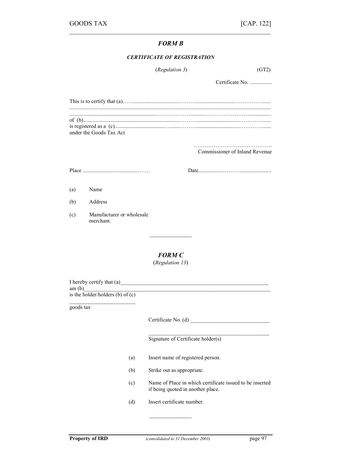# FORM B

 $\mathcal{L}_\text{max} = \mathcal{L}_\text{max} = \mathcal{L}_\text{max} = \mathcal{L}_\text{max} = \mathcal{L}_\text{max} = \mathcal{L}_\text{max} = \mathcal{L}_\text{max} = \mathcal{L}_\text{max} = \mathcal{L}_\text{max} = \mathcal{L}_\text{max} = \mathcal{L}_\text{max} = \mathcal{L}_\text{max} = \mathcal{L}_\text{max} = \mathcal{L}_\text{max} = \mathcal{L}_\text{max} = \mathcal{L}_\text{max} = \mathcal{L}_\text{max} = \mathcal{L}_\text{max} = \mathcal{$ 

### CERTIFICATE OF REGISTRATION

| ( <i>Regulation 3</i> ) | (GT2) |  |
|-------------------------|-------|--|
|                         |       |  |

Certificate No. ................

| under the Goods Tax Act |
|-------------------------|

……………………………………. Commissioner of Inland Revenue

Place ........................................……. Date..................……….......................

(a) Name

(b) Address

(c) Manufacturer or wholesale merchant.

# FORM C

 $\mathcal{L}$  , we have the set of  $\mathcal{L}$ 

(Regulation 13)

I hereby certify that  $(a)$ 

am (b)\_\_\_\_\_\_\_\_\_\_\_\_\_\_\_\_\_\_\_\_\_\_\_\_\_\_\_\_\_\_\_\_\_\_\_\_\_\_\_\_\_\_\_\_\_\_\_\_\_\_\_\_\_\_\_\_\_\_\_\_\_\_\_\_\_\_\_\_

is the holder/holders (b) of  $(c)$ 

goods tax

Certificate No. (d) \_\_\_\_\_\_\_\_\_\_\_\_\_\_\_\_\_\_\_\_\_\_\_\_\_\_\_\_\_

Signature of Certificate holder(s)

- (a) Insert name of registered person.
- (b) Strike out as appropriate.
- (c) Name of Place in which certificate issued to be inserted if being quoted in another place.

\_\_\_\_\_\_\_\_\_\_\_\_\_\_\_\_\_\_\_\_\_\_\_\_\_\_\_\_\_\_\_\_\_\_\_\_\_\_\_\_\_\_\_\_

(d) Insert certificate number.

 $\mathcal{L}$  , we have the set of  $\mathcal{L}$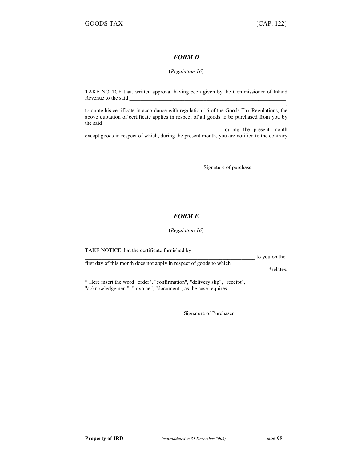# FORM D

 $\mathcal{L}_\text{max}$  , and the contract of the contract of the contract of the contract of the contract of the contract of

### (Regulation 16)

TAKE NOTICE that, written approval having been given by the Commissioner of Inland Revenue to the said

 $\mathcal{L}_\mathcal{L} = \{ \mathcal{L}_\mathcal{L} = \{ \mathcal{L}_\mathcal{L} = \{ \mathcal{L}_\mathcal{L} = \{ \mathcal{L}_\mathcal{L} = \{ \mathcal{L}_\mathcal{L} = \{ \mathcal{L}_\mathcal{L} = \{ \mathcal{L}_\mathcal{L} = \{ \mathcal{L}_\mathcal{L} = \{ \mathcal{L}_\mathcal{L} = \{ \mathcal{L}_\mathcal{L} = \{ \mathcal{L}_\mathcal{L} = \{ \mathcal{L}_\mathcal{L} = \{ \mathcal{L}_\mathcal{L} = \{ \mathcal{L}_\mathcal{$ to quote his certificate in accordance with regulation 16 of the Goods Tax Regulations, the above quotation of certificate applies in respect of all goods to be purchased from you by the said  $\Box$ 

during the present month except goods in respect of which, during the present month, you are notified to the contrary

Signature of purchaser

\_\_\_\_\_\_\_\_\_\_\_\_\_\_\_\_\_\_\_\_\_\_\_\_\_\_\_\_\_\_

# FORM E

 $\overline{\phantom{a}}$  . The set of the set of the set of the set of the set of the set of the set of the set of the set of the set of the set of the set of the set of the set of the set of the set of the set of the set of the set o

(Regulation 16)

TAKE NOTICE that the certificate furnished by \_\_\_\_\_\_\_\_\_\_\_\_\_\_\_\_\_\_\_\_\_\_\_\_\_\_\_\_\_\_\_\_\_\_\_\_\_\_\_\_\_\_\_\_\_\_\_\_\_\_\_\_\_\_\_\_\_\_\_\_\_\_ to you on the first day of this month does not apply in respect of goods to which \_\_\_\_\_\_\_\_\_\_\_\_\_\_\_\_\_\_\_\_  $\blacksquare$  \*relates.

 $\overline{\phantom{a}}$ 

\* Here insert the word "order", "confirmation", "delivery slip", "receipt", "acknowledgement", "invoice", "document", as the case requires.

> \_\_\_\_\_\_\_\_\_\_\_\_\_\_\_\_\_\_\_\_\_\_\_\_\_\_\_\_\_\_\_\_\_\_\_\_\_\_ Signature of Purchaser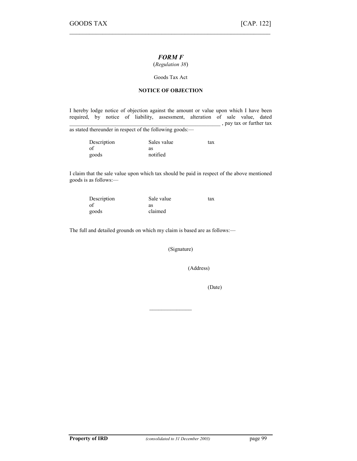# FORM F

 $\mathcal{L}_\text{max} = \mathcal{L}_\text{max} = \mathcal{L}_\text{max} = \mathcal{L}_\text{max} = \mathcal{L}_\text{max} = \mathcal{L}_\text{max} = \mathcal{L}_\text{max} = \mathcal{L}_\text{max} = \mathcal{L}_\text{max} = \mathcal{L}_\text{max} = \mathcal{L}_\text{max} = \mathcal{L}_\text{max} = \mathcal{L}_\text{max} = \mathcal{L}_\text{max} = \mathcal{L}_\text{max} = \mathcal{L}_\text{max} = \mathcal{L}_\text{max} = \mathcal{L}_\text{max} = \mathcal{$ 

(Regulation 38)

Goods Tax Act

### NOTICE OF OBJECTION

I hereby lodge notice of objection against the amount or value upon which I have been required, by notice of liability, assessment, alteration of sale value, dated  $\Box$ , pay tax or further tax

as stated thereunder in respect of the following goods:—

| Description | Sales value | tax |
|-------------|-------------|-----|
| of          | as          |     |
| goods       | notified    |     |

I claim that the sale value upon which tax should be paid in respect of the above mentioned goods is as follows:—

| Description | Sale value | tax |
|-------------|------------|-----|
| of          | as         |     |
| goods       | claimed    |     |

The full and detailed grounds on which my claim is based are as follows:—

(Signature)

 $\mathcal{L}$  , we have the set of  $\mathcal{L}$ 

(Address)

(Date)